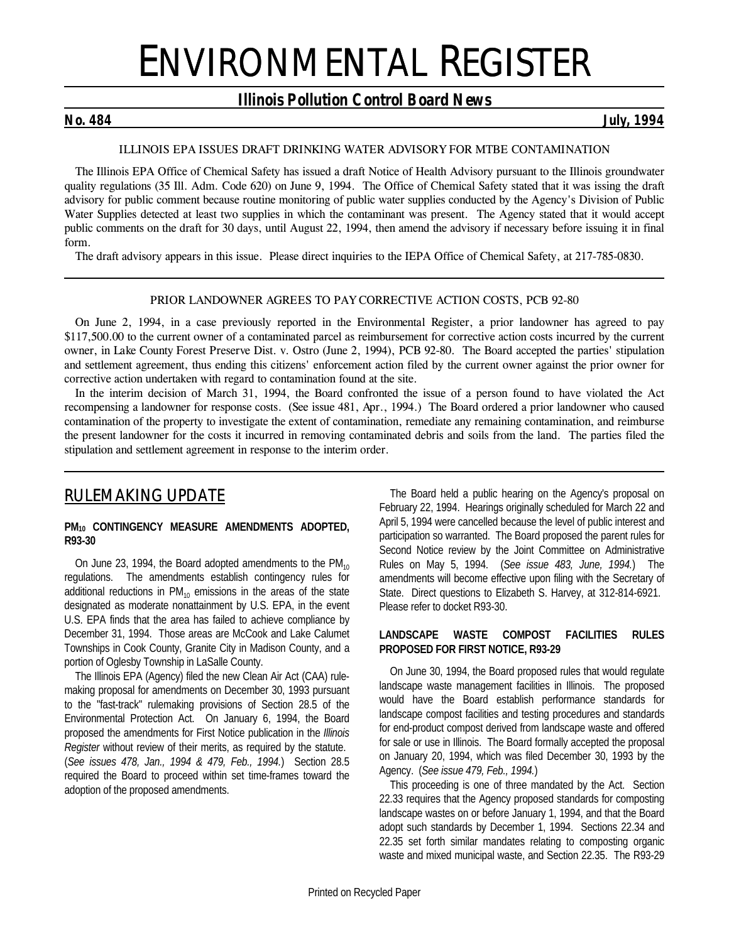# ENVIRONMENTAL REGISTER

### *Illinois Pollution Control Board News*

*No. 484 July, 1994*

### *ILLINOIS EPA ISSUES DRAFT DRINKING WATER ADVISORY FOR MTBE CONTAMINATION*

The Illinois EPA Office of Chemical Safety has issued a draft Notice of Health Advisory pursuant to the Illinois groundwater quality regulations (35 Ill. Adm. Code 620) on June 9, 1994. The Office of Chemical Safety stated that it was issing the draft advisory for public comment because routine monitoring of public water supplies conducted by the Agency's Division of Public Water Supplies detected at least two supplies in which the contaminant was present. The Agency stated that it would accept public comments on the draft for 30 days, until August 22, 1994, then amend the advisory if necessary before issuing it in final form.

The draft advisory appears in this issue. Please direct inquiries to the IEPA Office of Chemical Safety, at 217-785-0830.

### *PRIOR LANDOWNER AGREES TO PAY CORRECTIVE ACTION COSTS, PCB 92-80*

On June 2, 1994, in a case previously reported in the *Environmental Register*, a prior landowner has agreed to pay \$117,500.00 to the current owner of a contaminated parcel as reimbursement for corrective action costs incurred by the current owner, in *Lake County Forest Preserve Dist. v. Ostro* (June 2, 1994), PCB 92-80. The Board accepted the parties' stipulation and settlement agreement, thus ending this citizens' enforcement action filed by the current owner against the prior owner for corrective action undertaken with regard to contamination found at the site.

In the interim decision of March 31, 1994, the Board confronted the issue of a person found to have violated the Act recompensing a landowner for response costs. (*See issue 481, Apr., 1994.*) The Board ordered a prior landowner who caused contamination of the property to investigate the extent of contamination, remediate any remaining contamination, and reimburse the present landowner for the costs it incurred in removing contaminated debris and soils from the land. The parties filed the stipulation and settlement agreement in response to the interim order.

## *RULEMAKING UPDATE*

### **PM10 CONTINGENCY MEASURE AMENDMENTS ADOPTED, R93-30**

On June 23, 1994, the Board adopted amendments to the  $PM_{10}$ regulations. The amendments establish contingency rules for additional reductions in  $PM_{10}$  emissions in the areas of the state designated as moderate nonattainment by U.S. EPA, in the event U.S. EPA finds that the area has failed to achieve compliance by December 31, 1994. Those areas are McCook and Lake Calumet Townships in Cook County, Granite City in Madison County, and a portion of Oglesby Township in LaSalle County.

The Illinois EPA (Agency) filed the new Clean Air Act (CAA) rulemaking proposal for amendments on December 30, 1993 pursuant to the "fast-track" rulemaking provisions of Section 28.5 of the Environmental Protection Act. On January 6, 1994, the Board proposed the amendments for First Notice publication in the *Illinois Register* without review of their merits, as required by the statute. (*See issues 478, Jan., 1994 & 479, Feb., 1994.*) Section 28.5 required the Board to proceed within set time-frames toward the adoption of the proposed amendments.

The Board held a public hearing on the Agency's proposal on February 22, 1994. Hearings originally scheduled for March 22 and April 5, 1994 were cancelled because the level of public interest and participation so warranted. The Board proposed the parent rules for Second Notice review by the Joint Committee on Administrative Rules on May 5, 1994. (*See issue 483, June, 1994.*) The amendments will become effective upon filing with the Secretary of State. Direct questions to Elizabeth S. Harvey, at 312-814-6921. Please refer to docket R93-30.

### **LANDSCAPE WASTE COMPOST FACILITIES RULES PROPOSED FOR FIRST NOTICE, R93-29**

On June 30, 1994, the Board proposed rules that would regulate landscape waste management facilities in Illinois. The proposed would have the Board establish performance standards for landscape compost facilities and testing procedures and standards for end-product compost derived from landscape waste and offered for sale or use in Illinois. The Board formally accepted the proposal on January 20, 1994, which was filed December 30, 1993 by the Agency. (*See issue 479, Feb., 1994.*)

This proceeding is one of three mandated by the Act. Section 22.33 requires that the Agency proposed standards for composting landscape wastes on or before January 1, 1994, and that the Board adopt such standards by December 1, 1994. Sections 22.34 and 22.35 set forth similar mandates relating to composting organic waste and mixed municipal waste, and Section 22.35. The R93-29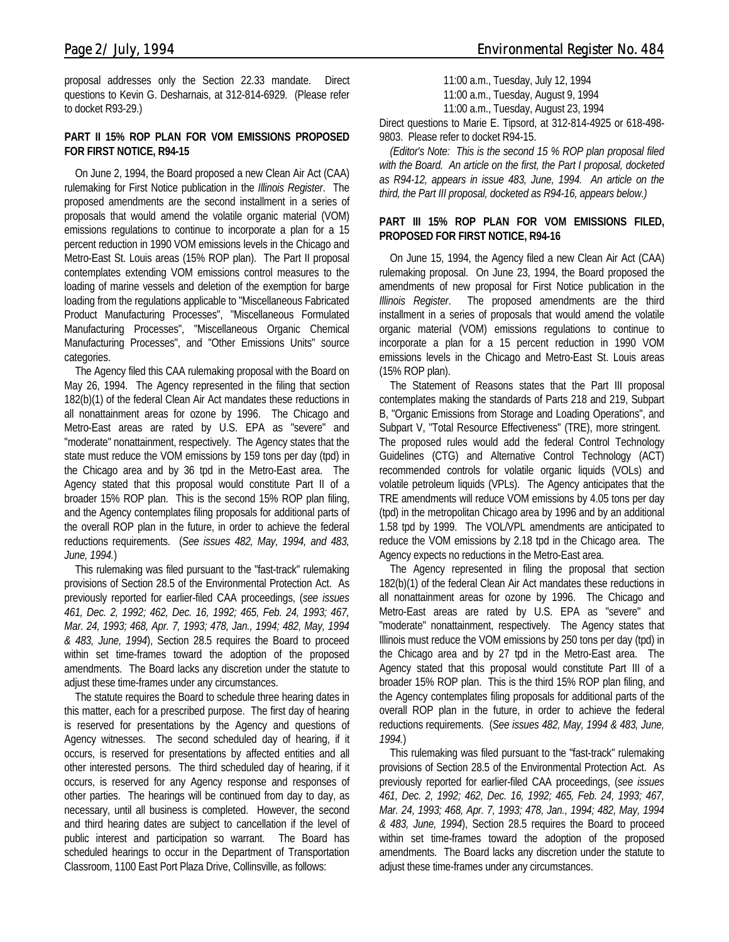proposal addresses only the Section 22.33 mandate. Direct questions to Kevin G. Desharnais, at 312-814-6929. (Please refer to docket R93-29.)

### **PART II 15% ROP PLAN FOR VOM EMISSIONS PROPOSED FOR FIRST NOTICE, R94-15**

On June 2, 1994, the Board proposed a new Clean Air Act (CAA) rulemaking for First Notice publication in the *Illinois Register*. The proposed amendments are the second installment in a series of proposals that would amend the volatile organic material (VOM) emissions regulations to continue to incorporate a plan for a 15 percent reduction in 1990 VOM emissions levels in the Chicago and Metro-East St. Louis areas (15% ROP plan). The Part II proposal contemplates extending VOM emissions control measures to the loading of marine vessels and deletion of the exemption for barge loading from the regulations applicable to "Miscellaneous Fabricated Product Manufacturing Processes", "Miscellaneous Formulated Manufacturing Processes", "Miscellaneous Organic Chemical Manufacturing Processes", and "Other Emissions Units" source categories.

The Agency filed this CAA rulemaking proposal with the Board on May 26, 1994. The Agency represented in the filing that section 182(b)(1) of the federal Clean Air Act mandates these reductions in all nonattainment areas for ozone by 1996. The Chicago and Metro-East areas are rated by U.S. EPA as "severe" and "moderate" nonattainment, respectively. The Agency states that the state must reduce the VOM emissions by 159 tons per day (tpd) in the Chicago area and by 36 tpd in the Metro-East area. The Agency stated that this proposal would constitute Part II of a broader 15% ROP plan. This is the second 15% ROP plan filing, and the Agency contemplates filing proposals for additional parts of the overall ROP plan in the future, in order to achieve the federal reductions requirements. (*See issues 482, May, 1994, and 483, June, 1994.*)

This rulemaking was filed pursuant to the "fast-track" rulemaking provisions of Section 28.5 of the Environmental Protection Act. As previously reported for earlier-filed CAA proceedings, (*see issues 461, Dec. 2, 1992; 462, Dec. 16, 1992; 465, Feb. 24, 1993; 467, Mar. 24, 1993; 468, Apr. 7, 1993; 478, Jan., 1994; 482, May, 1994 & 483, June, 1994*), Section 28.5 requires the Board to proceed within set time-frames toward the adoption of the proposed amendments. The Board lacks any discretion under the statute to adjust these time-frames under any circumstances.

The statute requires the Board to schedule three hearing dates in this matter, each for a prescribed purpose. The first day of hearing is reserved for presentations by the Agency and questions of Agency witnesses. The second scheduled day of hearing, if it occurs, is reserved for presentations by affected entities and all other interested persons. The third scheduled day of hearing, if it occurs, is reserved for any Agency response and responses of other parties. The hearings will be continued from day to day, as necessary, until all business is completed. However, the second and third hearing dates are subject to cancellation if the level of public interest and participation so warrant. The Board has scheduled hearings to occur in the Department of Transportation Classroom, 1100 East Port Plaza Drive, Collinsville, as follows:

11:00 a.m., Tuesday, July 12, 1994 11:00 a.m., Tuesday, August 9, 1994

11:00 a.m., Tuesday, August 23, 1994

Direct questions to Marie E. Tipsord, at 312-814-4925 or 618-498- 9803. Please refer to docket R94-15.

*(Editor's Note: This is the second 15 % ROP plan proposal filed with the Board. An article on the first, the Part I proposal, docketed as R94-12, appears in issue 483, June, 1994. An article on the third, the Part III proposal, docketed as R94-16, appears below.)*

### **PART III 15% ROP PLAN FOR VOM EMISSIONS FILED, PROPOSED FOR FIRST NOTICE, R94-16**

On June 15, 1994, the Agency filed a new Clean Air Act (CAA) rulemaking proposal. On June 23, 1994, the Board proposed the amendments of new proposal for First Notice publication in the *Illinois Register*. The proposed amendments are the third installment in a series of proposals that would amend the volatile organic material (VOM) emissions regulations to continue to incorporate a plan for a 15 percent reduction in 1990 VOM emissions levels in the Chicago and Metro-East St. Louis areas (15% ROP plan).

The Statement of Reasons states that the Part III proposal contemplates making the standards of Parts 218 and 219, Subpart B, "Organic Emissions from Storage and Loading Operations", and Subpart V, "Total Resource Effectiveness" (TRE), more stringent. The proposed rules would add the federal Control Technology Guidelines (CTG) and Alternative Control Technology (ACT) recommended controls for volatile organic liquids (VOLs) and volatile petroleum liquids (VPLs). The Agency anticipates that the TRE amendments will reduce VOM emissions by 4.05 tons per day (tpd) in the metropolitan Chicago area by 1996 and by an additional 1.58 tpd by 1999. The VOL/VPL amendments are anticipated to reduce the VOM emissions by 2.18 tpd in the Chicago area. The Agency expects no reductions in the Metro-East area.

The Agency represented in filing the proposal that section 182(b)(1) of the federal Clean Air Act mandates these reductions in all nonattainment areas for ozone by 1996. The Chicago and Metro-East areas are rated by U.S. EPA as "severe" and "moderate" nonattainment, respectively. The Agency states that Illinois must reduce the VOM emissions by 250 tons per day (tpd) in the Chicago area and by 27 tpd in the Metro-East area. The Agency stated that this proposal would constitute Part III of a broader 15% ROP plan. This is the third 15% ROP plan filing, and the Agency contemplates filing proposals for additional parts of the overall ROP plan in the future, in order to achieve the federal reductions requirements. (*See issues 482, May, 1994 & 483, June, 1994.*)

This rulemaking was filed pursuant to the "fast-track" rulemaking provisions of Section 28.5 of the Environmental Protection Act. As previously reported for earlier-filed CAA proceedings, (*see issues 461, Dec. 2, 1992; 462, Dec. 16, 1992; 465, Feb. 24, 1993; 467, Mar. 24, 1993; 468, Apr. 7, 1993; 478, Jan., 1994; 482, May, 1994 & 483, June, 1994*), Section 28.5 requires the Board to proceed within set time-frames toward the adoption of the proposed amendments. The Board lacks any discretion under the statute to adjust these time-frames under any circumstances.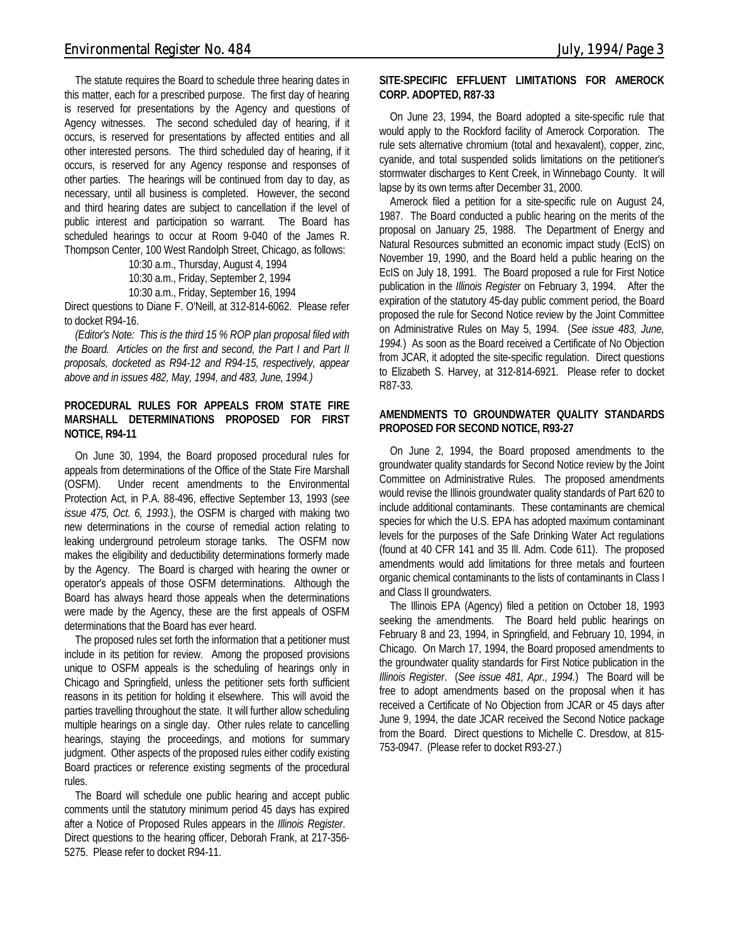The statute requires the Board to schedule three hearing dates in this matter, each for a prescribed purpose. The first day of hearing is reserved for presentations by the Agency and questions of Agency witnesses. The second scheduled day of hearing, if it occurs, is reserved for presentations by affected entities and all other interested persons. The third scheduled day of hearing, if it occurs, is reserved for any Agency response and responses of other parties. The hearings will be continued from day to day, as necessary, until all business is completed. However, the second and third hearing dates are subject to cancellation if the level of public interest and participation so warrant. The Board has scheduled hearings to occur at Room 9-040 of the James R. Thompson Center, 100 West Randolph Street, Chicago, as follows:

> 10:30 a.m., Thursday, August 4, 1994 10:30 a.m., Friday, September 2, 1994 10:30 a.m., Friday, September 16, 1994

Direct questions to Diane F. O'Neill, at 312-814-6062. Please refer to docket R94-16.

*(Editor's Note: This is the third 15 % ROP plan proposal filed with the Board. Articles on the first and second, the Part I and Part II proposals, docketed as R94-12 and R94-15, respectively, appear above and in issues 482, May, 1994, and 483, June, 1994.)*

### **PROCEDURAL RULES FOR APPEALS FROM STATE FIRE MARSHALL DETERMINATIONS PROPOSED FOR FIRST NOTICE, R94-11**

On June 30, 1994, the Board proposed procedural rules for appeals from determinations of the Office of the State Fire Marshall (OSFM). Under recent amendments to the Environmental Protection Act, in P.A. 88-496, effective September 13, 1993 (*see issue 475, Oct. 6, 1993.*), the OSFM is charged with making two new determinations in the course of remedial action relating to leaking underground petroleum storage tanks. The OSFM now makes the eligibility and deductibility determinations formerly made by the Agency. The Board is charged with hearing the owner or operator's appeals of those OSFM determinations. Although the Board has always heard those appeals when the determinations were made by the Agency, these are the first appeals of OSFM determinations that the Board has ever heard.

The proposed rules set forth the information that a petitioner must include in its petition for review. Among the proposed provisions unique to OSFM appeals is the scheduling of hearings only in Chicago and Springfield, unless the petitioner sets forth sufficient reasons in its petition for holding it elsewhere. This will avoid the parties travelling throughout the state. It will further allow scheduling multiple hearings on a single day. Other rules relate to cancelling hearings, staying the proceedings, and motions for summary judgment. Other aspects of the proposed rules either codify existing Board practices or reference existing segments of the procedural rules.

The Board will schedule one public hearing and accept public comments until the statutory minimum period 45 days has expired after a Notice of Proposed Rules appears in the *Illinois Register*. Direct questions to the hearing officer, Deborah Frank, at 217-356- 5275. Please refer to docket R94-11.

### **SITE-SPECIFIC EFFLUENT LIMITATIONS FOR AMEROCK CORP. ADOPTED, R87-33**

On June 23, 1994, the Board adopted a site-specific rule that would apply to the Rockford facility of Amerock Corporation. The rule sets alternative chromium (total and hexavalent), copper, zinc, cyanide, and total suspended solids limitations on the petitioner's stormwater discharges to Kent Creek, in Winnebago County. It will lapse by its own terms after December 31, 2000.

Amerock filed a petition for a site-specific rule on August 24, 1987. The Board conducted a public hearing on the merits of the proposal on January 25, 1988. The Department of Energy and Natural Resources submitted an economic impact study (EcIS) on November 19, 1990, and the Board held a public hearing on the EcIS on July 18, 1991. The Board proposed a rule for First Notice publication in the *Illinois Register* on February 3, 1994. After the expiration of the statutory 45-day public comment period, the Board proposed the rule for Second Notice review by the Joint Committee on Administrative Rules on May 5, 1994. (*See issue 483, June, 1994.*) As soon as the Board received a Certificate of No Objection from JCAR, it adopted the site-specific regulation. Direct questions to Elizabeth S. Harvey, at 312-814-6921. Please refer to docket R87-33.

### **AMENDMENTS TO GROUNDWATER QUALITY STANDARDS PROPOSED FOR SECOND NOTICE, R93-27**

On June 2, 1994, the Board proposed amendments to the groundwater quality standards for Second Notice review by the Joint Committee on Administrative Rules. The proposed amendments would revise the Illinois groundwater quality standards of Part 620 to include additional contaminants. These contaminants are chemical species for which the U.S. EPA has adopted maximum contaminant levels for the purposes of the Safe Drinking Water Act regulations (found at 40 CFR 141 and 35 Ill. Adm. Code 611). The proposed amendments would add limitations for three metals and fourteen organic chemical contaminants to the lists of contaminants in Class I and Class II groundwaters.

The Illinois EPA (Agency) filed a petition on October 18, 1993 seeking the amendments. The Board held public hearings on February 8 and 23, 1994, in Springfield, and February 10, 1994, in Chicago. On March 17, 1994, the Board proposed amendments to the groundwater quality standards for First Notice publication in the *Illinois Register*. (*See issue 481, Apr., 1994.*) The Board will be free to adopt amendments based on the proposal when it has received a Certificate of No Objection from JCAR or 45 days after June 9, 1994, the date JCAR received the Second Notice package from the Board. Direct questions to Michelle C. Dresdow, at 815- 753-0947. (Please refer to docket R93-27.)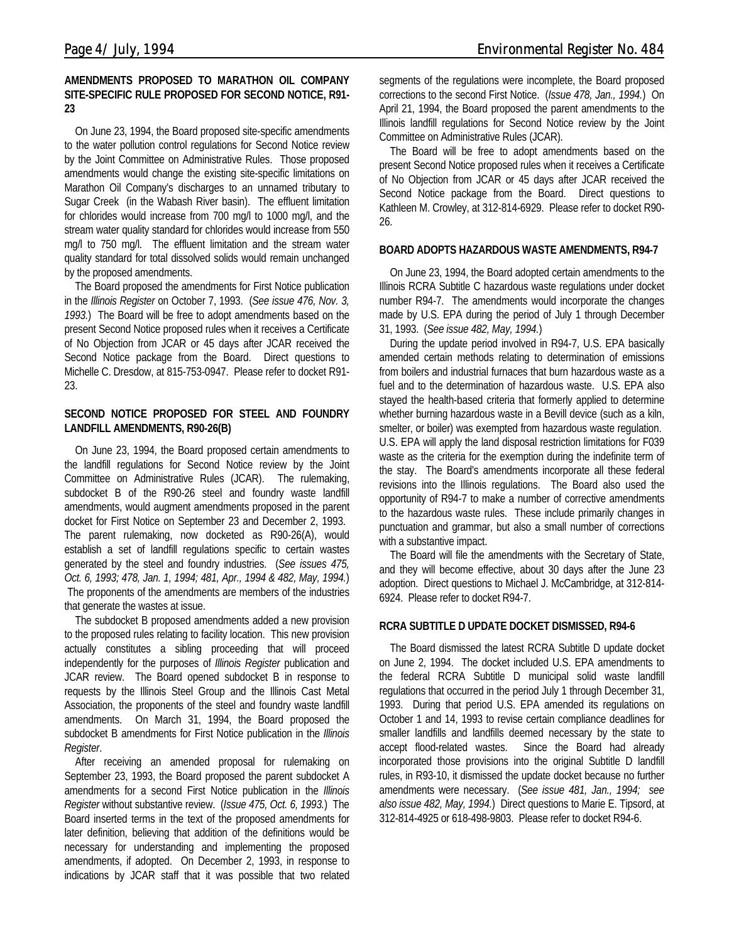### **AMENDMENTS PROPOSED TO MARATHON OIL COMPANY SITE-SPECIFIC RULE PROPOSED FOR SECOND NOTICE, R91- 23**

On June 23, 1994, the Board proposed site-specific amendments to the water pollution control regulations for Second Notice review by the Joint Committee on Administrative Rules. Those proposed amendments would change the existing site-specific limitations on Marathon Oil Company's discharges to an unnamed tributary to Sugar Creek (in the Wabash River basin). The effluent limitation for chlorides would increase from 700 mg/l to 1000 mg/l, and the stream water quality standard for chlorides would increase from 550 mg/l to 750 mg/l. The effluent limitation and the stream water quality standard for total dissolved solids would remain unchanged by the proposed amendments.

The Board proposed the amendments for First Notice publication in the *Illinois Register* on October 7, 1993. (*See issue 476, Nov. 3, 1993.*) The Board will be free to adopt amendments based on the present Second Notice proposed rules when it receives a Certificate of No Objection from JCAR or 45 days after JCAR received the Second Notice package from the Board. Direct questions to Michelle C. Dresdow, at 815-753-0947. Please refer to docket R91- 23.

### **SECOND NOTICE PROPOSED FOR STEEL AND FOUNDRY LANDFILL AMENDMENTS, R90-26(B)**

On June 23, 1994, the Board proposed certain amendments to the landfill regulations for Second Notice review by the Joint Committee on Administrative Rules (JCAR). The rulemaking, subdocket B of the R90-26 steel and foundry waste landfill amendments, would augment amendments proposed in the parent docket for First Notice on September 23 and December 2, 1993. The parent rulemaking, now docketed as R90-26(A), would establish a set of landfill regulations specific to certain wastes generated by the steel and foundry industries. (*See issues 475, Oct. 6, 1993; 478, Jan. 1, 1994; 481, Apr., 1994 & 482, May, 1994.*) The proponents of the amendments are members of the industries that generate the wastes at issue.

The subdocket B proposed amendments added a new provision to the proposed rules relating to facility location. This new provision actually constitutes a sibling proceeding that will proceed independently for the purposes of *Illinois Register* publication and JCAR review. The Board opened subdocket B in response to requests by the Illinois Steel Group and the Illinois Cast Metal Association, the proponents of the steel and foundry waste landfill amendments. On March 31, 1994, the Board proposed the subdocket B amendments for First Notice publication in the *Illinois Register*.

After receiving an amended proposal for rulemaking on September 23, 1993, the Board proposed the parent subdocket A amendments for a second First Notice publication in the *Illinois Register* without substantive review. (*Issue 475, Oct. 6, 1993.*) The Board inserted terms in the text of the proposed amendments for later definition, believing that addition of the definitions would be necessary for understanding and implementing the proposed amendments, if adopted. On December 2, 1993, in response to indications by JCAR staff that it was possible that two related

segments of the regulations were incomplete, the Board proposed corrections to the second First Notice. (*Issue 478, Jan., 1994.*) On April 21, 1994, the Board proposed the parent amendments to the Illinois landfill regulations for Second Notice review by the Joint Committee on Administrative Rules (JCAR).

The Board will be free to adopt amendments based on the present Second Notice proposed rules when it receives a Certificate of No Objection from JCAR or 45 days after JCAR received the Second Notice package from the Board. Direct questions to Kathleen M. Crowley, at 312-814-6929. Please refer to docket R90- 26.

### **BOARD ADOPTS HAZARDOUS WASTE AMENDMENTS, R94-7**

On June 23, 1994, the Board adopted certain amendments to the Illinois RCRA Subtitle C hazardous waste regulations under docket number R94-7. The amendments would incorporate the changes made by U.S. EPA during the period of July 1 through December 31, 1993. (*See issue 482, May, 1994.*)

During the update period involved in R94-7, U.S. EPA basically amended certain methods relating to determination of emissions from boilers and industrial furnaces that burn hazardous waste as a fuel and to the determination of hazardous waste. U.S. EPA also stayed the health-based criteria that formerly applied to determine whether burning hazardous waste in a Bevill device (such as a kiln, smelter, or boiler) was exempted from hazardous waste regulation. U.S. EPA will apply the land disposal restriction limitations for F039 waste as the criteria for the exemption during the indefinite term of the stay. The Board's amendments incorporate all these federal revisions into the Illinois regulations. The Board also used the opportunity of R94-7 to make a number of corrective amendments to the hazardous waste rules. These include primarily changes in punctuation and grammar, but also a small number of corrections with a substantive impact.

The Board will file the amendments with the Secretary of State, and they will become effective, about 30 days after the June 23 adoption. Direct questions to Michael J. McCambridge, at 312-814- 6924. Please refer to docket R94-7.

### **RCRA SUBTITLE D UPDATE DOCKET DISMISSED, R94-6**

The Board dismissed the latest RCRA Subtitle D update docket on June 2, 1994. The docket included U.S. EPA amendments to the federal RCRA Subtitle D municipal solid waste landfill regulations that occurred in the period July 1 through December 31, 1993. During that period U.S. EPA amended its regulations on October 1 and 14, 1993 to revise certain compliance deadlines for smaller landfills and landfills deemed necessary by the state to accept flood-related wastes. Since the Board had already incorporated those provisions into the original Subtitle D landfill rules, in R93-10, it dismissed the update docket because no further amendments were necessary. (*See issue 481, Jan., 1994; see also issue 482, May, 1994.*) Direct questions to Marie E. Tipsord, at 312-814-4925 or 618-498-9803. Please refer to docket R94-6.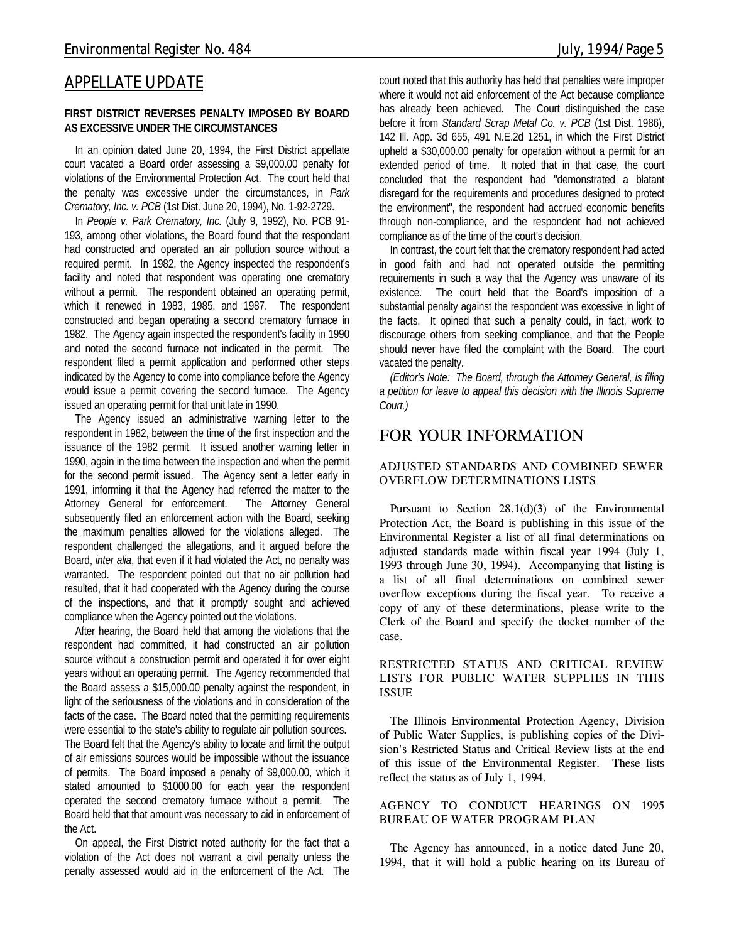### *APPELLATE UPDATE*

### **FIRST DISTRICT REVERSES PENALTY IMPOSED BY BOARD AS EXCESSIVE UNDER THE CIRCUMSTANCES**

In an opinion dated June 20, 1994, the First District appellate court vacated a Board order assessing a \$9,000.00 penalty for violations of the Environmental Protection Act. The court held that the penalty was excessive under the circumstances, in *Park Crematory, Inc. v. PCB* (1st Dist. June 20, 1994), No. 1-92-2729.

In *People v. Park Crematory, Inc.* (July 9, 1992), No. PCB 91- 193, among other violations, the Board found that the respondent had constructed and operated an air pollution source without a required permit. In 1982, the Agency inspected the respondent's facility and noted that respondent was operating one crematory without a permit. The respondent obtained an operating permit, which it renewed in 1983, 1985, and 1987. The respondent constructed and began operating a second crematory furnace in 1982. The Agency again inspected the respondent's facility in 1990 and noted the second furnace not indicated in the permit. The respondent filed a permit application and performed other steps indicated by the Agency to come into compliance before the Agency would issue a permit covering the second furnace. The Agency issued an operating permit for that unit late in 1990.

The Agency issued an administrative warning letter to the respondent in 1982, between the time of the first inspection and the issuance of the 1982 permit. It issued another warning letter in 1990, again in the time between the inspection and when the permit for the second permit issued. The Agency sent a letter early in 1991, informing it that the Agency had referred the matter to the Attorney General for enforcement. The Attorney General subsequently filed an enforcement action with the Board, seeking the maximum penalties allowed for the violations alleged. The respondent challenged the allegations, and it argued before the Board, *inter alia*, that even if it had violated the Act, no penalty was warranted. The respondent pointed out that no air pollution had resulted, that it had cooperated with the Agency during the course of the inspections, and that it promptly sought and achieved compliance when the Agency pointed out the violations.

After hearing, the Board held that among the violations that the respondent had committed, it had constructed an air pollution source without a construction permit and operated it for over eight years without an operating permit. The Agency recommended that the Board assess a \$15,000.00 penalty against the respondent, in light of the seriousness of the violations and in consideration of the facts of the case. The Board noted that the permitting requirements were essential to the state's ability to regulate air pollution sources. The Board felt that the Agency's ability to locate and limit the output of air emissions sources would be impossible without the issuance of permits. The Board imposed a penalty of \$9,000.00, which it stated amounted to \$1000.00 for each year the respondent operated the second crematory furnace without a permit. The Board held that that amount was necessary to aid in enforcement of the Act.

On appeal, the First District noted authority for the fact that a violation of the Act does not warrant a civil penalty unless the penalty assessed would aid in the enforcement of the Act. The

court noted that this authority has held that penalties were improper where it would not aid enforcement of the Act because compliance has already been achieved. The Court distinguished the case before it from *Standard Scrap Metal Co. v. PCB* (1st Dist. 1986), 142 Ill. App. 3d 655, 491 N.E.2d 1251, in which the First District upheld a \$30,000.00 penalty for operation without a permit for an extended period of time. It noted that in that case, the court concluded that the respondent had "demonstrated a blatant disregard for the requirements and procedures designed to protect the environment", the respondent had accrued economic benefits through non-compliance, and the respondent had not achieved compliance as of the time of the court's decision.

In contrast, the court felt that the crematory respondent had acted in good faith and had not operated outside the permitting requirements in such a way that the Agency was unaware of its existence. The court held that the Board's imposition of a substantial penalty against the respondent was excessive in light of the facts. It opined that such a penalty could, in fact, work to discourage others from seeking compliance, and that the People should never have filed the complaint with the Board. The court vacated the penalty.

*(Editor's Note: The Board, through the Attorney General, is filing a petition for leave to appeal this decision with the Illinois Supreme Court.)*

### *FOR YOUR INFORMATION*

### **ADJUSTED STANDARDS AND COMBINED SEWER OVERFLOW DETERMINATIONS LISTS**

Pursuant to Section 28.1(d)(3) of the Environmental Protection Act, the Board is publishing in this issue of the Environmental Register a list of all final determinations on adjusted standards made within fiscal year 1994 (July 1, 1993 through June 30, 1994). Accompanying that listing is a list of all final determinations on combined sewer overflow exceptions during the fiscal year. To receive a copy of any of these determinations, please write to the Clerk of the Board and specify the docket number of the case.

### **RESTRICTED STATUS AND CRITICAL REVIEW LISTS FOR PUBLIC WATER SUPPLIES IN THIS ISSUE**

The Illinois Environmental Protection Agency, Division of Public Water Supplies, is publishing copies of the Division's Restricted Status and Critical Review lists at the end of this issue of the Environmental Register. These lists reflect the status as of July 1, 1994.

**AGENCY TO CONDUCT HEARINGS ON 1995 BUREAU OF WATER PROGRAM PLAN**

The Agency has announced, in a notice dated June 20, 1994, that it will hold a public hearing on its Bureau of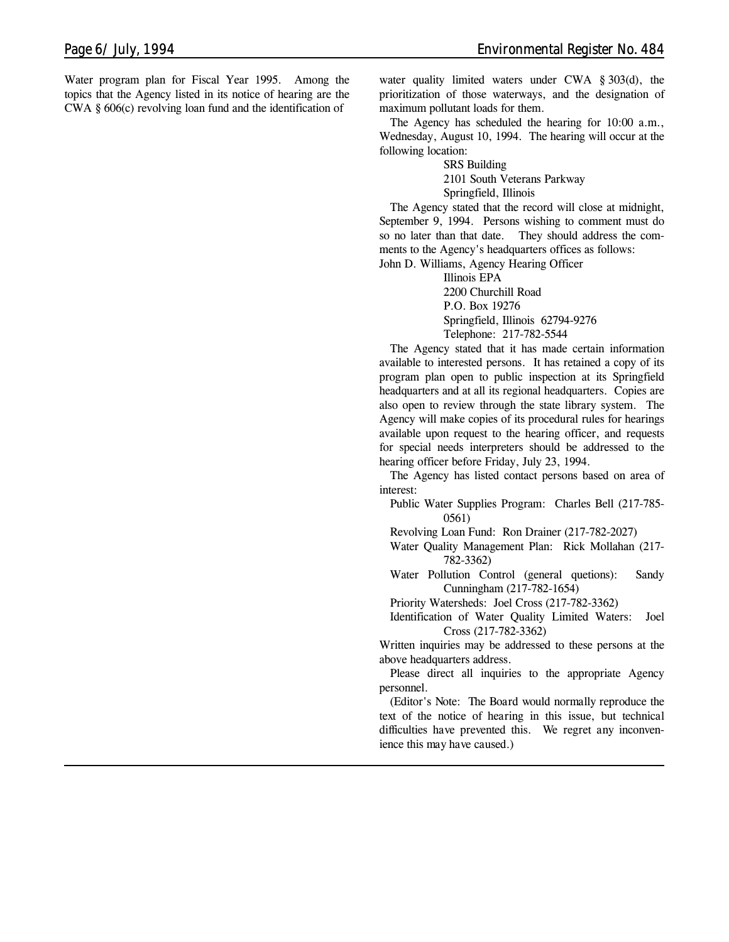Water program plan for Fiscal Year 1995. Among the topics that the Agency listed in its notice of hearing are the CWA § 606(c) revolving loan fund and the identification of

water quality limited waters under CWA § 303(d), the prioritization of those waterways, and the designation of maximum pollutant loads for them.

The Agency has scheduled the hearing for 10:00 a.m., Wednesday, August 10, 1994. The hearing will occur at the following location:

SRS Building

2101 South Veterans Parkway

Springfield, Illinois

The Agency stated that the record will close at midnight, September 9, 1994. Persons wishing to comment must do so no later than that date. They should address the comments to the Agency's headquarters offices as follows:

John D. Williams, Agency Hearing Officer

Illinois EPA 2200 Churchill Road P.O. Box 19276 Springfield, Illinois 62794-9276 Telephone: 217-782-5544

The Agency stated that it has made certain information available to interested persons. It has retained a copy of its program plan open to public inspection at its Springfield headquarters and at all its regional headquarters. Copies are also open to review through the state library system. The Agency will make copies of its procedural rules for hearings available upon request to the hearing officer, and requests for special needs interpreters should be addressed to the hearing officer before Friday, July 23, 1994.

The Agency has listed contact persons based on area of interest:

Public Water Supplies Program: Charles Bell (217-785- 0561)

Revolving Loan Fund: Ron Drainer (217-782-2027)

Water Quality Management Plan: Rick Mollahan (217- 782-3362)

Water Pollution Control (general quetions): Sandy Cunningham (217-782-1654)

Priority Watersheds: Joel Cross (217-782-3362)

Identification of Water Quality Limited Waters: Joel Cross (217-782-3362)

Written inquiries may be addressed to these persons at the above headquarters address.

Please direct all inquiries to the appropriate Agency personnel.

*(Editor's Note: The Board would normally reproduce the text of the notice of hearing in this issue, but technical difficulties have prevented this. We regret any inconvenience this may have caused.)*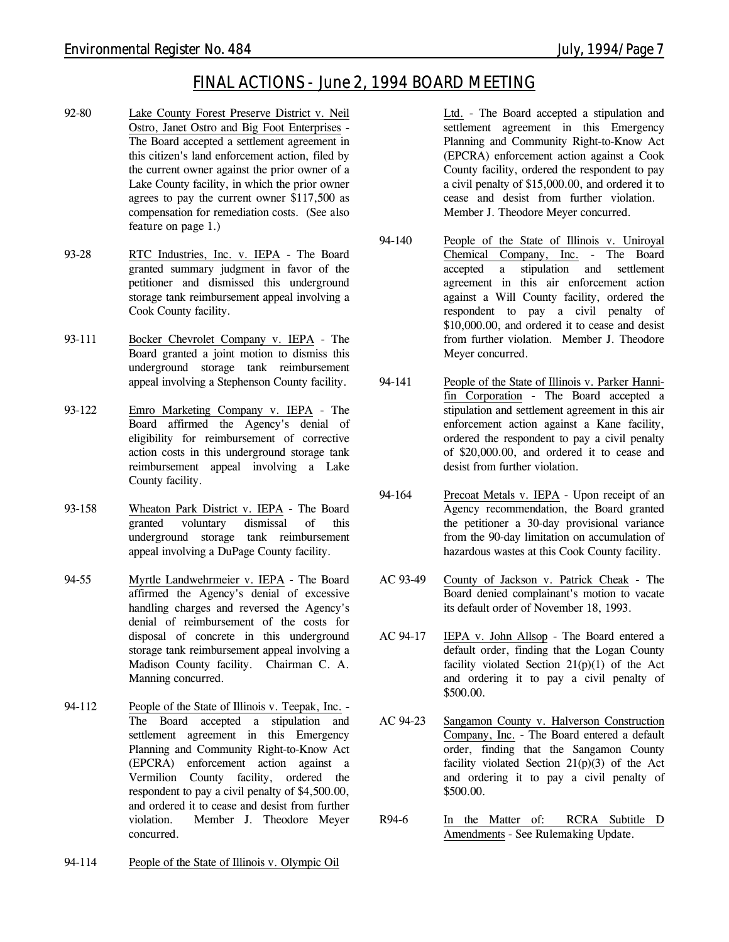### *FINAL ACTIONS - June 2, 1994 BOARD MEETING*

- 92-80 Lake County Forest Preserve District v. Neil Ostro, Janet Ostro and Big Foot Enterprises - The Board accepted a settlement agreement in this citizen's land enforcement action, filed by the current owner against the prior owner of a Lake County facility, in which the prior owner agrees to pay the current owner \$117,500 as compensation for remediation costs. *(See also feature on page 1.)*
- 93-28 RTC Industries, Inc. v. IEPA The Board granted summary judgment in favor of the petitioner and dismissed this underground storage tank reimbursement appeal involving a Cook County facility.
- 93-111 Bocker Chevrolet Company v. IEPA The Board granted a joint motion to dismiss this underground storage tank reimbursement appeal involving a Stephenson County facility.
- 93-122 Emro Marketing Company v. IEPA The Board affirmed the Agency's denial of eligibility for reimbursement of corrective action costs in this underground storage tank reimbursement appeal involving a Lake County facility.
- 93-158 Wheaton Park District v. IEPA The Board granted voluntary dismissal of this underground storage tank reimbursement appeal involving a DuPage County facility.
- 94-55 Myrtle Landwehrmeier v. IEPA The Board affirmed the Agency's denial of excessive handling charges and reversed the Agency's denial of reimbursement of the costs for disposal of concrete in this underground storage tank reimbursement appeal involving a Madison County facility. Chairman C. A. Manning concurred.
- 94-112 People of the State of Illinois v. Teepak, Inc. The Board accepted a stipulation and settlement agreement in this Emergency Planning and Community Right-to-Know Act (EPCRA) enforcement action against a Vermilion County facility, ordered the respondent to pay a civil penalty of \$4,500.00, and ordered it to cease and desist from further violation. Member J. Theodore Meyer concurred.
- 94-114 People of the State of Illinois v. Olympic Oil

Ltd. - The Board accepted a stipulation and settlement agreement in this Emergency Planning and Community Right-to-Know Act (EPCRA) enforcement action against a Cook County facility, ordered the respondent to pay a civil penalty of \$15,000.00, and ordered it to cease and desist from further violation. Member J. Theodore Meyer concurred.

- 94-140 People of the State of Illinois v. Uniroyal Chemical Company, Inc. - The Board accepted a stipulation and settlement agreement in this air enforcement action against a Will County facility, ordered the respondent to pay a civil penalty of \$10,000.00, and ordered it to cease and desist from further violation. Member J. Theodore Meyer concurred.
- 94-141 People of the State of Illinois v. Parker Hannifin Corporation - The Board accepted a stipulation and settlement agreement in this air enforcement action against a Kane facility, ordered the respondent to pay a civil penalty of \$20,000.00, and ordered it to cease and desist from further violation.
- 94-164 Precoat Metals v. IEPA Upon receipt of an Agency recommendation, the Board granted the petitioner a 30-day provisional variance from the 90-day limitation on accumulation of hazardous wastes at this Cook County facility.
- AC 93-49 County of Jackson v. Patrick Cheak The Board denied complainant's motion to vacate its default order of November 18, 1993.
- AC 94-17 IEPA v. John Allsop The Board entered a default order, finding that the Logan County facility violated Section  $21(p)(1)$  of the Act and ordering it to pay a civil penalty of \$500.00.
- AC 94-23 Sangamon County v. Halverson Construction Company, Inc. - The Board entered a default order, finding that the Sangamon County facility violated Section 21(p)(3) of the Act and ordering it to pay a civil penalty of \$500.00.
- R94-6 In the Matter of: RCRA Subtitle D Amendments - *See Rulemaking Update.*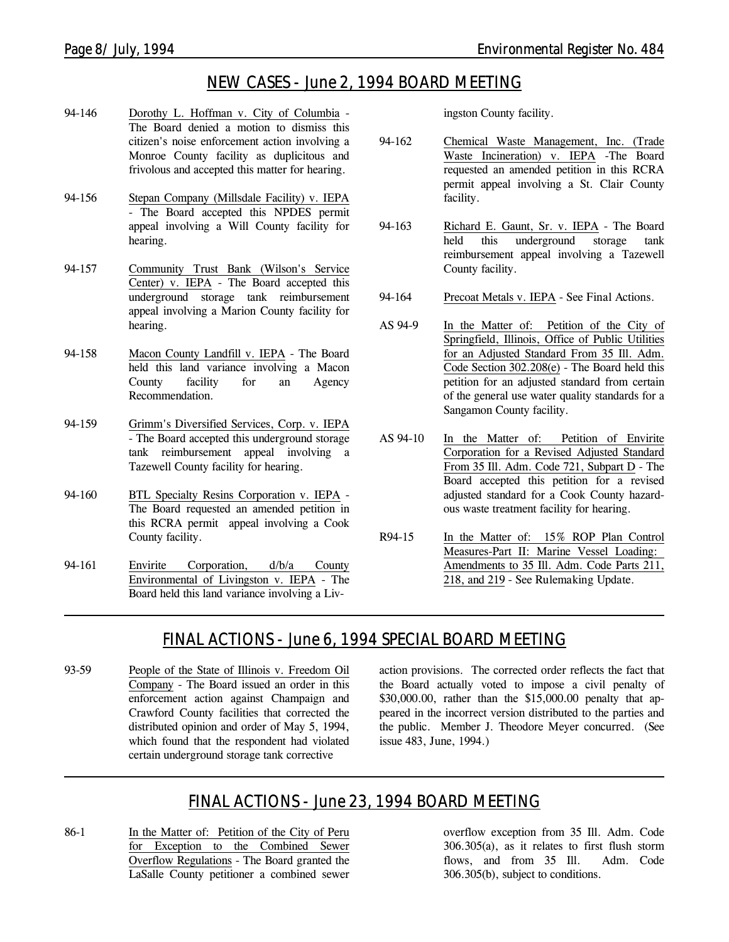## *NEW CASES - June 2, 1994 BOARD MEETING*

- 94-146 Dorothy L. Hoffman v. City of Columbia The Board denied a motion to dismiss this citizen's noise enforcement action involving a Monroe County facility as duplicitous and frivolous and accepted this matter for hearing.
- 94-156 Stepan Company (Millsdale Facility) v. IEPA - The Board accepted this NPDES permit appeal involving a Will County facility for hearing.
- 94-157 Community Trust Bank (Wilson's Service Center) v. IEPA - The Board accepted this underground storage tank reimbursement appeal involving a Marion County facility for hearing.
- 94-158 Macon County Landfill v. IEPA The Board held this land variance involving a Macon County facility for an Agency Recommendation.
- 94-159 Grimm's Diversified Services, Corp. v. IEPA - The Board accepted this underground storage tank reimbursement appeal involving a Tazewell County facility for hearing.
- 94-160 BTL Specialty Resins Corporation v. IEPA The Board requested an amended petition in this RCRA permit appeal involving a Cook County facility.
- 94-161 Envirite Corporation, d/b/a County Environmental of Livingston v. IEPA - The Board held this land variance involving a Liv-

ingston County facility.

- 94-162 Chemical Waste Management, Inc. (Trade Waste Incineration) v. IEPA -The Board requested an amended petition in this RCRA permit appeal involving a St. Clair County facility.
- 94-163 Richard E. Gaunt, Sr. v. IEPA The Board held this underground storage tank reimbursement appeal involving a Tazewell County facility.
- 94-164 Precoat Metals v. IEPA *See Final Actions.*
- AS 94-9 In the Matter of: Petition of the City of Springfield, Illinois, Office of Public Utilities for an Adjusted Standard From 35 Ill. Adm. Code Section 302.208(e) - The Board held this petition for an adjusted standard from certain of the general use water quality standards for a Sangamon County facility.
- AS 94-10 In the Matter of: Petition of Envirite Corporation for a Revised Adjusted Standard From 35 Ill. Adm. Code 721, Subpart D - The Board accepted this petition for a revised adjusted standard for a Cook County hazardous waste treatment facility for hearing.
- R94-15 In the Matter of: 15% ROP Plan Control Measures-Part II: Marine Vessel Loading: Amendments to 35 Ill. Adm. Code Parts 211, 218, and 219 - *See Rulemaking Update.*

## *FINAL ACTIONS - June 6, 1994 SPECIAL BOARD MEETING*

93-59 People of the State of Illinois v. Freedom Oil Company - The Board issued an order in this enforcement action against Champaign and Crawford County facilities that corrected the distributed opinion and order of May 5, 1994, which found that the respondent had violated certain underground storage tank corrective

action provisions. The corrected order reflects the fact that the Board actually voted to impose a civil penalty of \$30,000.00, rather than the \$15,000.00 penalty that appeared in the incorrect version distributed to the parties and the public. Member J. Theodore Meyer concurred. (*See issue 483, June, 1994.*)

## *FINAL ACTIONS - June 23, 1994 BOARD MEETING*

86-1 In the Matter of: Petition of the City of Peru for Exception to the Combined Sewer Overflow Regulations - The Board granted the LaSalle County petitioner a combined sewer

overflow exception from 35 Ill. Adm. Code 306.305(a), as it relates to first flush storm flows, and from 35 Ill. Adm. Code 306.305(b), subject to conditions.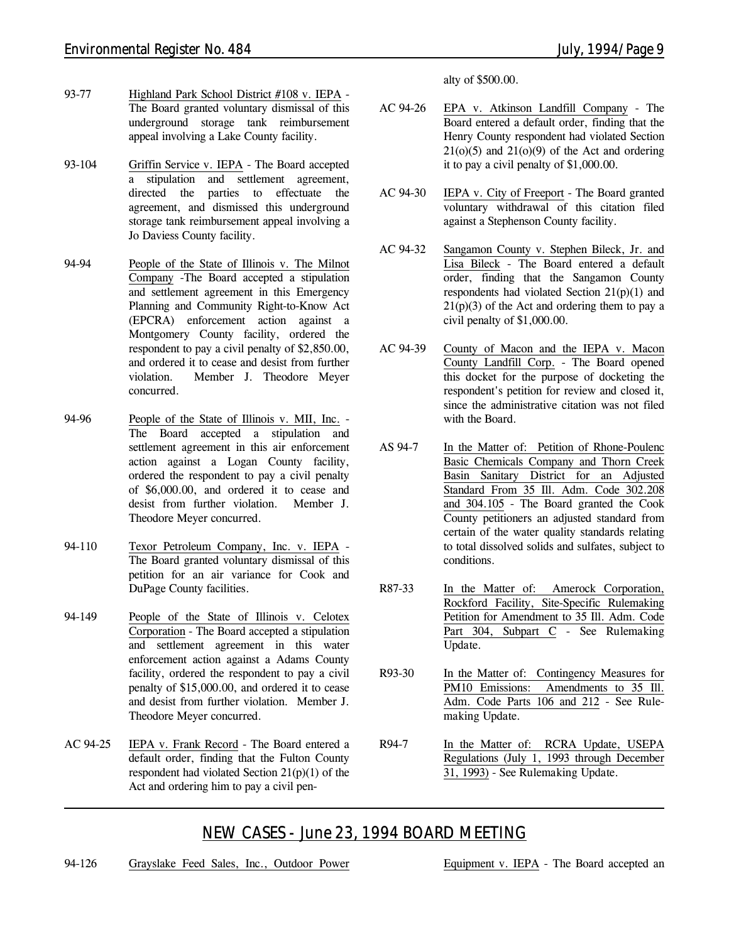- 93-77 Highland Park School District #108 v. IEPA The Board granted voluntary dismissal of this underground storage tank reimbursement appeal involving a Lake County facility.
- 93-104 Griffin Service v. IEPA The Board accepted a stipulation and settlement agreement, directed the parties to effectuate the agreement, and dismissed this underground storage tank reimbursement appeal involving a Jo Daviess County facility.
- 94-94 People of the State of Illinois v. The Milnot Company -The Board accepted a stipulation and settlement agreement in this Emergency Planning and Community Right-to-Know Act (EPCRA) enforcement action against a Montgomery County facility, ordered the respondent to pay a civil penalty of \$2,850.00, and ordered it to cease and desist from further violation. Member J. Theodore Meyer concurred.
- 94-96 People of the State of Illinois v. MII, Inc. The Board accepted a stipulation and settlement agreement in this air enforcement action against a Logan County facility, ordered the respondent to pay a civil penalty of \$6,000.00, and ordered it to cease and desist from further violation. Member J. Theodore Meyer concurred.
- 94-110 Texor Petroleum Company, Inc. v. IEPA The Board granted voluntary dismissal of this petition for an air variance for Cook and DuPage County facilities.
- 94-149 People of the State of Illinois v. Celotex Corporation - The Board accepted a stipulation and settlement agreement in this water enforcement action against a Adams County facility, ordered the respondent to pay a civil penalty of \$15,000.00, and ordered it to cease and desist from further violation. Member J. Theodore Meyer concurred.
- AC 94-25 IEPA v. Frank Record The Board entered a default order, finding that the Fulton County respondent had violated Section 21(p)(1) of the Act and ordering him to pay a civil pen-

alty of \$500.00.

- AC 94-26 EPA v. Atkinson Landfill Company The Board entered a default order, finding that the Henry County respondent had violated Section  $21(0)(5)$  and  $21(0)(9)$  of the Act and ordering it to pay a civil penalty of \$1,000.00.
- AC 94-30 IEPA v. City of Freeport The Board granted voluntary withdrawal of this citation filed against a Stephenson County facility.
- AC 94-32 Sangamon County v. Stephen Bileck, Jr. and Lisa Bileck - The Board entered a default order, finding that the Sangamon County respondents had violated Section 21(p)(1) and  $21(p)(3)$  of the Act and ordering them to pay a civil penalty of \$1,000.00.
- AC 94-39 County of Macon and the IEPA v. Macon County Landfill Corp. - The Board opened this docket for the purpose of docketing the respondent's petition for review and closed it, since the administrative citation was not filed with the Board.
- AS 94-7 In the Matter of: Petition of Rhone-Poulenc Basic Chemicals Company and Thorn Creek Basin Sanitary District for an Adjusted Standard From 35 Ill. Adm. Code 302.208 and 304.105 - The Board granted the Cook County petitioners an adjusted standard from certain of the water quality standards relating to total dissolved solids and sulfates, subject to conditions.
- R87-33 In the Matter of: Amerock Corporation, Rockford Facility, Site-Specific Rulemaking Petition for Amendment to 35 Ill. Adm. Code Part 304, Subpart C - *See Rulemaking Update.*
- R93-30 In the Matter of: Contingency Measures for PM10 Emissions: Amendments to 35 Ill. Adm. Code Parts 106 and 212 - *See Rulemaking Update.*
- R94-7 In the Matter of: RCRA Update, USEPA Regulations (July 1, 1993 through December 31, 1993) - *See Rulemaking Update.*

## *NEW CASES - June 23, 1994 BOARD MEETING*

94-126 Grayslake Feed Sales, Inc., Outdoor Power Equipment v. IEPA - The Board accepted an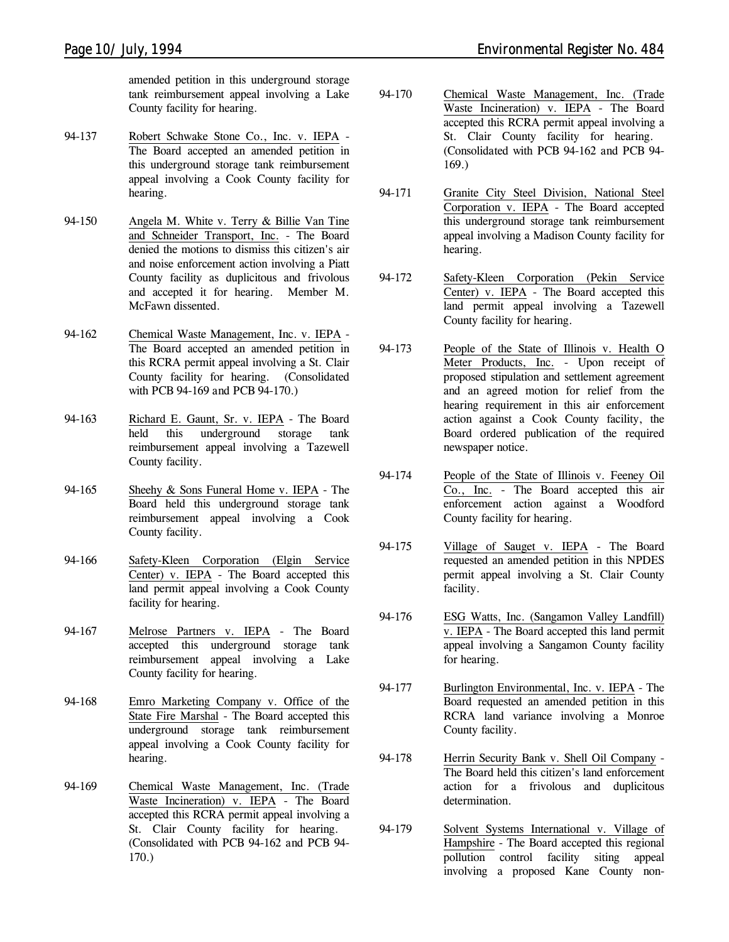amended petition in this underground storage tank reimbursement appeal involving a Lake County facility for hearing.

- 94-137 Robert Schwake Stone Co., Inc. v. IEPA The Board accepted an amended petition in this underground storage tank reimbursement appeal involving a Cook County facility for hearing.
- 94-150 Angela M. White v. Terry & Billie Van Tine and Schneider Transport, Inc. - The Board denied the motions to dismiss this citizen's air and noise enforcement action involving a Piatt County facility as duplicitous and frivolous and accepted it for hearing. Member M. McFawn dissented.
- 94-162 Chemical Waste Management, Inc. v. IEPA The Board accepted an amended petition in this RCRA permit appeal involving a St. Clair County facility for hearing. *(Consolidated with PCB 94-169 and PCB 94-170.)*
- 94-163 Richard E. Gaunt, Sr. v. IEPA The Board held this underground storage tank reimbursement appeal involving a Tazewell County facility.
- 94-165 Sheehy & Sons Funeral Home v. IEPA The Board held this underground storage tank reimbursement appeal involving a Cook County facility.
- 94-166 Safety-Kleen Corporation (Elgin Service Center) v. IEPA - The Board accepted this land permit appeal involving a Cook County facility for hearing.
- 94-167 Melrose Partners v. IEPA The Board accepted this underground storage tank reimbursement appeal involving a Lake County facility for hearing.
- 94-168 Emro Marketing Company v. Office of the State Fire Marshal - The Board accepted this underground storage tank reimbursement appeal involving a Cook County facility for hearing.
- 94-169 Chemical Waste Management, Inc. (Trade Waste Incineration) v. IEPA - The Board accepted this RCRA permit appeal involving a St. Clair County facility for hearing. *(Consolidated with PCB 94-162 and PCB 94- 170.)*
- 94-170 Chemical Waste Management, Inc. (Trade Waste Incineration) v. IEPA - The Board accepted this RCRA permit appeal involving a St. Clair County facility for hearing. *(Consolidated with PCB 94-162 and PCB 94- 169.)*
- 94-171 Granite City Steel Division, National Steel Corporation v. IEPA - The Board accepted this underground storage tank reimbursement appeal involving a Madison County facility for hearing.
- 94-172 Safety-Kleen Corporation (Pekin Service Center) v. IEPA - The Board accepted this land permit appeal involving a Tazewell County facility for hearing.
- 94-173 People of the State of Illinois v. Health O Meter Products, Inc. - Upon receipt of proposed stipulation and settlement agreement and an agreed motion for relief from the hearing requirement in this air enforcement action against a Cook County facility, the Board ordered publication of the required newspaper notice.
- 94-174 People of the State of Illinois v. Feeney Oil Co., Inc. - The Board accepted this air enforcement action against a Woodford County facility for hearing.
- 94-175 Village of Sauget v. IEPA The Board requested an amended petition in this NPDES permit appeal involving a St. Clair County facility.
- 94-176 ESG Watts, Inc. (Sangamon Valley Landfill) v. IEPA - The Board accepted this land permit appeal involving a Sangamon County facility for hearing.
- 94-177 Burlington Environmental, Inc. v. IEPA The Board requested an amended petition in this RCRA land variance involving a Monroe County facility.
- 94-178 Herrin Security Bank v. Shell Oil Company The Board held this citizen's land enforcement action for a frivolous and duplicitous determination.
- 94-179 Solvent Systems International v. Village of Hampshire - The Board accepted this regional pollution control facility siting appeal involving a proposed Kane County non-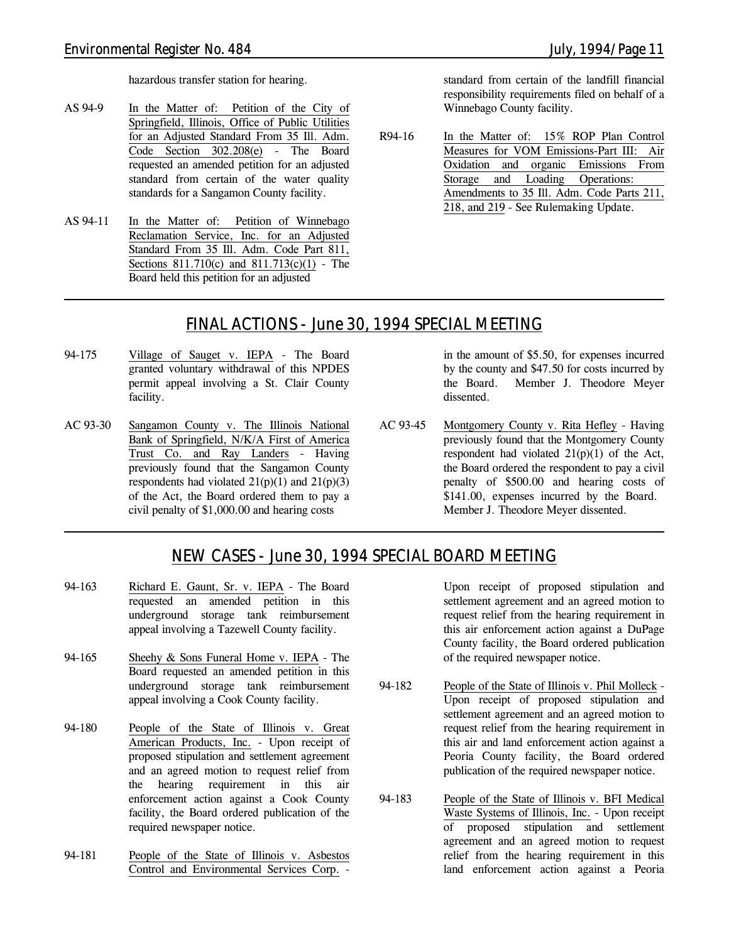hazardous transfer station for hearing.

- AS 94-9 In the Matter of: Petition of the City of Springfield, Illinois, Office of Public Utilities for an Adjusted Standard From 35 Ill. Adm. Code Section 302.208(e) - The Board requested an amended petition for an adjusted standard from certain of the water quality standards for a Sangamon County facility.
- AS 94-11 In the Matter of: Petition of Winnebago Reclamation Service, Inc. for an Adjusted Standard From 35 Ill. Adm. Code Part 811, Sections 811.710(c) and 811.713(c)(1) - The Board held this petition for an adjusted

standard from certain of the landfill financial responsibility requirements filed on behalf of a Winnebago County facility.

R94-16 In the Matter of: 15% ROP Plan Control Measures for VOM Emissions-Part III: Air Oxidation and organic Emissions From Storage and Loading Operations: Amendments to 35 Ill. Adm. Code Parts 211, 218, and 219 - *See Rulemaking Update.*

### *FINAL ACTIONS - June 30, 1994 SPECIAL MEETING*

- 94-175 Village of Sauget v. IEPA The Board granted voluntary withdrawal of this NPDES permit appeal involving a St. Clair County facility.
- AC 93-30 Sangamon County v. The Illinois National Bank of Springfield, N/K/A First of America Trust Co. and Ray Landers - Having previously found that the Sangamon County respondents had violated  $21(p)(1)$  and  $21(p)(3)$ of the Act, the Board ordered them to pay a civil penalty of \$1,000.00 and hearing costs

in the amount of \$5.50, for expenses incurred by the county and \$47.50 for costs incurred by the Board. Member J. Theodore Meyer dissented.

AC 93-45 Montgomery County v. Rita Hefley - Having previously found that the Montgomery County respondent had violated 21(p)(1) of the Act, the Board ordered the respondent to pay a civil penalty of \$500.00 and hearing costs of \$141.00, expenses incurred by the Board. Member J. Theodore Meyer dissented.

### *NEW CASES - June 30, 1994 SPECIAL BOARD MEETING*

- 94-163 Richard E. Gaunt, Sr. v. IEPA The Board requested an amended petition in this underground storage tank reimbursement appeal involving a Tazewell County facility.
- 94-165 Sheehy & Sons Funeral Home v. IEPA The Board requested an amended petition in this underground storage tank reimbursement appeal involving a Cook County facility.
- 94-180 People of the State of Illinois v. Great American Products, Inc. - Upon receipt of proposed stipulation and settlement agreement and an agreed motion to request relief from the hearing requirement in this air enforcement action against a Cook County facility, the Board ordered publication of the required newspaper notice.
- 94-181 People of the State of Illinois v. Asbestos Control and Environmental Services Corp. -

Upon receipt of proposed stipulation and settlement agreement and an agreed motion to request relief from the hearing requirement in this air enforcement action against a DuPage County facility, the Board ordered publication of the required newspaper notice.

- 94-182 People of the State of Illinois v. Phil Molleck Upon receipt of proposed stipulation and settlement agreement and an agreed motion to request relief from the hearing requirement in this air and land enforcement action against a Peoria County facility, the Board ordered publication of the required newspaper notice.
- 94-183 People of the State of Illinois v. BFI Medical Waste Systems of Illinois, Inc. - Upon receipt of proposed stipulation and settlement agreement and an agreed motion to request relief from the hearing requirement in this land enforcement action against a Peoria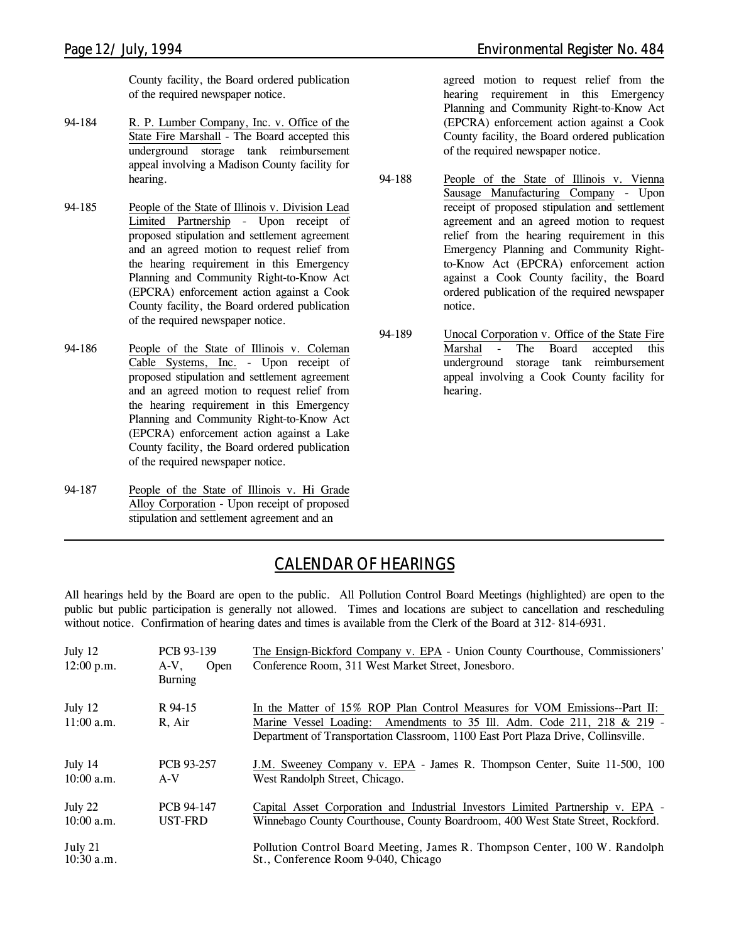County facility, the Board ordered publication of the required newspaper notice.

- 94-184 R. P. Lumber Company, Inc. v. Office of the State Fire Marshall - The Board accepted this underground storage tank reimbursement appeal involving a Madison County facility for hearing.
- 94-185 People of the State of Illinois v. Division Lead Limited Partnership - Upon receipt of proposed stipulation and settlement agreement and an agreed motion to request relief from the hearing requirement in this Emergency Planning and Community Right-to-Know Act (EPCRA) enforcement action against a Cook County facility, the Board ordered publication of the required newspaper notice.
- 94-186 People of the State of Illinois v. Coleman Cable Systems, Inc. - Upon receipt of proposed stipulation and settlement agreement and an agreed motion to request relief from the hearing requirement in this Emergency Planning and Community Right-to-Know Act (EPCRA) enforcement action against a Lake County facility, the Board ordered publication of the required newspaper notice.
- 94-187 People of the State of Illinois v. Hi Grade Alloy Corporation - Upon receipt of proposed stipulation and settlement agreement and an

agreed motion to request relief from the hearing requirement in this Emergency Planning and Community Right-to-Know Act (EPCRA) enforcement action against a Cook County facility, the Board ordered publication of the required newspaper notice.

- 94-188 People of the State of Illinois v. Vienna Sausage Manufacturing Company - Upon receipt of proposed stipulation and settlement agreement and an agreed motion to request relief from the hearing requirement in this Emergency Planning and Community Rightto-Know Act (EPCRA) enforcement action against a Cook County facility, the Board ordered publication of the required newspaper notice.
- 94-189 Unocal Corporation v. Office of the State Fire Marshal - The Board accepted this underground storage tank reimbursement appeal involving a Cook County facility for hearing.

## *CALENDAR OF HEARINGS*

All hearings held by the Board are open to the public. All Pollution Control Board Meetings (highlighted) are open to the public but public participation is generally not allowed. Times and locations are subject to cancellation and rescheduling without notice. Confirmation of hearing dates and times is available from the Clerk of the Board at 312-814-6931.

| July $12$<br>$12:00$ p.m. | PCB 93-139<br>$A-V$ ,<br>Open<br><b>Burning</b> | The Ensign-Bickford Company v. EPA - Union County Courthouse, Commissioners'<br>Conference Room, 311 West Market Street, Jonesboro.                                                                                                        |
|---------------------------|-------------------------------------------------|--------------------------------------------------------------------------------------------------------------------------------------------------------------------------------------------------------------------------------------------|
| July 12<br>$11:00$ a.m.   | R 94-15<br>R, Air                               | In the Matter of 15% ROP Plan Control Measures for VOM Emissions--Part II:<br>Marine Vessel Loading: Amendments to 35 Ill. Adm. Code 211, 218 & 219 -<br>Department of Transportation Classroom, 1100 East Port Plaza Drive, Collinsville. |
| July 14<br>$10:00$ a.m.   | PCB 93-257<br>$A-V$                             | J.M. Sweeney Company v. EPA - James R. Thompson Center, Suite 11-500, 100<br>West Randolph Street, Chicago.                                                                                                                                |
| July 22<br>$10:00$ a.m.   | <b>PCB 94-147</b><br>UST-FRD                    | Capital Asset Corporation and Industrial Investors Limited Partnership v. EPA -<br>Winnebago County Courthouse, County Boardroom, 400 West State Street, Rockford.                                                                         |
| July 21<br>$10:30$ a.m.   |                                                 | Pollution Control Board Meeting, James R. Thompson Center, 100 W. Randolph<br>St., Conference Room 9-040, Chicago                                                                                                                          |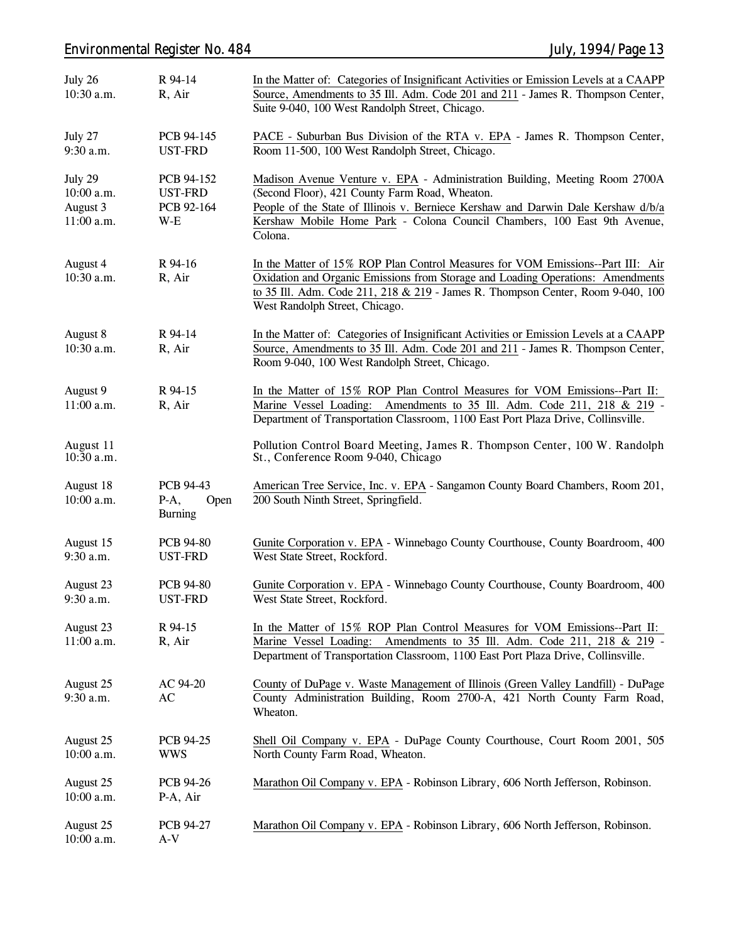### *Environmental Register No. 484 July, 1994/Page 13*

| July 26<br>10:30 a.m.                           | R 94-14<br>R, Air                                   | In the Matter of: Categories of Insignificant Activities or Emission Levels at a CAAPP<br>Source, Amendments to 35 Ill. Adm. Code 201 and 211 - James R. Thompson Center,<br>Suite 9-040, 100 West Randolph Street, Chicago.                                                                              |
|-------------------------------------------------|-----------------------------------------------------|-----------------------------------------------------------------------------------------------------------------------------------------------------------------------------------------------------------------------------------------------------------------------------------------------------------|
| July 27<br>9:30 a.m.                            | PCB 94-145<br>UST-FRD                               | PACE - Suburban Bus Division of the RTA v. EPA - James R. Thompson Center,<br>Room 11-500, 100 West Randolph Street, Chicago.                                                                                                                                                                             |
| July 29<br>10:00 a.m.<br>August 3<br>11:00 a.m. | PCB 94-152<br><b>UST-FRD</b><br>PCB 92-164<br>$W-E$ | Madison Avenue Venture v. EPA - Administration Building, Meeting Room 2700A<br>(Second Floor), 421 County Farm Road, Wheaton.<br>People of the State of Illinois v. Berniece Kershaw and Darwin Dale Kershaw d/b/a<br>Kershaw Mobile Home Park - Colona Council Chambers, 100 East 9th Avenue,<br>Colona. |
| August 4<br>10:30 a.m.                          | R 94-16<br>R, Air                                   | In the Matter of 15% ROP Plan Control Measures for VOM Emissions--Part III: Air<br>Oxidation and Organic Emissions from Storage and Loading Operations: Amendments<br>to 35 Ill. Adm. Code 211, 218 & 219 - James R. Thompson Center, Room 9-040, 100<br>West Randolph Street, Chicago.                   |
| August 8<br>10:30 a.m.                          | R 94-14<br>R, Air                                   | In the Matter of: Categories of Insignificant Activities or Emission Levels at a CAAPP<br>Source, Amendments to 35 Ill. Adm. Code 201 and 211 - James R. Thompson Center,<br>Room 9-040, 100 West Randolph Street, Chicago.                                                                               |
| August 9<br>11:00 a.m.                          | R 94-15<br>R, Air                                   | In the Matter of 15% ROP Plan Control Measures for VOM Emissions--Part II:<br>Marine Vessel Loading: Amendments to 35 Ill. Adm. Code 211, 218 & 219 -<br>Department of Transportation Classroom, 1100 East Port Plaza Drive, Collinsville.                                                                |
| August 11<br>$10:\bar{3}0$ a.m.                 |                                                     | Pollution Control Board Meeting, James R. Thompson Center, 100 W. Randolph<br>St., Conference Room 9-040, Chicago                                                                                                                                                                                         |
| August 18<br>10:00 a.m.                         | PCB 94-43<br>$P-A$ ,<br>Open<br><b>Burning</b>      | American Tree Service, Inc. v. EPA - Sangamon County Board Chambers, Room 201,<br>200 South Ninth Street, Springfield.                                                                                                                                                                                    |
| August 15<br>9:30 a.m.                          | <b>PCB 94-80</b><br><b>UST-FRD</b>                  | Gunite Corporation v. EPA - Winnebago County Courthouse, County Boardroom, 400<br>West State Street, Rockford.                                                                                                                                                                                            |
| August 23<br>9:30 a.m.                          | <b>PCB 94-80</b><br><b>UST-FRD</b>                  | Gunite Corporation v. EPA - Winnebago County Courthouse, County Boardroom, 400<br>West State Street, Rockford.                                                                                                                                                                                            |
| August 23<br>11:00 a.m.                         | R 94-15<br>R, Air                                   | In the Matter of 15% ROP Plan Control Measures for VOM Emissions--Part II:<br>Marine Vessel Loading:<br>Amendments to 35 Ill. Adm. Code 211, 218 & 219 -<br>Department of Transportation Classroom, 1100 East Port Plaza Drive, Collinsville.                                                             |
| August 25<br>9:30 a.m.                          | AC 94-20<br>AC                                      | County of DuPage v. Waste Management of Illinois (Green Valley Landfill) - DuPage<br>County Administration Building, Room 2700-A, 421 North County Farm Road,<br>Wheaton.                                                                                                                                 |
| August 25<br>10:00 a.m.                         | PCB 94-25<br><b>WWS</b>                             | Shell Oil Company v. EPA - DuPage County Courthouse, Court Room 2001, 505<br>North County Farm Road, Wheaton.                                                                                                                                                                                             |
| August 25<br>$10:00$ a.m.                       | PCB 94-26<br>P-A, Air                               | Marathon Oil Company v. EPA - Robinson Library, 606 North Jefferson, Robinson.                                                                                                                                                                                                                            |
| August 25<br>10:00 a.m.                         | PCB 94-27<br>$A-V$                                  | Marathon Oil Company v. EPA - Robinson Library, 606 North Jefferson, Robinson.                                                                                                                                                                                                                            |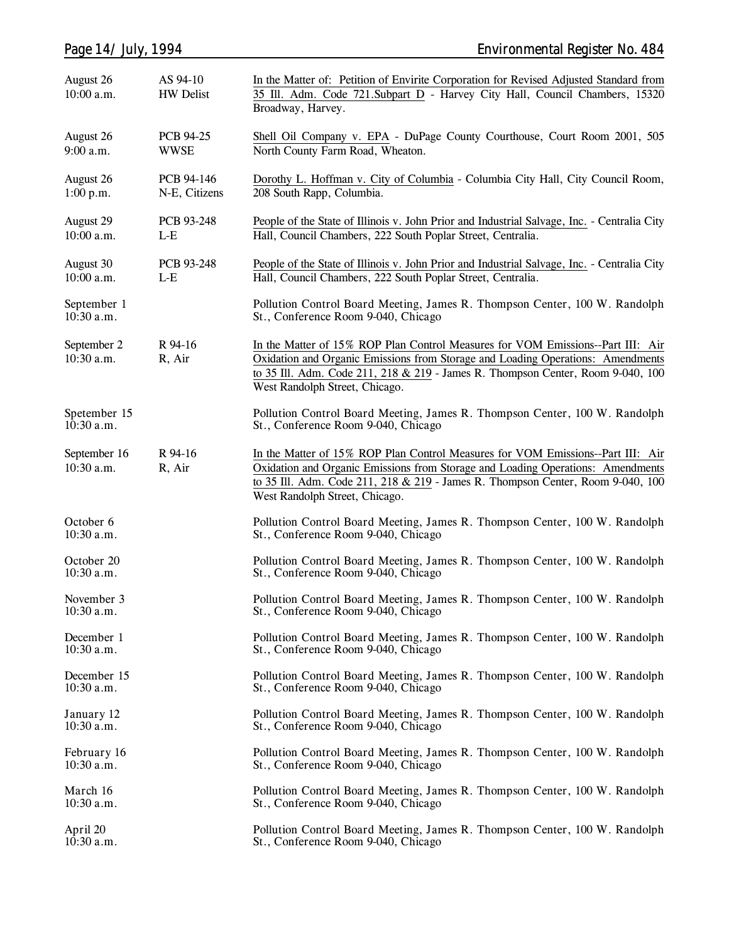| Page 14/ July, 1994         |                              | <b>Environmental Register No. 484</b>                                                                                                                                                                                                                                                   |
|-----------------------------|------------------------------|-----------------------------------------------------------------------------------------------------------------------------------------------------------------------------------------------------------------------------------------------------------------------------------------|
| August 26<br>10:00 a.m.     | AS 94-10<br><b>HW</b> Delist | In the Matter of: Petition of Envirite Corporation for Revised Adjusted Standard from<br>35 Ill. Adm. Code 721. Subpart D - Harvey City Hall, Council Chambers, 15320<br>Broadway, Harvey.                                                                                              |
| August 26<br>9:00 a.m.      | PCB 94-25<br><b>WWSE</b>     | Shell Oil Company v. EPA - DuPage County Courthouse, Court Room 2001, 505<br>North County Farm Road, Wheaton.                                                                                                                                                                           |
| August 26<br>1:00 p.m.      | PCB 94-146<br>N-E, Citizens  | Dorothy L. Hoffman v. City of Columbia - Columbia City Hall, City Council Room,<br>208 South Rapp, Columbia.                                                                                                                                                                            |
| August 29<br>10:00 a.m.     | PCB 93-248<br>$L-E$          | People of the State of Illinois v. John Prior and Industrial Salvage, Inc. - Centralia City<br>Hall, Council Chambers, 222 South Poplar Street, Centralia.                                                                                                                              |
| August 30<br>10:00 a.m.     | PCB 93-248<br>$L-E$          | People of the State of Illinois v. John Prior and Industrial Salvage, Inc. - Centralia City<br>Hall, Council Chambers, 222 South Poplar Street, Centralia.                                                                                                                              |
| September 1<br>$10:30$ a.m. |                              | Pollution Control Board Meeting, James R. Thompson Center, 100 W. Randolph<br>St., Conference Room 9-040, Chicago                                                                                                                                                                       |
| September 2<br>10:30 a.m.   | R 94-16<br>R, Air            | In the Matter of 15% ROP Plan Control Measures for VOM Emissions--Part III: Air<br>Oxidation and Organic Emissions from Storage and Loading Operations: Amendments<br>to 35 Ill. Adm. Code 211, 218 & 219 - James R. Thompson Center, Room 9-040, 100<br>West Randolph Street, Chicago. |
| Spetember 15<br>10:30 a.m.  |                              | Pollution Control Board Meeting, James R. Thompson Center, 100 W. Randolph<br>St., Conference Room 9-040, Chicago                                                                                                                                                                       |
| September 16<br>10:30 a.m.  | R 94-16<br>R, Air            | In the Matter of 15% ROP Plan Control Measures for VOM Emissions--Part III: Air<br>Oxidation and Organic Emissions from Storage and Loading Operations: Amendments<br>to 35 Ill. Adm. Code 211, 218 & 219 - James R. Thompson Center, Room 9-040, 100<br>West Randolph Street, Chicago. |
| October 6<br>10:30 a.m.     |                              | Pollution Control Board Meeting, James R. Thompson Center, 100 W. Randolph<br>St., Conference Room 9-040, Chicago                                                                                                                                                                       |
| October 20<br>$10:30$ a.m.  |                              | Pollution Control Board Meeting, James R. Thompson Center, 100 W. Randolph<br>St., Conference Room 9-040, Chicago                                                                                                                                                                       |
| November 3<br>$10:30$ a.m.  |                              | Pollution Control Board Meeting, James R. Thompson Center, 100 W. Randolph<br>St., Conference Room 9-040, Chicago                                                                                                                                                                       |
| December 1<br>$10:30$ a.m.  |                              | Pollution Control Board Meeting, James R. Thompson Center, 100 W. Randolph<br>St., Conference Room 9-040, Chicago                                                                                                                                                                       |
| December 15<br>$10:30$ a.m. |                              | Pollution Control Board Meeting, James R. Thompson Center, 100 W. Randolph<br>St., Conference Room 9-040, Chicago                                                                                                                                                                       |
| January 12<br>$10:30$ a.m.  |                              | Pollution Control Board Meeting, James R. Thompson Center, 100 W. Randolph<br>St., Conference Room 9-040, Chicago                                                                                                                                                                       |
| February 16<br>$10:30$ a.m. |                              | Pollution Control Board Meeting, James R. Thompson Center, 100 W. Randolph<br>St., Conference Room 9-040, Chicago                                                                                                                                                                       |
| March 16<br>$10:30$ a.m.    |                              | Pollution Control Board Meeting, James R. Thompson Center, 100 W. Randolph<br>St., Conference Room 9-040, Chicago                                                                                                                                                                       |
| April 20<br>10:30 a.m.      |                              | Pollution Control Board Meeting, James R. Thompson Center, 100 W. Randolph<br>St., Conference Room 9-040, Chicago                                                                                                                                                                       |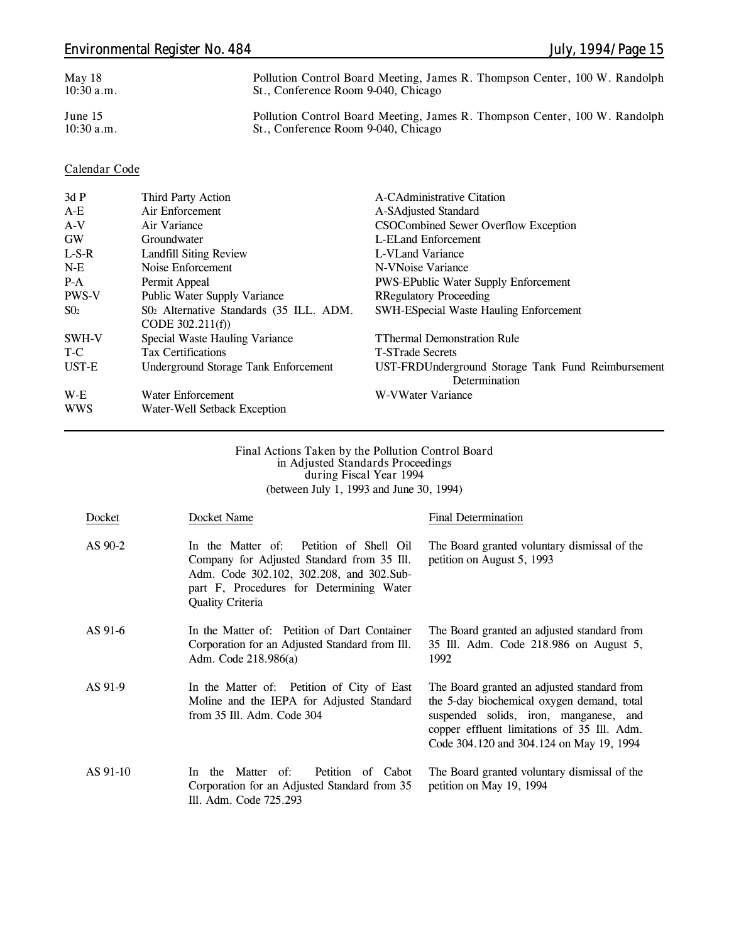| May 18<br>$10:30$ a.m.    | Pollution Control Board Meeting, James R. Thompson Center, 100 W. Randolph<br>St., Conference Room 9-040, Chicago |  |  |
|---------------------------|-------------------------------------------------------------------------------------------------------------------|--|--|
| June $15$<br>$10:30$ a.m. | Pollution Control Board Meeting, James R. Thompson Center, 100 W. Randolph<br>St., Conference Room 9-040, Chicago |  |  |

### **Calendar Code**

| 3dP          | Third Party Action                          | A-CAdministrative Citation                         |
|--------------|---------------------------------------------|----------------------------------------------------|
| $A-E$        | Air Enforcement                             | A-SAdjusted Standard                               |
| $A-V$        | Air Variance                                | CSOCombined Sewer Overflow Exception               |
| <b>GW</b>    | Groundwater                                 | L-ELand Enforcement                                |
| $L-S-R$      | Landfill Siting Review                      | L-VLand Variance                                   |
| $N-E$        | Noise Enforcement                           | N-VNoise Variance                                  |
| $P-A$        | Permit Appeal                               | <b>PWS-EPublic Water Supply Enforcement</b>        |
| <b>PWS-V</b> | Public Water Supply Variance                | <b>RRegulatory Proceeding</b>                      |
| $S_{02}$     | S02 Alternative Standards (35 ILL. ADM.     | <b>SWH-ESpecial Waste Hauling Enforcement</b>      |
|              | CODE $302.211(f)$                           |                                                    |
| SWH-V        | Special Waste Hauling Variance              | <b>TThermal Demonstration Rule</b>                 |
| T-C          | <b>Tax Certifications</b>                   | <b>T-STrade Secrets</b>                            |
| UST-E        | <b>Underground Storage Tank Enforcement</b> | UST-FRDUnderground Storage Tank Fund Reimbursement |
|              |                                             | Determination                                      |
| W-E          | Water Enforcement                           | W-VWater Variance                                  |
| <b>WWS</b>   | Water-Well Setback Exception                |                                                    |

#### **Final Actions Taken by the Pollution Control Board in Adjusted Standards Proceedings during Fiscal Year 1994** (between July 1, 1993 and June 30, 1994)

| Docket   | Docket Name                                                                                                                                                                                                 | <b>Final Determination</b>                                                                                                                                                                                                     |
|----------|-------------------------------------------------------------------------------------------------------------------------------------------------------------------------------------------------------------|--------------------------------------------------------------------------------------------------------------------------------------------------------------------------------------------------------------------------------|
| AS 90-2  | In the Matter of:<br>Petition of Shell Oil<br>Company for Adjusted Standard from 35 Ill.<br>Adm. Code 302.102, 302.208, and 302.Sub-<br>part F, Procedures for Determining Water<br><b>Quality Criteria</b> | The Board granted voluntary dismissal of the<br>petition on August 5, 1993                                                                                                                                                     |
| AS 91-6  | In the Matter of: Petition of Dart Container<br>Corporation for an Adjusted Standard from Ill.<br>Adm. Code 218.986(a)                                                                                      | The Board granted an adjusted standard from<br>35 III. Adm. Code 218.986 on August 5,<br>1992                                                                                                                                  |
| AS 91-9  | In the Matter of: Petition of City of East<br>Moline and the IEPA for Adjusted Standard<br>from 35 Ill. Adm. Code 304                                                                                       | The Board granted an adjusted standard from<br>the 5-day biochemical oxygen demand, total<br>suspended solids, iron, manganese, and<br>copper effluent limitations of 35 Ill. Adm.<br>Code 304.120 and 304.124 on May 19, 1994 |
| AS 91-10 | Petition<br>Matter of:<br>of Cabot<br>the<br>In.<br>Corporation for an Adjusted Standard from 35<br>Ill. Adm. Code 725.293                                                                                  | The Board granted voluntary dismissal of the<br>petition on May 19, 1994                                                                                                                                                       |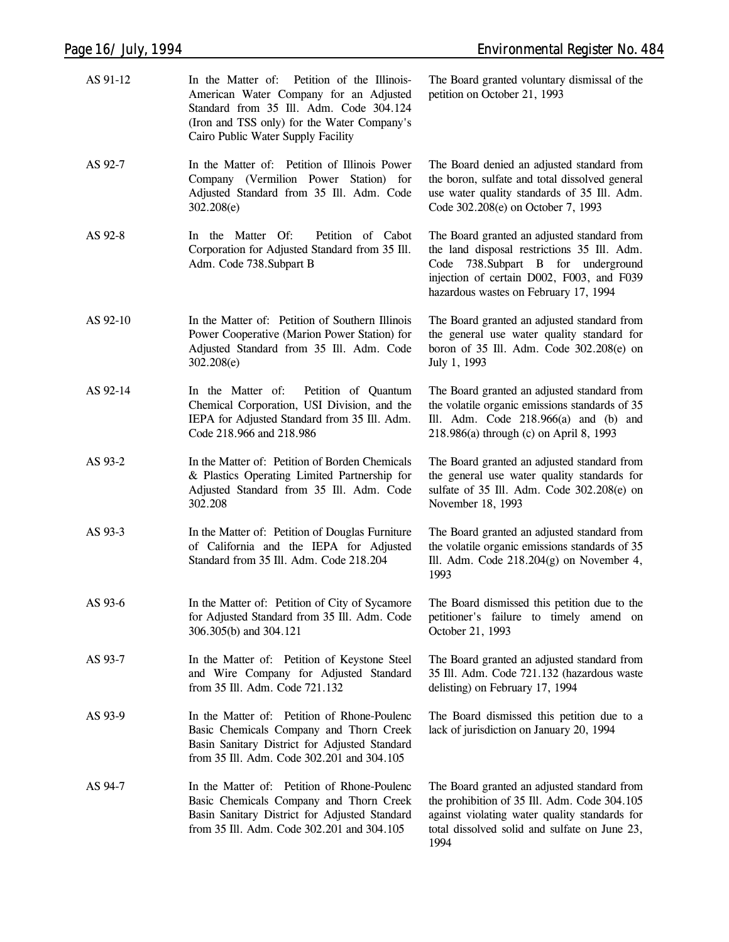| AS 91-12 | In the Matter of: Petition of the Illinois-<br>American Water Company for an Adjusted<br>Standard from 35 Ill. Adm. Code 304.124<br>(Iron and TSS only) for the Water Company's<br>Cairo Public Water Supply Facility | The Board granted voluntary dismissal of the<br>petition on October 21, 1993                                                                                                                                            |
|----------|-----------------------------------------------------------------------------------------------------------------------------------------------------------------------------------------------------------------------|-------------------------------------------------------------------------------------------------------------------------------------------------------------------------------------------------------------------------|
| AS 92-7  | In the Matter of: Petition of Illinois Power<br>Company (Vermilion Power Station) for<br>Adjusted Standard from 35 Ill. Adm. Code<br>302.208(e)                                                                       | The Board denied an adjusted standard from<br>the boron, sulfate and total dissolved general<br>use water quality standards of 35 Ill. Adm.<br>Code 302.208(e) on October 7, 1993                                       |
| AS 92-8  | In the Matter Of:<br>Petition of Cabot<br>Corporation for Adjusted Standard from 35 Ill.<br>Adm. Code 738. Subpart B                                                                                                  | The Board granted an adjusted standard from<br>the land disposal restrictions 35 Ill. Adm.<br>Code 738. Subpart B for underground<br>injection of certain D002, F003, and F039<br>hazardous wastes on February 17, 1994 |
| AS 92-10 | In the Matter of: Petition of Southern Illinois<br>Power Cooperative (Marion Power Station) for<br>Adjusted Standard from 35 Ill. Adm. Code<br>302.208(e)                                                             | The Board granted an adjusted standard from<br>the general use water quality standard for<br>boron of 35 Ill. Adm. Code 302.208(e) on<br>July 1, 1993                                                                   |
| AS 92-14 | In the Matter of:<br>Petition of Quantum<br>Chemical Corporation, USI Division, and the<br>IEPA for Adjusted Standard from 35 Ill. Adm.<br>Code 218.966 and 218.986                                                   | The Board granted an adjusted standard from<br>the volatile organic emissions standards of 35<br>Ill. Adm. Code $218.966(a)$ and (b) and<br>218.986(a) through (c) on April 8, 1993                                     |
| AS 93-2  | In the Matter of: Petition of Borden Chemicals<br>& Plastics Operating Limited Partnership for<br>Adjusted Standard from 35 Ill. Adm. Code<br>302.208                                                                 | The Board granted an adjusted standard from<br>the general use water quality standards for<br>sulfate of 35 Ill. Adm. Code 302.208(e) on<br>November 18, 1993                                                           |
| AS 93-3  | In the Matter of: Petition of Douglas Furniture<br>of California and the IEPA for Adjusted<br>Standard from 35 Ill. Adm. Code 218.204                                                                                 | The Board granted an adjusted standard from<br>the volatile organic emissions standards of 35<br>Ill. Adm. Code $218.204(g)$ on November 4,<br>1993                                                                     |
| AS 93-6  | In the Matter of: Petition of City of Sycamore<br>for Adjusted Standard from 35 Ill. Adm. Code<br>306.305(b) and 304.121                                                                                              | The Board dismissed this petition due to the<br>petitioner's failure to timely amend on<br>October 21, 1993                                                                                                             |
| AS 93-7  | In the Matter of: Petition of Keystone Steel<br>and Wire Company for Adjusted Standard<br>from 35 Ill. Adm. Code 721.132                                                                                              | The Board granted an adjusted standard from<br>35 Ill. Adm. Code 721.132 (hazardous waste<br>delisting) on February 17, 1994                                                                                            |
| AS 93-9  | In the Matter of: Petition of Rhone-Poulenc<br>Basic Chemicals Company and Thorn Creek<br>Basin Sanitary District for Adjusted Standard<br>from 35 Ill. Adm. Code 302.201 and 304.105                                 | The Board dismissed this petition due to a<br>lack of jurisdiction on January 20, 1994                                                                                                                                  |
| AS 94-7  | In the Matter of: Petition of Rhone-Poulenc<br>Basic Chemicals Company and Thorn Creek<br>Basin Sanitary District for Adjusted Standard<br>from 35 Ill. Adm. Code 302.201 and 304.105                                 | The Board granted an adjusted standard from<br>the prohibition of 35 Ill. Adm. Code 304.105<br>against violating water quality standards for<br>total dissolved solid and sulfate on June 23,<br>1994                   |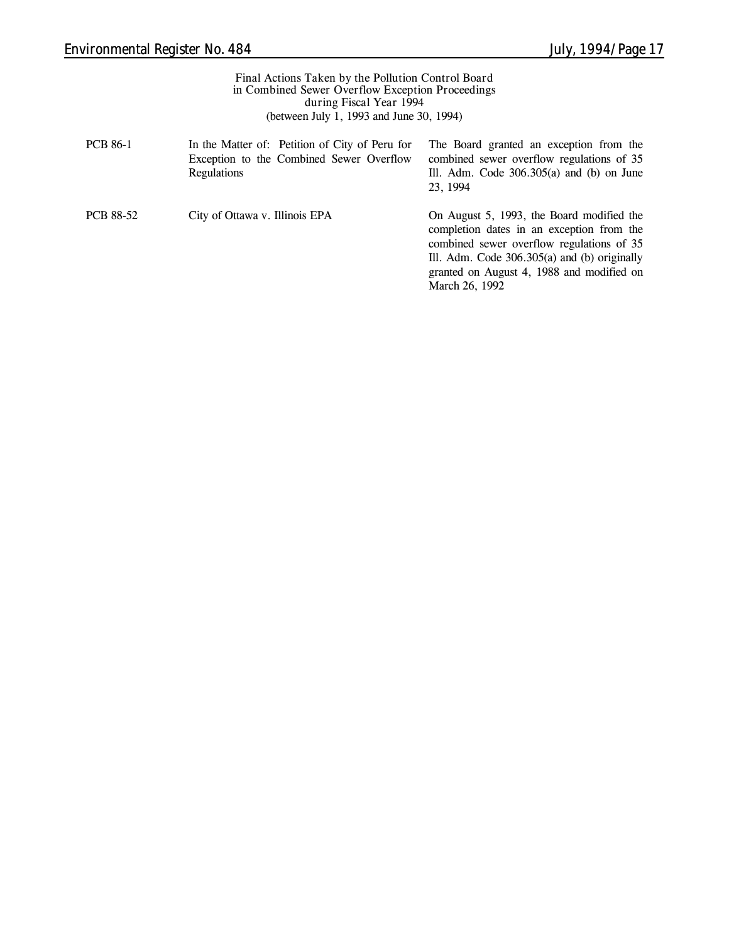| Final Actions Taken by the Pollution Control Board<br>in Combined Sewer Overflow Exception Proceedings<br>during Fiscal Year 1994<br>(between July 1, 1993 and June 30, 1994) |                                                                                                           |                                                                                                                                                                                                                                    |  |
|-------------------------------------------------------------------------------------------------------------------------------------------------------------------------------|-----------------------------------------------------------------------------------------------------------|------------------------------------------------------------------------------------------------------------------------------------------------------------------------------------------------------------------------------------|--|
| <b>PCB 86-1</b>                                                                                                                                                               | In the Matter of: Petition of City of Peru for<br>Exception to the Combined Sewer Overflow<br>Regulations | The Board granted an exception from the<br>combined sewer overflow regulations of 35<br>Ill. Adm. Code $306.305(a)$ and (b) on June<br>23, 1994                                                                                    |  |
| <b>PCB 88-52</b>                                                                                                                                                              | City of Ottawa v. Illinois EPA                                                                            | On August 5, 1993, the Board modified the<br>completion dates in an exception from the<br>combined sewer overflow regulations of 35<br>Ill. Adm. Code $306.305(a)$ and (b) originally<br>granted on August 4, 1988 and modified on |  |

March 26, 1992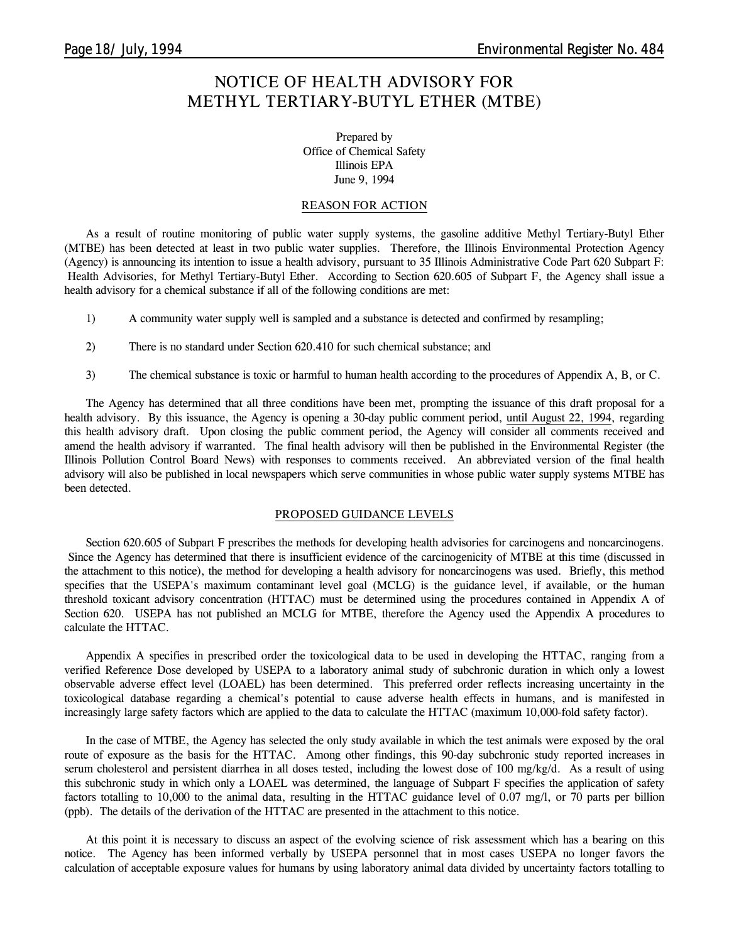### **NOTICE OF HEALTH ADVISORY FOR METHYL TERTIARY-BUTYL ETHER (MTBE)**

Prepared by Office of Chemical Safety Illinois EPA June 9, 1994

#### **REASON FOR ACTION**

As a result of routine monitoring of public water supply systems, the gasoline additive Methyl Tertiary-Butyl Ether (MTBE) has been detected at least in two public water supplies. Therefore, the Illinois Environmental Protection Agency (Agency) is announcing its intention to issue a health advisory, pursuant to 35 Illinois Administrative Code Part 620 Subpart F: Health Advisories, for Methyl Tertiary-Butyl Ether. According to Section 620.605 of Subpart F, the Agency shall issue a health advisory for a chemical substance if all of the following conditions are met:

- 1) A community water supply well is sampled and a substance is detected and confirmed by resampling;
- 2) There is no standard under Section 620.410 for such chemical substance; and
- 3) The chemical substance is toxic or harmful to human health according to the procedures of Appendix A, B, or C.

The Agency has determined that all three conditions have been met, prompting the issuance of this draft proposal for a health advisory. By this issuance, the Agency is opening a 30-day public comment period, until August 22, 1994, regarding this health advisory draft. Upon closing the public comment period, the Agency will consider all comments received and amend the health advisory if warranted. The final health advisory will then be published in the Environmental Register (the Illinois Pollution Control Board News) with responses to comments received. An abbreviated version of the final health advisory will also be published in local newspapers which serve communities in whose public water supply systems MTBE has been detected.

#### **PROPOSED GUIDANCE LEVELS**

Section 620.605 of Subpart F prescribes the methods for developing health advisories for carcinogens and noncarcinogens. Since the Agency has determined that there is insufficient evidence of the carcinogenicity of MTBE at this time (discussed in the attachment to this notice), the method for developing a health advisory for noncarcinogens was used. Briefly, this method specifies that the USEPA's maximum contaminant level goal (MCLG) is the guidance level, if available, or the human threshold toxicant advisory concentration (HTTAC) must be determined using the procedures contained in Appendix A of Section 620. USEPA has not published an MCLG for MTBE, therefore the Agency used the Appendix A procedures to calculate the HTTAC.

Appendix A specifies in prescribed order the toxicological data to be used in developing the HTTAC, ranging from a verified Reference Dose developed by USEPA to a laboratory animal study of subchronic duration in which only a lowest observable adverse effect level (LOAEL) has been determined. This preferred order reflects increasing uncertainty in the toxicological database regarding a chemical's potential to cause adverse health effects in humans, and is manifested in increasingly large safety factors which are applied to the data to calculate the HTTAC (maximum 10,000-fold safety factor).

In the case of MTBE, the Agency has selected the only study available in which the test animals were exposed by the oral route of exposure as the basis for the HTTAC. Among other findings, this 90-day subchronic study reported increases in serum cholesterol and persistent diarrhea in all doses tested, including the lowest dose of 100 mg/kg/d. As a result of using this subchronic study in which only a LOAEL was determined, the language of Subpart F specifies the application of safety factors totalling to 10,000 to the animal data, resulting in the HTTAC guidance level of 0.07 mg/l, or 70 parts per billion (ppb). The details of the derivation of the HTTAC are presented in the attachment to this notice.

At this point it is necessary to discuss an aspect of the evolving science of risk assessment which has a bearing on this notice. The Agency has been informed verbally by USEPA personnel that in most cases USEPA no longer favors the calculation of acceptable exposure values for humans by using laboratory animal data divided by uncertainty factors totalling to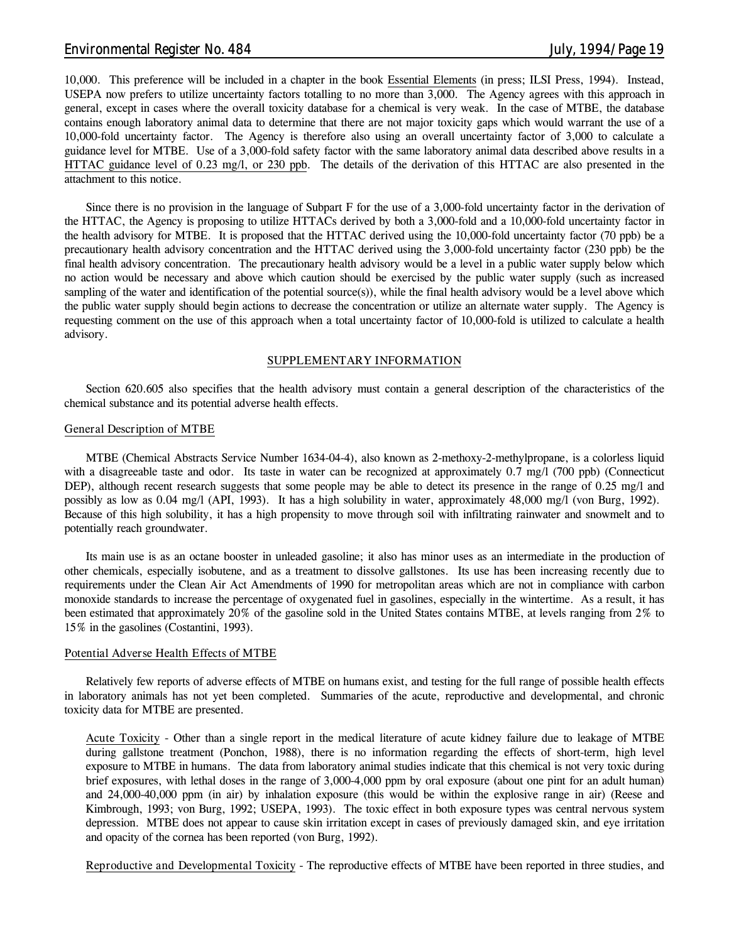### *Environmental Register No. 484 July, 1994/Page 19*

10,000. This preference will be included in a chapter in the book Essential Elements (in press; ILSI Press, 1994). Instead, USEPA now prefers to utilize uncertainty factors totalling to no more than 3,000. The Agency agrees with this approach in general, except in cases where the overall toxicity database for a chemical is very weak. In the case of MTBE, the database contains enough laboratory animal data to determine that there are not major toxicity gaps which would warrant the use of a 10,000-fold uncertainty factor. The Agency is therefore also using an overall uncertainty factor of 3,000 to calculate a guidance level for MTBE. Use of a 3,000-fold safety factor with the same laboratory animal data described above results in a HTTAC guidance level of 0.23 mg/l, or 230 ppb. The details of the derivation of this HTTAC are also presented in the attachment to this notice.

Since there is no provision in the language of Subpart F for the use of a 3,000-fold uncertainty factor in the derivation of the HTTAC, the Agency is proposing to utilize HTTACs derived by both a 3,000-fold and a 10,000-fold uncertainty factor in the health advisory for MTBE. It is proposed that the HTTAC derived using the 10,000-fold uncertainty factor (70 ppb) be a precautionary health advisory concentration and the HTTAC derived using the 3,000-fold uncertainty factor (230 ppb) be the final health advisory concentration. The precautionary health advisory would be a level in a public water supply below which no action would be necessary and above which caution should be exercised by the public water supply (such as increased sampling of the water and identification of the potential source(s)), while the final health advisory would be a level above which the public water supply should begin actions to decrease the concentration or utilize an alternate water supply. The Agency is requesting comment on the use of this approach when a total uncertainty factor of 10,000-fold is utilized to calculate a health advisory.

#### **SUPPLEMENTARY INFORMATION**

Section 620.605 also specifies that the health advisory must contain a general description of the characteristics of the chemical substance and its potential adverse health effects.

#### **General Description of MTBE**

MTBE (Chemical Abstracts Service Number 1634-04-4), also known as 2-methoxy-2-methylpropane, is a colorless liquid with a disagreeable taste and odor. Its taste in water can be recognized at approximately 0.7 mg/l (700 ppb) (Connecticut DEP), although recent research suggests that some people may be able to detect its presence in the range of 0.25 mg/l and possibly as low as 0.04 mg/l (API, 1993). It has a high solubility in water, approximately 48,000 mg/l (von Burg, 1992). Because of this high solubility, it has a high propensity to move through soil with infiltrating rainwater and snowmelt and to potentially reach groundwater.

Its main use is as an octane booster in unleaded gasoline; it also has minor uses as an intermediate in the production of other chemicals, especially isobutene, and as a treatment to dissolve gallstones. Its use has been increasing recently due to requirements under the Clean Air Act Amendments of 1990 for metropolitan areas which are not in compliance with carbon monoxide standards to increase the percentage of oxygenated fuel in gasolines, especially in the wintertime. As a result, it has been estimated that approximately 20% of the gasoline sold in the United States contains MTBE, at levels ranging from 2% to 15% in the gasolines (Costantini, 1993).

### **Potential Adverse Health Effects of MTBE**

Relatively few reports of adverse effects of MTBE on humans exist, and testing for the full range of possible health effects in laboratory animals has not yet been completed. Summaries of the acute, reproductive and developmental, and chronic toxicity data for MTBE are presented.

**Acute Toxicity** - Other than a single report in the medical literature of acute kidney failure due to leakage of MTBE during gallstone treatment (Ponchon, 1988), there is no information regarding the effects of short-term, high level exposure to MTBE in humans. The data from laboratory animal studies indicate that this chemical is not very toxic during brief exposures, with lethal doses in the range of 3,000-4,000 ppm by oral exposure (about one pint for an adult human) and 24,000-40,000 ppm (in air) by inhalation exposure (this would be within the explosive range in air) (Reese and Kimbrough, 1993; von Burg, 1992; USEPA, 1993). The toxic effect in both exposure types was central nervous system depression. MTBE does not appear to cause skin irritation except in cases of previously damaged skin, and eye irritation and opacity of the cornea has been reported (von Burg, 1992).

**Reproductive and Developmental Toxicity** - The reproductive effects of MTBE have been reported in three studies, and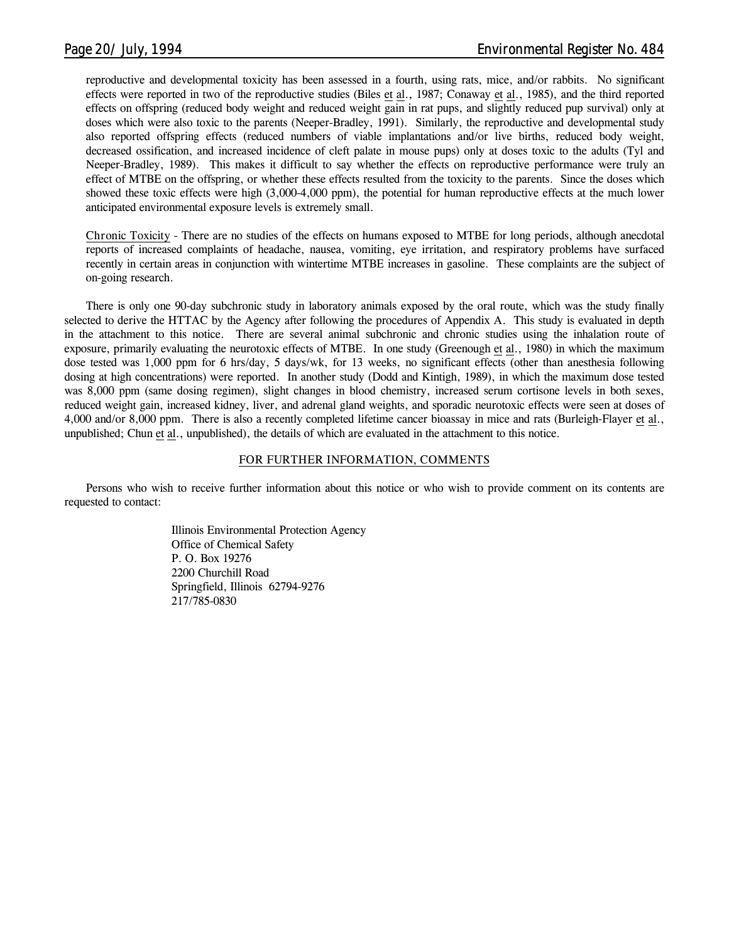reproductive and developmental toxicity has been assessed in a fourth, using rats, mice, and/or rabbits. No significant effects were reported in two of the reproductive studies (Biles et al., 1987; Conaway et al., 1985), and the third reported effects on offspring (reduced body weight and reduced weight gain in rat pups, and slightly reduced pup survival) only at doses which were also toxic to the parents (Neeper-Bradley, 1991). Similarly, the reproductive and developmental study also reported offspring effects (reduced numbers of viable implantations and/or live births, reduced body weight, decreased ossification, and increased incidence of cleft palate in mouse pups) only at doses toxic to the adults (Tyl and Neeper-Bradley, 1989). This makes it difficult to say whether the effects on reproductive performance were truly an effect of MTBE on the offspring, or whether these effects resulted from the toxicity to the parents. Since the doses which showed these toxic effects were high (3,000-4,000 ppm), the potential for human reproductive effects at the much lower anticipated environmental exposure levels is extremely small.

**Chronic Toxicity** - There are no studies of the effects on humans exposed to MTBE for long periods, although anecdotal reports of increased complaints of headache, nausea, vomiting, eye irritation, and respiratory problems have surfaced recently in certain areas in conjunction with wintertime MTBE increases in gasoline. These complaints are the subject of on-going research.

There is only one 90-day subchronic study in laboratory animals exposed by the oral route, which was the study finally selected to derive the HTTAC by the Agency after following the procedures of Appendix A. This study is evaluated in depth in the attachment to this notice. There are several animal subchronic and chronic studies using the inhalation route of exposure, primarily evaluating the neurotoxic effects of MTBE. In one study (Greenough et al., 1980) in which the maximum dose tested was 1,000 ppm for 6 hrs/day, 5 days/wk, for 13 weeks, no significant effects (other than anesthesia following dosing at high concentrations) were reported. In another study (Dodd and Kintigh, 1989), in which the maximum dose tested was 8,000 ppm (same dosing regimen), slight changes in blood chemistry, increased serum cortisone levels in both sexes, reduced weight gain, increased kidney, liver, and adrenal gland weights, and sporadic neurotoxic effects were seen at doses of 4,000 and/or 8,000 ppm. There is also a recently completed lifetime cancer bioassay in mice and rats (Burleigh-Flayer et al., unpublished; Chun et al., unpublished), the details of which are evaluated in the attachment to this notice.

### **FOR FURTHER INFORMATION, COMMENTS**

Persons who wish to receive further information about this notice or who wish to provide comment on its contents are requested to contact:

> Illinois Environmental Protection Agency Office of Chemical Safety P. O. Box 19276 2200 Churchill Road Springfield, Illinois 62794-9276 217/785-0830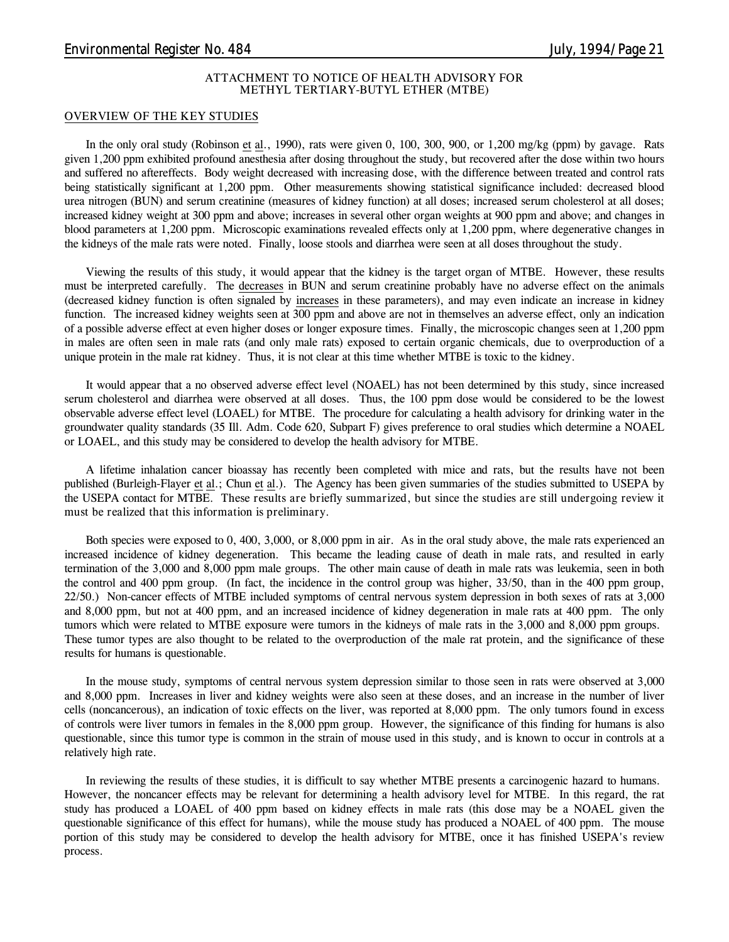#### **ATTACHMENT TO NOTICE OF HEALTH ADVISORY FOR METHYL TERTIARY-BUTYL ETHER (MTBE)**

#### **OVERVIEW OF THE KEY STUDIES**

In the only oral study (Robinson et al., 1990), rats were given 0, 100, 300, 900, or 1,200 mg/kg (ppm) by gavage. Rats given 1,200 ppm exhibited profound anesthesia after dosing throughout the study, but recovered after the dose within two hours and suffered no aftereffects. Body weight decreased with increasing dose, with the difference between treated and control rats being statistically significant at 1,200 ppm. Other measurements showing statistical significance included: decreased blood urea nitrogen (BUN) and serum creatinine (measures of kidney function) at all doses; increased serum cholesterol at all doses; increased kidney weight at 300 ppm and above; increases in several other organ weights at 900 ppm and above; and changes in blood parameters at 1,200 ppm. Microscopic examinations revealed effects only at 1,200 ppm, where degenerative changes in the kidneys of the male rats were noted. Finally, loose stools and diarrhea were seen at all doses throughout the study.

Viewing the results of this study, it would appear that the kidney is the target organ of MTBE. However, these results must be interpreted carefully. The decreases in BUN and serum creatinine probably have no adverse effect on the animals (decreased kidney function is often signaled by increases in these parameters), and may even indicate an increase in kidney function. The increased kidney weights seen at 300 ppm and above are not in themselves an adverse effect, only an indication of a possible adverse effect at even higher doses or longer exposure times. Finally, the microscopic changes seen at 1,200 ppm in males are often seen in male rats (and only male rats) exposed to certain organic chemicals, due to overproduction of a unique protein in the male rat kidney. Thus, it is not clear at this time whether MTBE is toxic to the kidney.

It would appear that a no observed adverse effect level (NOAEL) has not been determined by this study, since increased serum cholesterol and diarrhea were observed at all doses. Thus, the 100 ppm dose would be considered to be the lowest observable adverse effect level (LOAEL) for MTBE. The procedure for calculating a health advisory for drinking water in the groundwater quality standards (35 Ill. Adm. Code 620, Subpart F) gives preference to oral studies which determine a NOAEL or LOAEL, and this study may be considered to develop the health advisory for MTBE.

A lifetime inhalation cancer bioassay has recently been completed with mice and rats, but the results have not been published (Burleigh-Flayer et al.; Chun et al.). The Agency has been given summaries of the studies submitted to USEPA by the USEPA contact for MTBE. **These results are briefly summarized, but since the studies are still undergoing review it must be realized that this information is preliminary**.

Both species were exposed to 0, 400, 3,000, or 8,000 ppm in air. As in the oral study above, the male rats experienced an increased incidence of kidney degeneration. This became the leading cause of death in male rats, and resulted in early termination of the 3,000 and 8,000 ppm male groups. The other main cause of death in male rats was leukemia, seen in both the control and 400 ppm group. (In fact, the incidence in the control group was higher, 33/50, than in the 400 ppm group, 22/50.) Non-cancer effects of MTBE included symptoms of central nervous system depression in both sexes of rats at 3,000 and 8,000 ppm, but not at 400 ppm, and an increased incidence of kidney degeneration in male rats at 400 ppm. The only tumors which were related to MTBE exposure were tumors in the kidneys of male rats in the 3,000 and 8,000 ppm groups. These tumor types are also thought to be related to the overproduction of the male rat protein, and the significance of these results for humans is questionable.

In the mouse study, symptoms of central nervous system depression similar to those seen in rats were observed at 3,000 and 8,000 ppm. Increases in liver and kidney weights were also seen at these doses, and an increase in the number of liver cells (noncancerous), an indication of toxic effects on the liver, was reported at 8,000 ppm. The only tumors found in excess of controls were liver tumors in females in the 8,000 ppm group. However, the significance of this finding for humans is also questionable, since this tumor type is common in the strain of mouse used in this study, and is known to occur in controls at a relatively high rate.

In reviewing the results of these studies, it is difficult to say whether MTBE presents a carcinogenic hazard to humans. However, the noncancer effects may be relevant for determining a health advisory level for MTBE. In this regard, the rat study has produced a LOAEL of 400 ppm based on kidney effects in male rats (this dose may be a NOAEL given the questionable significance of this effect for humans), while the mouse study has produced a NOAEL of 400 ppm. The mouse portion of this study may be considered to develop the health advisory for MTBE, once it has finished USEPA's review process.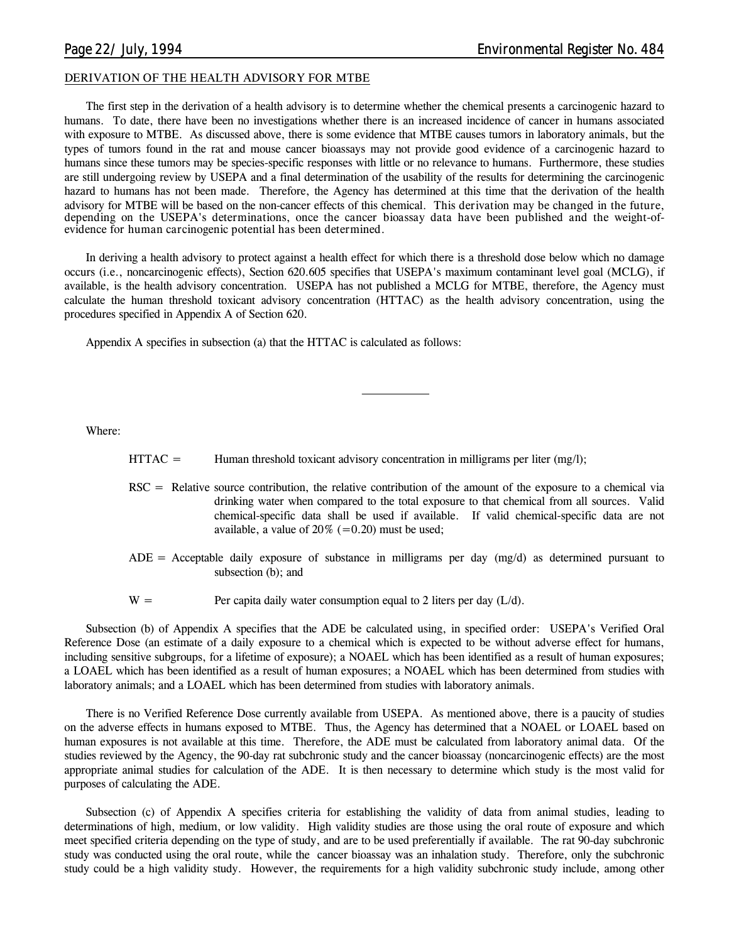### **DERIVATION OF THE HEALTH ADVISORY FOR MTBE**

The first step in the derivation of a health advisory is to determine whether the chemical presents a carcinogenic hazard to humans. To date, there have been no investigations whether there is an increased incidence of cancer in humans associated with exposure to MTBE. As discussed above, there is some evidence that MTBE causes tumors in laboratory animals, but the types of tumors found in the rat and mouse cancer bioassays may not provide good evidence of a carcinogenic hazard to humans since these tumors may be species-specific responses with little or no relevance to humans. Furthermore, these studies are still undergoing review by USEPA and a final determination of the usability of the results for determining the carcinogenic hazard to humans has not been made. Therefore, the Agency has determined at this time that the derivation of the health advisory for MTBE will be based on the non-cancer effects of this chemical. **This derivation may be changed in the future, depending on the USEPA's determinations, once the cancer bioassay data have been published and the weight-ofevidence for human carcinogenic potential has been determined.**

In deriving a health advisory to protect against a health effect for which there is a threshold dose below which no damage occurs (i.e., noncarcinogenic effects), Section 620.605 specifies that USEPA's maximum contaminant level goal (MCLG), if available, is the health advisory concentration. USEPA has not published a MCLG for MTBE, therefore, the Agency must calculate the human threshold toxicant advisory concentration (HTTAC) as the health advisory concentration, using the procedures specified in Appendix A of Section 620.

Appendix A specifies in subsection (a) that the HTTAC is calculated as follows:

Where:

- $HTTAC =$  Human threshold toxicant advisory concentration in milligrams per liter (mg/l);
- RSC = Relative source contribution, the relative contribution of the amount of the exposure to a chemical via drinking water when compared to the total exposure to that chemical from all sources. Valid chemical-specific data shall be used if available. If valid chemical-specific data are not available, a value of  $20\%$  (=0.20) must be used;
- $ADE = Acceptable$  daily exposure of substance in milligrams per day (mg/d) as determined pursuant to subsection (b); and
- $W =$  Per capita daily water consumption equal to 2 liters per day ( $L/d$ ).

Subsection (b) of Appendix A specifies that the ADE be calculated using, in specified order: USEPA's Verified Oral Reference Dose (an estimate of a daily exposure to a chemical which is expected to be without adverse effect for humans, including sensitive subgroups, for a lifetime of exposure); a NOAEL which has been identified as a result of human exposures; a LOAEL which has been identified as a result of human exposures; a NOAEL which has been determined from studies with laboratory animals; and a LOAEL which has been determined from studies with laboratory animals.

There is no Verified Reference Dose currently available from USEPA. As mentioned above, there is a paucity of studies on the adverse effects in humans exposed to MTBE. Thus, the Agency has determined that a NOAEL or LOAEL based on human exposures is not available at this time. Therefore, the ADE must be calculated from laboratory animal data. Of the studies reviewed by the Agency, the 90-day rat subchronic study and the cancer bioassay (noncarcinogenic effects) are the most appropriate animal studies for calculation of the ADE. It is then necessary to determine which study is the most valid for purposes of calculating the ADE.

Subsection (c) of Appendix A specifies criteria for establishing the validity of data from animal studies, leading to determinations of high, medium, or low validity. High validity studies are those using the oral route of exposure and which meet specified criteria depending on the type of study, and are to be used preferentially if available. The rat 90-day subchronic study was conducted using the oral route, while the cancer bioassay was an inhalation study. Therefore, only the subchronic study could be a high validity study. However, the requirements for a high validity subchronic study include, among other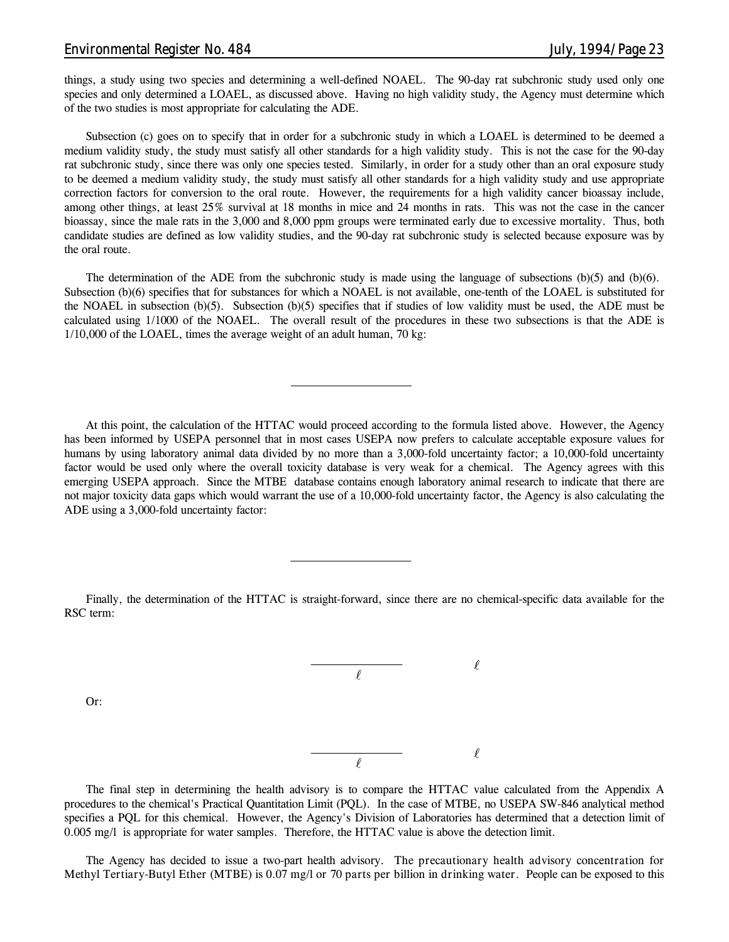### *Environmental Register No. 484 July, 1994/Page 23*

Or:

things, a study using two species and determining a well-defined NOAEL. The 90-day rat subchronic study used only one species and only determined a LOAEL, as discussed above. Having no high validity study, the Agency must determine which of the two studies is most appropriate for calculating the ADE.

Subsection (c) goes on to specify that in order for a subchronic study in which a LOAEL is determined to be deemed a medium validity study, the study must satisfy all other standards for a high validity study. This is not the case for the 90-day rat subchronic study, since there was only one species tested. Similarly, in order for a study other than an oral exposure study to be deemed a medium validity study, the study must satisfy all other standards for a high validity study and use appropriate correction factors for conversion to the oral route. However, the requirements for a high validity cancer bioassay include, among other things, at least 25% survival at 18 months in mice and 24 months in rats. This was not the case in the cancer bioassay, since the male rats in the 3,000 and 8,000 ppm groups were terminated early due to excessive mortality. Thus, both candidate studies are defined as low validity studies, and the 90-day rat subchronic study is selected because exposure was by the oral route.

The determination of the ADE from the subchronic study is made using the language of subsections (b)(5) and (b)(6). Subsection (b)(6) specifies that for substances for which a NOAEL is not available, one-tenth of the LOAEL is substituted for the NOAEL in subsection (b)(5). Subsection (b)(5) specifies that if studies of low validity must be used, the ADE must be calculated using 1/1000 of the NOAEL. The overall result of the procedures in these two subsections is that the ADE is 1/10,000 of the LOAEL, times the average weight of an adult human, 70 kg:

At this point, the calculation of the HTTAC would proceed according to the formula listed above. However, the Agency has been informed by USEPA personnel that in most cases USEPA now prefers to calculate acceptable exposure values for humans by using laboratory animal data divided by no more than a 3,000-fold uncertainty factor; a 10,000-fold uncertainty factor would be used only where the overall toxicity database is very weak for a chemical. The Agency agrees with this emerging USEPA approach. Since the MTBE database contains enough laboratory animal research to indicate that there are not major toxicity data gaps which would warrant the use of a 10,000-fold uncertainty factor, the Agency is also calculating the ADE using a 3,000-fold uncertainty factor:

Finally, the determination of the HTTAC is straight-forward, since there are no chemical-specific data available for the RSC term:



The final step in determining the health advisory is to compare the HTTAC value calculated from the Appendix A procedures to the chemical's Practical Quantitation Limit (PQL). In the case of MTBE, no USEPA SW-846 analytical method specifies a PQL for this chemical. However, the Agency's Division of Laboratories has determined that a detection limit of 0.005 mg/l is appropriate for water samples. Therefore, the HTTAC value is above the detection limit.

The Agency has decided to issue a two-part health advisory. **The precautionary health advisory concentration for Methyl Tertiary-Butyl Ether (MTBE) is 0.07 mg/l or 70 parts per billion in drinking water.** People can be exposed to this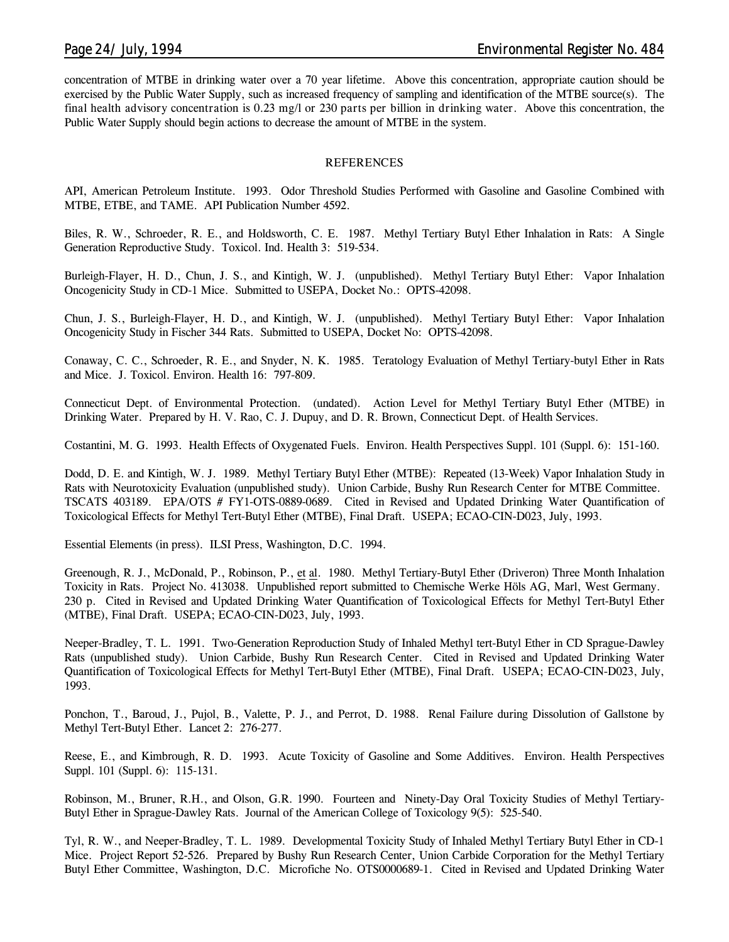concentration of MTBE in drinking water over a 70 year lifetime. Above this concentration, appropriate caution should be exercised by the Public Water Supply, such as increased frequency of sampling and identification of the MTBE source(s). **The final health advisory concentration is 0.23 mg/l or 230 parts per billion in drinking water**. Above this concentration, the Public Water Supply should begin actions to decrease the amount of MTBE in the system.

### **REFERENCES**

API, American Petroleum Institute. 1993. Odor Threshold Studies Performed with Gasoline and Gasoline Combined with MTBE, ETBE, and TAME. API Publication Number 4592.

Biles, R. W., Schroeder, R. E., and Holdsworth, C. E. 1987. Methyl Tertiary Butyl Ether Inhalation in Rats: A Single Generation Reproductive Study. Toxicol. Ind. Health 3: 519-534.

Burleigh-Flayer, H. D., Chun, J. S., and Kintigh, W. J. (unpublished). Methyl Tertiary Butyl Ether: Vapor Inhalation Oncogenicity Study in CD-1 Mice. Submitted to USEPA, Docket No.: OPTS-42098.

Chun, J. S., Burleigh-Flayer, H. D., and Kintigh, W. J. (unpublished). Methyl Tertiary Butyl Ether: Vapor Inhalation Oncogenicity Study in Fischer 344 Rats. Submitted to USEPA, Docket No: OPTS-42098.

Conaway, C. C., Schroeder, R. E., and Snyder, N. K. 1985. Teratology Evaluation of Methyl Tertiary-butyl Ether in Rats and Mice. J. Toxicol. Environ. Health 16: 797-809.

Connecticut Dept. of Environmental Protection. (undated). Action Level for Methyl Tertiary Butyl Ether (MTBE) in Drinking Water. Prepared by H. V. Rao, C. J. Dupuy, and D. R. Brown, Connecticut Dept. of Health Services.

Costantini, M. G. 1993. Health Effects of Oxygenated Fuels. Environ. Health Perspectives Suppl. 101 (Suppl. 6): 151-160.

Dodd, D. E. and Kintigh, W. J. 1989. Methyl Tertiary Butyl Ether (MTBE): Repeated (13-Week) Vapor Inhalation Study in Rats with Neurotoxicity Evaluation (unpublished study). Union Carbide, Bushy Run Research Center for MTBE Committee. TSCATS 403189. EPA/OTS # FY1-OTS-0889-0689. Cited in Revised and Updated Drinking Water Quantification of Toxicological Effects for Methyl Tert-Butyl Ether (MTBE), Final Draft. USEPA; ECAO-CIN-D023, July, 1993.

Essential Elements (in press). ILSI Press, Washington, D.C. 1994.

Greenough, R. J., McDonald, P., Robinson, P., et al. 1980. Methyl Tertiary-Butyl Ether (Driveron) Three Month Inhalation Toxicity in Rats. Project No. 413038. Unpublished report submitted to Chemische Werke Höls AG, Marl, West Germany. 230 p. Cited in Revised and Updated Drinking Water Quantification of Toxicological Effects for Methyl Tert-Butyl Ether (MTBE), Final Draft. USEPA; ECAO-CIN-D023, July, 1993.

Neeper-Bradley, T. L. 1991. Two-Generation Reproduction Study of Inhaled Methyl tert-Butyl Ether in CD Sprague-Dawley Rats (unpublished study). Union Carbide, Bushy Run Research Center. Cited in Revised and Updated Drinking Water Quantification of Toxicological Effects for Methyl Tert-Butyl Ether (MTBE), Final Draft. USEPA; ECAO-CIN-D023, July, 1993.

Ponchon, T., Baroud, J., Pujol, B., Valette, P. J., and Perrot, D. 1988. Renal Failure during Dissolution of Gallstone by Methyl Tert-Butyl Ether. Lancet 2: 276-277.

Reese, E., and Kimbrough, R. D. 1993. Acute Toxicity of Gasoline and Some Additives. Environ. Health Perspectives Suppl. 101 (Suppl. 6): 115-131.

Robinson, M., Bruner, R.H., and Olson, G.R. 1990. Fourteen and Ninety-Day Oral Toxicity Studies of Methyl Tertiary-Butyl Ether in Sprague-Dawley Rats. Journal of the American College of Toxicology 9(5): 525-540.

Tyl, R. W., and Neeper-Bradley, T. L. 1989. Developmental Toxicity Study of Inhaled Methyl Tertiary Butyl Ether in CD-1 Mice. Project Report 52-526. Prepared by Bushy Run Research Center, Union Carbide Corporation for the Methyl Tertiary Butyl Ether Committee, Washington, D.C. Microfiche No. OTS0000689-1. Cited in Revised and Updated Drinking Water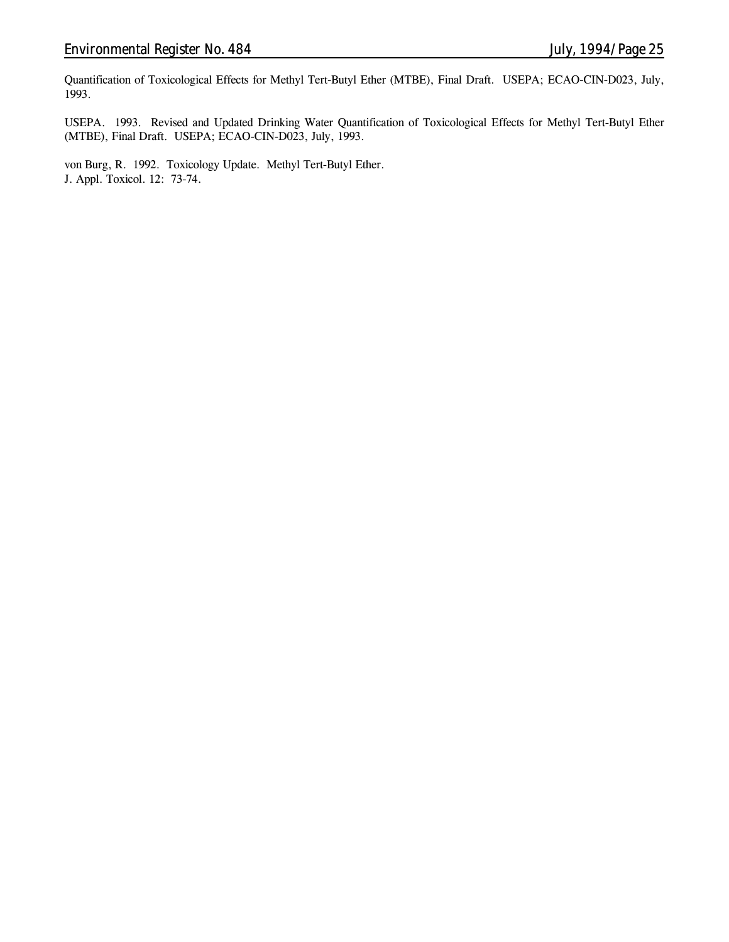Quantification of Toxicological Effects for Methyl Tert-Butyl Ether (MTBE), Final Draft. USEPA; ECAO-CIN-D023, July, 1993.

USEPA. 1993. Revised and Updated Drinking Water Quantification of Toxicological Effects for Methyl Tert-Butyl Ether (MTBE), Final Draft. USEPA; ECAO-CIN-D023, July, 1993.

von Burg, R. 1992. Toxicology Update. Methyl Tert-Butyl Ether. J. Appl. Toxicol. 12: 73-74.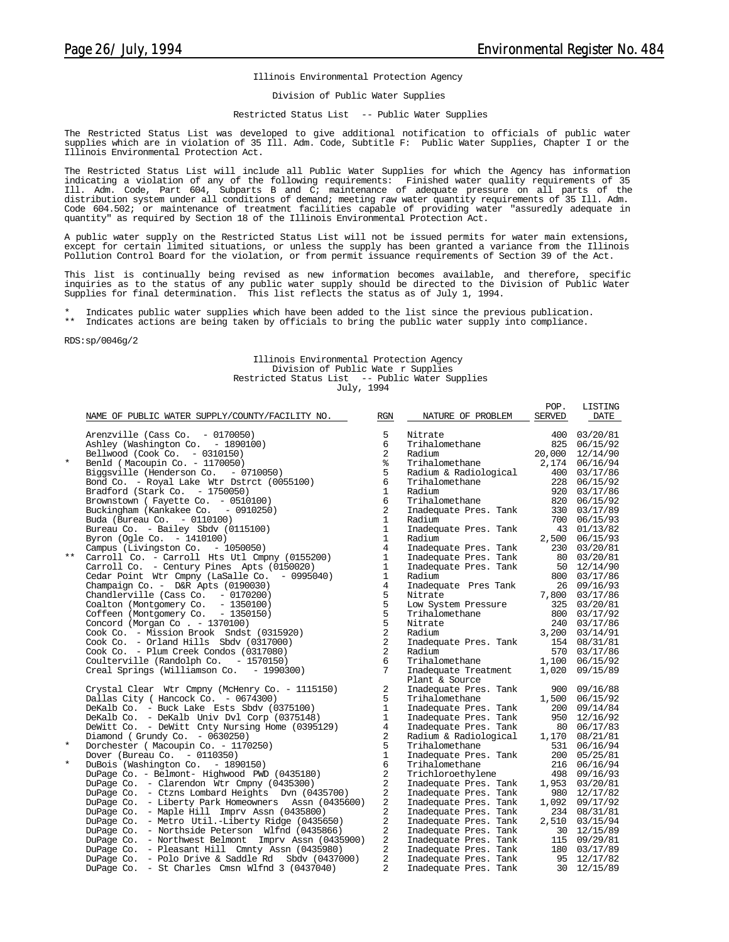#### Illinois Environmental Protection Agency

#### Division of Public Water Supplies

#### Restricted Status List -- Public Water Supplies

The Restricted Status List was developed to give additional notification to officials of public water supplies which are in violation of 35 Ill. Adm. Code, Subtitle F: Public Water Supplies, Chapter I or the Illinois Environmental Protection Act.

The Restricted Status List will include all Public Water Supplies for which the Agency has information indicating a violation of any of the following requirements: Finished water quality requirements of 35 Ill. Adm. Code, Part 604, Subparts B and C; maintenance of adequate pressure on all parts of the distribution system under all conditions of demand; meeting raw water quantity requirements of 35 Ill. Adm. Code 604.502; or maintenance of treatment facilities capable of providing water "assuredly adequate in quantity" as required by Section 18 of the Illinois Environmental Protection Act.

A public water supply on the Restricted Status List will not be issued permits for water main extensions, except for certain limited situations, or unless the supply has been granted a variance from the Illinois Pollution Control Board for the violation, or from permit issuance requirements of Section 39 of the Act.

This list is continually being revised as new information becomes available, and therefore, specific inquiries as to the status of any public water supply should be directed to the Division of Public Water Supplies for final determination. This list reflects the status as of July 1, 1994.

Indicates public water supplies which have been added to the list since the previous publication.

\*\* Indicates actions are being taken by officials to bring the public water supply into compliance.

RDS:sp/0046g/2

#### Illinois Environmental Protection Agency Division of Public Wate r Supplies Restricted Status List -- Public Water Supplies July, 1994

|          | NAME OF PUBLIC WATER SUPPLY/COUNTY/FACILITY NO.     | RGN            | NATURE OF PROBLEM     | POP.<br><b>SERVED</b> | LISTING<br>DATE |
|----------|-----------------------------------------------------|----------------|-----------------------|-----------------------|-----------------|
|          | Arenzville (Cass Co. $-0170050$ )                   | 5              | Nitrate               |                       | 400 03/20/81    |
|          | Ashley (Washington Co. - 1890100)                   | 6              | Trihalomethane        |                       | 825 06/15/92    |
|          | Bellwood (Cook Co. - 0310150)                       | $\overline{a}$ | Radium                | 20,000                | 12/14/90        |
| $^\star$ | Benld (Macoupin Co. - 1170050)                      | နွ             | Trihalomethane        |                       | 2,174 06/16/94  |
|          | Biggsville (Henderson Co. - 0710050)                | 5              | Radium & Radiological |                       | 400 03/17/86    |
|          | Bond Co. - Royal Lake Wtr Dstrct (0055100)          | 6              | Trihalomethane        |                       | 228 06/15/92    |
|          | Bradford (Stark Co. $-1750050$ )                    | $\mathbf{1}$   | Radium                |                       | 920 03/17/86    |
|          | Brownstown (Fayette Co. - 0510100)                  | 6              | Trihalomethane        |                       | 820 06/15/92    |
|          | Buckingham (Kankakee Co. - 0910250)                 | $\overline{a}$ | Inadequate Pres. Tank |                       | 330 03/17/89    |
|          | Buda (Bureau Co. - 0110100)                         | $\mathbf{1}$   | Radium                |                       | 700 06/15/93    |
|          | Bureau Co. - Bailey Sbdv (0115100)                  | $\mathbf{1}$   | Inadequate Pres. Tank |                       | 43 01/13/82     |
|          | Byron (Ogle Co. - 1410100)                          | $\mathbf{1}$   | Radium                |                       | 2,500 06/15/93  |
|          | Campus (Livingston Co. - 1050050)                   | $\overline{4}$ | Inadequate Pres. Tank |                       | 230 03/20/81    |
| $***$    | Carroll Co. - Carroll Hts Utl Cmpny (0155200)       | $\mathbf{1}$   | Inadequate Pres. Tank |                       | 80 03/20/81     |
|          | Carroll Co. - Century Pines Apts (0150020)          | $\mathbf{1}$   | Inadequate Pres. Tank |                       | 50 12/14/90     |
|          | Cedar Point Wtr Cmpny (LaSalle Co. - 0995040)       | $\mathbf{1}$   | Radium                |                       | 800 03/17/86    |
|          | Champaign Co. - D&R Apts (0190030)                  | $\overline{4}$ | Inadequate Pres Tank  |                       | 26 09/16/93     |
|          | Chandlerville (Cass Co. - 0170200)                  | 5              | Nitrate               |                       | 7,800 03/17/86  |
|          | Coalton (Montgomery Co. - 1350100)                  | 5              | Low System Pressure   |                       | 325 03/20/81    |
|          | Coffeen (Montgomery Co. - 1350150)                  | 5              | Trihalomethane        |                       | 800 03/17/92    |
|          | Concord (Morgan Co. - 1370100)                      | 5              | Nitrate               |                       | 240 03/17/86    |
|          | Cook Co. - Mission Brook Sndst (0315920)            | $\overline{a}$ | Radium                |                       | 3,200 03/14/91  |
|          | Cook Co. - Orland Hills Sbdv (0317000)              | $\sqrt{2}$     | Inadequate Pres. Tank |                       | 154 08/31/81    |
|          | Cook Co. - Plum Creek Condos (0317080)              | 2              | Radium                |                       | 570 03/17/86    |
|          | Coulterville (Randolph Co. - 1570150)               | 6              | Trihalomethane        | 1,100                 | 06/15/92        |
|          | Creal Springs (Williamson Co. - 1990300)            | 7              | Inadequate Treatment  | 1,020                 | 09/15/89        |
|          |                                                     |                | Plant & Source        |                       |                 |
|          | Crystal Clear Wtr Cmpny (McHenry Co. - 1115150)     | 2              | Inadequate Pres. Tank |                       | 900 09/16/88    |
|          | Dallas City ( Hancock Co. - 0674300)                | 5              | Trihalomethane        | 1,500                 | 06/15/92        |
|          | DeKalb Co. - Buck Lake Ests Sbdv (0375100)          | $\mathbf{1}$   | Inadequate Pres. Tank |                       | 200 09/14/84    |
|          | DeKalb Co. - DeKalb Univ Dvl Corp (0375148)         | 1              | Inadequate Pres. Tank |                       | 950 12/16/92    |
|          | DeWitt Co. - DeWitt Cnty Nursing Home (0395129)     | $\overline{4}$ | Inadequate Pres. Tank |                       | 80 06/17/83     |
|          | Diamond (Grundy Co. - 0630250)                      | 2              | Radium & Radiological |                       | 1,170 08/21/81  |
| $^\star$ | Dorchester (Macoupin Co. - 1170250)                 | 5              | Trihalomethane        | 531                   | 06/16/94        |
|          | Dover (Bureau Co. $-0110350$ )                      | $\mathbf{1}$   | Inadequate Pres. Tank | 200                   | 05/25/81        |
| $\star$  | DuBois (Washington Co. - 1890150)                   | 6              | Trihalomethane        |                       | 216 06/16/94    |
|          | DuPage Co. - Belmont- Highwood PWD (0435180)        | 2              | Trichloroethylene     |                       | 498 09/16/93    |
|          | DuPage Co. - Clarendon Wtr Cmpny (0435300)          | 2              | Inadequate Pres. Tank | 1,953                 | 03/20/81        |
|          | DuPage Co. - Ctzns Lombard Heights Dyn (0435700)    | 2              | Inadequate Pres. Tank | 980                   | 12/17/82        |
|          | DuPage Co. - Liberty Park Homeowners Assn (0435600) | 2              | Inadequate Pres. Tank | 1,092                 | 09/17/92        |
|          | DuPage Co. - Maple Hill Imprv Assn (0435800)        | 2              | Inadequate Pres. Tank |                       | 234 08/31/81    |
|          | DuPage Co. - Metro Util.-Liberty Ridge (0435650)    | 2              | Inadequate Pres. Tank |                       | 2,510 03/15/94  |
|          | DuPage Co. - Northside Peterson Wlfnd (0435866)     | 2              | Inadequate Pres. Tank |                       | 30 12/15/89     |
|          | DuPage Co. - Northwest Belmont Impry Assn (0435900) | 2              | Inadequate Pres. Tank |                       | 115 09/29/81    |
|          | DuPage Co. - Pleasant Hill Cmnty Assn (0435980)     | 2              | Inadequate Pres. Tank |                       | 180 03/17/89    |
|          | DuPage Co. - Polo Drive & Saddle Rd Sbdy (0437000)  | $\overline{a}$ | Inadequate Pres. Tank | 95                    | 12/17/82        |
|          | DuPage Co. - St Charles Cmsn Wlfnd 3 (0437040)      | $\overline{a}$ | Inadequate Pres. Tank |                       | 30 12/15/89     |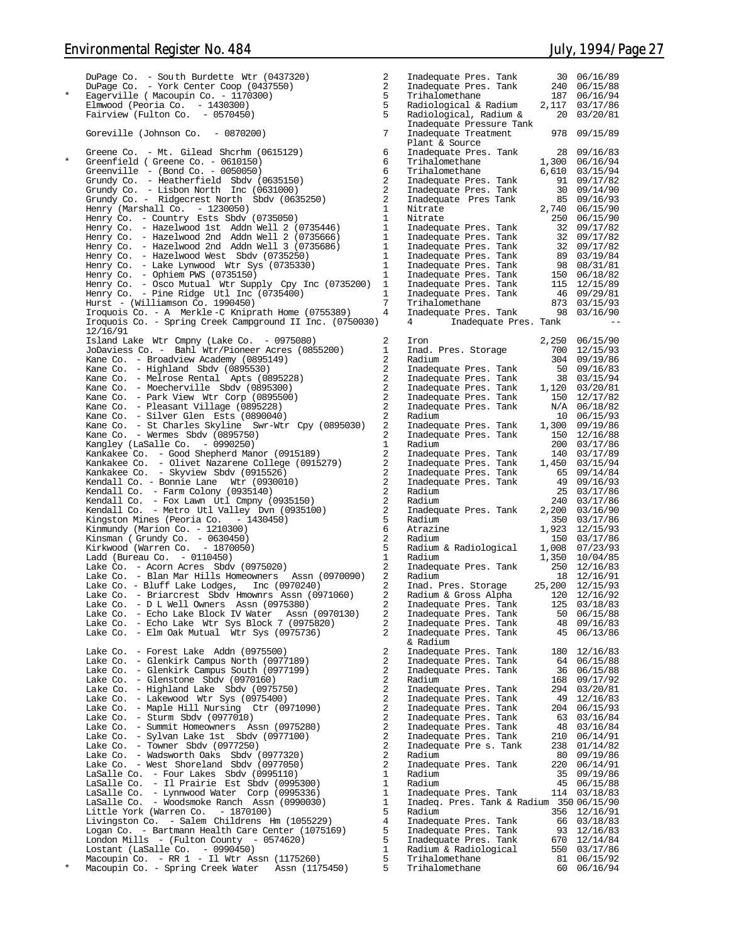DuPage Co. - Sou th Burdette Wtr (0437320) 2 Inadequate Pres. Tank 30 06/16/89 DuPage Co. - York Center Coop (0437550) 2 Inadequate Pres. Tank 240 06/15/88 \* Eagerville ( Macoupin Co. - 1170300) 5 Trihalomethane 187 06/16/94 Elmwood (Peoria Co. - 1430300) Fairview (Fulton Co. - 0570450) Goreville (Johnson Co.  $-0870200$ ) Greene Co. - Mt. Gilead Shcrhm (0615129) 6 Inadequate Pres. Tank 28 09/16/83<br>\* Greenfield ( Greene Co. - 0610150) 6 111halomethane 1,300 06/16/94 Greenville - (Bond Co. -  $0050050$ ) Grundy Co. - Heatherfield Sbdv (0635150) Grundy Co. - Lisbon North Inc  $(0631000)$ Grundy Co. - Ridgecrest North Sbdv (0635250) Henry (Marshall Co. - 1230050) 1 Nitrate 2,740 06/15/90 Henry Co. - Country Ests Sbdv (0735050) 1 Nitrate 250 06/15/90 Henry Co. - Hazelwood 1st Addn Well 2 (0735446) Henry Co. - Hazelwood 2nd Addn Well 2 (0735666) Henry Co. - Hazelwood 2nd Addn Well 3 (0735686) Inadequate Pres. Tank 32 09/17/82<br>Henry Co. - Hazelwood West Sbdv (0735250) Inadequate Pres. Tank 89 03/19/84 Henry Co. - Lake Lynwood Wtr Sys (0735330) 1 Inadequate Pres. Tank 98 08/31/81 Henry Co. - Ophiem PWS (0735150) 1 Inadequate Pres. Tank 150 06/18/82 Henry Co. - Osco Mutual Wtr Supply Cpy Inc (0735200) 1 Inadequate Pres. Tank 115 12/15/89 Henry Co. - Pine Ridge Utl Inc (0735400) 1 Inadequate Pres. Tank 46 09/29/81  $Hurst - (Williamson Co. 1990450)$ Iroquois Co. - A Merkle -C Kniprath Home (0755389) Iroquois Co. - Spring Creek Campground II Inc. (0750030) 12/16/91 Island Lake Wtr Cmpny (Lake Co. - 0975080) 2 Iron 2,250 06/15/90 JoDaviess Co. - Bahl Wtr/Pioneer Acres (0855200) 1 Inad. Pres. Storage 700 12/15/93 Kane Co. - Broadview Academy (0895149) 2 Radium 304 09/19/86 Kane Co. - Highland Sbdv (0895530) 2 Inadequate Pres. Tank 50 09/16/83 Kane Co. - Melrose Rental Apts (0895228) Kane Co. - Moecherville Sbdv  $(0895300)$ Kane Co. - Recentervalue Coard (0895500) Kane Co. - Pleasant Village (0895228) Kane Co. - Silver Glen Ests (0890040) 2 Radium 10 06/15/93 Kane Co. - St Charles Skyline Swr-Wtr Cpy (0895030) 2 Inadequate Pres. Tank 1,300 09/19/86 Kane Co. - Wermes Sbdv (0895750) 2 Inadequate Pres. Tank 150 12/16/88 Kangley (LaSalle Co. - 0990250) 1 Radium 200 03/17/86 Kankakee Co. - Good Shepherd Manor (0915189) 2 Inadequate Pres. Tank 140 03/17/89 Kankakee Co. - Olivet Nazarene College (0915279) 2 Inadequate Pres. Tank 1,450 03/15/94 Kankakee Co. - Skyview Sbdv (0915526) 2 Inadequate Pres. Tank 65 09/14/84 Kendall Co. - Bonnie Lane Wtr (0930010) 2 Inadequate Pres. Tank 49 09/16/93 Kendall Co. - Farm Colony (0935140) 2 Radium 25 03/17/86 Kendall Co. - Fox Lawn Utl Cmpny (0935150) 2 Radium 240 03/17/86 Kendall Co. - Metro Utl Valley Dvn (0935100) 2 Inadequate Pres. Tank 2,200 03/16/90 Kingston Mines (Peoria Co. - 1430450) 5 Radium 350 03/17/86 Kinmundy (Marion Co. - 1210300) 6 Atrazine 1,923 12/15/93 Kinsman ( Grundy Co. - 0630450) 2 Radium 150 03/17/86 Kirkwood (Warren Co. - 1870050) 5 Radium & Radiological 1,008 07/23/93  $Ladd (Bureau Co. - 0110450)$ Lake Co. - Acorn Acres Sbdv (0975020) 2 Inadequate Pres. Tank 250 12/16/83 Lake Co. - Blan Mar Hills Homeowners Assn (0970090) 2 Radium 18 12/16/91 Lake Co. - Bluff Lake Lodges, Inc  $(0970240)$ Lake Co. - Briarcrest Sbdv Hmownrs Assn (0971060) Lake Co. - D L Well Owners Assn (0975380) 2 Inadequate Pres. Tank 125 03/18/83 Lake Co. - Echo Lake Block IV Water Assn (0970130) 2 Inadequate Pres. Tank 50 06/15/88 Lake Co. - Echo Lake Wtr Sys Block 7 (0975820) 2 Inadequate Pres. Tank 48 09/16/83 Lake Co. - Elm Oak Mutual Wtr Sys (0975736) 2 Inadequate Pres. Tank 45 06/13/86 Lake Co. - Forest Lake Addn (0975500) Lake Co. - Glenkirk Campus North (0977189) Lake Co. - Glenkirk Campus South (0977199) Lake Co. - Glenstone  $S$ bdv (0970160) Lake Co. - Highland Lake Sbdv (0975750) 2 Inadequate Pres. Tank 294 03/20/81<br>Lake Co. - Lakewood Wtr Sys (0975400) 2 Inadequate Pres. Tank 49 12/16/83<br>Lake Co. Lake Co. - Sturm Sbdv  $(0977010)$ Lake Co. - Summit Homeowners Assn (0975280) Lake Co. - Sylvan Lake 1st Sbdv (0977100) 2 Inadequate Pres. Tank 210 06/14/91 Lake Co. - Towner Sbdv (0977250) 2 Inadequate Pre s. Tank 238 01/14/82 Lake Co. - Wadsworth Oaks Sbdv (0977320) 2 Radium 80 09/19/86 Lake Co. - West Shoreland Sbdv (0977050) 2 Inadequate Pres. Tank 220 06/14/91 LaSalle Co. - Four Lakes Sbdv (0995110) 1 Radium 35 09/19/86 LaSalle Co. - Il Prairie Est Sbdv (0995300) 1 Radium 45 06/15/88 LaSalle Co. – Lynnwood Water Corp (0995336) Inadequate Pres. Tank 114 03/18/83<br>LaSalle Co. – Woodsmoke Ranch Assn (0990030) Inadeq. Pres. Tank & Radium 350 06/15/90 Little York (Warren Co. - 1870100) 5 Radium 356 12/16/91 Livingston Co. - Salem Childrens Hm (1055229) 4 Inadequate Pres. Tank 66 03/18/83 Logan Co. - Bartmann Health Care Center (1075169) 5 Inadequate Pres. Tank 93 12/16/83 London Mills - (Fulton County - 0574620) 5 Inadequate Pres. Tank 670 12/14/84<br>
Lostant (LaSalle Co. - 0990450) 1 Radium & Radiological 550 03/17/86<br>
Macoupin Co. - RR 1 - Il Wtr Assn (1175260) 5 Trihalomethane 81 06/15/92<br>

| 2              | Inadequate Pres.<br>Tank         | 30                   | 06/16/89             |
|----------------|----------------------------------|----------------------|----------------------|
| 2              | Inadequate Pres.<br>Tank         | 240                  | 06/15/88             |
| 5              | Trihalomethane                   | 187                  | 06/16/94             |
| 5              | Radiological & Radium            | 2,117                | 03/17/86             |
| 5              | Radiological, Radium &           | 20                   | 03/20/81             |
|                | Inadequate Pressure Tank         |                      |                      |
| 7              | Inadequate Treatment             | 978                  | 09/15/89             |
|                | Plant & Source                   |                      |                      |
| 6              | Inadequate Pres.<br>Tank         | 28                   | 09/16/83             |
| 6              | Trihalomethane                   | 1,300                | 06/16/94             |
| 6              | Trihalomethane                   | 6,610                | 03/15/94             |
| 2              | Inadequate Pres.<br>Tank         | 91                   | 09/17/82             |
| 2              | Inadequate Pres.<br>Tank         | 30                   |                      |
| 2              | Pres Tank                        | 85                   | 09/14/90<br>09/16/93 |
|                | Inadequate                       |                      |                      |
| 1              | Nitrate                          | 2,740                | 06/15/90             |
| 1              | Nitrate                          | 250                  | 06/15/90             |
| 1              | Inadequate Pres.<br>Tank         | 32                   | 09/17/82             |
| 1              | Inadequate Pres.<br>Tank         | 32                   | 09/17/82             |
| 1              | Inadequate Pres.<br>Tank         | 32                   | 09/17/82             |
| 1              | Inadequate Pres.<br>Tank         | 89                   | 03/19/84             |
| 1              | Inadequate Pres.<br>Tank         | 98                   | 08/31/81             |
| 1              | Inadequate Pres.<br>Tank         | 150                  | 06/18/82             |
| 1              | Inadequate Pres.<br>Tank         | 115                  | 12/15/89             |
| 1              | Inadequate Pres.<br>Tank         | 46                   | 09/29/81             |
| 7              | Trihalomethane                   | 873                  | 03/15/93             |
| 4              | Inadequate Pres.<br>Tank         | 98                   | 03/16/90             |
|                | 4<br>Inadequate Pres.            | Tank                 |                      |
|                |                                  |                      |                      |
| 2              | Iron                             | 2,250                | 06/15/90             |
| 1              | Inad.<br>Pres. Storage           | 700                  | 12/15/93             |
| 2              | Radium                           | 304                  | 09/19/86             |
| 2              | Inadequate Pres.<br>Tank         | 50                   | 09/16/83             |
| 2              | Inadequate Pres.<br>Tank         | 38                   | 03/15/94             |
| 2              | Inadequate Pres.<br>Tank         | 1,120                | 03/20/81             |
| 2              | Inadequate Pres.<br>Tank         | 150                  | 12/17/82             |
| 2              | Inadequate Pres.<br>Tank         | N/A                  | 06/18/82             |
| 2              | Radium                           | 10                   | 06/15/93             |
| 2              | Inadequate Pres.<br>Tank         | 1,300                | 09/19/86             |
| 2              | Inadequate Pres.<br>Tank         | 150                  | 12/16/88             |
|                |                                  |                      |                      |
| 1              | Radium                           | 200                  | 03/17/86             |
| 2              | Inadequate Pres.<br>Tank         | 140                  | 03/17/89             |
| 2              | Inadequate Pres.<br>Tank         | 1,450                | 03/15/94             |
| 2              | Inadequate Pres.<br>Tank         | 65                   | 09/14/84             |
| 2              | Tank<br>Inadequate Pres.         | 49                   | 09/16/93             |
| 2              | Radium                           | 25                   | 03/17/86             |
| 2              | Radium                           | 240                  | 03/17/86             |
| 2              | Inadequate Pres.<br>Tank         | 2,200                | 03/16/90             |
| 5              | Radium                           | 350                  | 03/17/86             |
| 6              | Atrazine                         | 1,923                | 12/15/93             |
| 2              | Radium                           | 150                  | 03/17/86             |
| 5              | Radium & Radiological            | 1,008                | 07/23/93             |
| 1              | Radium                           | 1,350                | 10/04/85             |
| 2              | Inadequate Pres. Tank            | 250                  | 12/16/83             |
| 2              | Radium                           | 18                   | 12/16/91             |
| 2              | Inad. Pres.<br>Storage           | 25,200               | 12/15/93             |
| $\overline{2}$ | Radium & Gross Alpha             | 120                  | 12/16/92             |
| $\overline{c}$ | Inadequate<br>Tank<br>Pres.      | 125                  | 03/18/83             |
| 2              | Inadequate<br>Pres.<br>Tank      | 50                   | 06/15/88             |
| 2              | Inadequate<br>Pres.<br>Tank      | 48                   | 09/16/83             |
| 2              | Inadequate<br>Tank<br>Pres.      | 45                   | 06/13/86             |
|                | & Radium                         |                      |                      |
| 2              | Inadequate<br>Tank<br>Pres.      | 180                  | 12/16/83             |
| 2              | Inadequate Pres.<br>Tank         | 64                   | 06/15/88             |
| 2              | Inadequate<br>Pres.<br>Tank      | 36                   | 06/15/88             |
| 2              | Radium                           | 168                  | 09/17/92             |
| 2              | Inadequate<br>Tank<br>Pres.      | 294                  | 03/20/81             |
| 2              | Inadequate Pres.<br>Tank         | 49                   | 12/16/83             |
| 2              | Inadequate Pres.<br>Tank         | 204                  | 06/15/93             |
| 2              | Inadequate Pres.<br>Tank         | 63                   | 03/16/84             |
| 2              | Inadequate Pres.<br>Tank         | 48                   | 03/16/84             |
| 2              | Inadequate Pres.<br>Tank         | 210                  | 06/14/91             |
| 2              | Inadequate<br>Pre s.             | Tank<br>238          | 01/14/82             |
| 2              | Radium                           | 80                   |                      |
|                |                                  |                      | 09/19/86             |
| 2              | Inadequate Pres.<br>Tank         | 220                  | 06/14/91             |
| 1              | Radium                           | 35                   | 09/19/86             |
| 1              | Radium                           | 45                   | 06/15/88             |
| 1              | Inadequate Pres.<br>Tank         | 114                  | 03/18/83             |
| 1              | Inadeg.<br>Pres.                 | Tank & Radium<br>350 | 06/15/90             |
| 5              | Radium                           | 356                  | 12/16/91             |
| 4              | Inadequate Pres.<br>Tank         | 66                   | 03/18/83             |
| 5              | Inadequate Pres.<br>Tank         | 93                   | 12/16/83             |
| 5              | Inadequate Pres.<br>Tank         | 670                  | 12/14/84             |
| 1              | Radium & Radiological            | 550                  | 03/17/86             |
| 5<br>5         | Trihalomethane<br>Trihalomethane | 81<br>60             | 06/15/92<br>06/16/94 |
|                |                                  |                      |                      |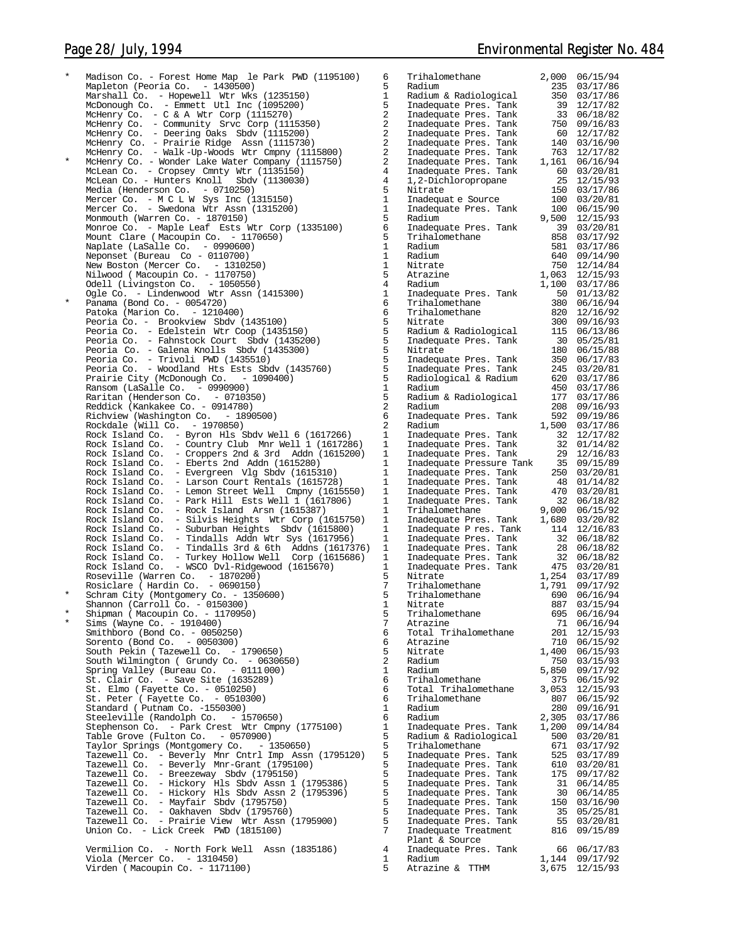Madison Co. - Forest Home Map le Park PWD (1195100) Mapleton (Peoria Co.  $-1430500$ ) Marshall Co. – Hopewell Wtr Wks (1235150) Radium & Radiological 350 03/17/86<br>McDonough Co. – Emmett Utl Inc (1095200) Inadequate Pres. Tank 39 12/17/ McHenry Co. - C & A Wtr Corp (1115270) 2 Inadequate Pres. Tank 33 06/18/82 McHenry Co. - Community Srvc Corp (1115350) 2 Inadequate Pres. Tank 750 09/16/83 McHenry Co. - Deering Oaks Sbdv (1115200) 2 Inadequate Pres. Tank 60 12/17/82 McHenry Co. - Prairie Ridge Assn (1115730) 2 Inadequate Pres. Tank 140 03/16/90 McHenry Co. - Walk -Up-Woods Wtr Cmpny (1115800) 2 Inadequate Pres. Tank 763 12/17/82 \* McHenry Co. - Wonder Lake Water Company (1115750) 2 Inadequate Pres. Tank 1,161 06/16/94 McLean Co. - Cropsey Cmnty Wtr (1135150) 4 Inadequate Pres. Tank 60 03/20/81 McLean Co. - Hunters Knoll Sbdv (1130030) 4 1,2-Dichloropropane 25 12/15/93 Media (Henderson Co. - 0710250) 5 Nitrate 150 03/17/86 Mercer Co. - M C L W Sys Inc (1315150) 1 Inadequat e Source 100 03/20/81 Mercer Co. - Swedona Wtr Assn (1315200) 1 Inadequate Pres. Tank 100 06/15/90 Monmouth (Warren Co. - 1870150) 5 Radium 9,500 12/15/93 Monroe Co. - Maple Leaf Ests Wtr Corp (1335100) Mount Clare ( Macoupin Co. - 1170650) Naplate (LaSalle Co. - 0990600) 1 Radium 581 03/17/86 Neponset (Bureau Co - 0110700) 1 Radium 640 09/14/90 New Boston (Mercer Co. - 1310250) 1 Nitrate 750 12/14/84 Nilwood ( Macoupin Co. - 1170750) 5 Atrazine 1,063 12/15/93 Odell (Livingston Co. - 1050550) 4 Radium 1,100 03/17/86 Ogle Co. - Lindenwood Wtr Assn (1415300) 1 Inadequate Pres. Tank 50 01/13/82 Panama (Bond Co. - 0054720) Patoka (Marion Co. -  $1210400$ ) Peoria Co. - Brookview Sbdv (1435100) Peoria Co. - Edelstein Wtr Coop (1435150) Peoria Co. - Fahnstock Court Sbdv (1435200) Peoria Co. - Galena Knolls Sbdv (1435300) 5 Nitrate 180 06/15/88 Peoria Co. - Trivoli PWD (1435510) 5 Inadequate Pres. Tank 350 06/17/83 Peoria Co. - Woodland Hts Ests Sbdv (1435760) 5 Inadequate Pres. Tank 245 03/20/81 Prairie City (McDonough Co. - 1090400) Ransom (LaSalle Co. - 0990900) 1 Radium 450 03/17/86 Raritan (Henderson Co. - 0710350) 5 Radium & Radiological 177 03/17/86 Reddick (Kankakee Co. - 0914780) 2 Radium 208 09/16/93 Richview (Washington Co. - 1890500) 6 Inadequate Pres. Tank 592 09/19/86 Rockdale (Will Co. - 1970850) 2 Radium 1,500 03/17/86 Rock Island Co. - Byron Hls Sbdv Well 6 (1617266) 1 Inadequate Pres. Tank 32 12/17/82 Rock Island Co. - Country Club Mnr Well 1 (1617286) 1 Inadequate Pres. Tank 32 01/14/82 Rock Island Co. - Croppers 2nd & 3rd Addn  $(1615200)$ <br>Rock Island Co. - Eberts 2nd Addn  $(1615280)$ rock Island Co. 2014 Islam 1986.<br>- Eberts 2nd Addn (1615280) Rock Island Co. - Evergreen Vlg Sbdv (1615310)<br>Rock Island Co. - Larson Court Rentals (1615728 Rock Island Co. - Larson Court Rentals (1615728)<br>Rock Island Co. - Lemon Street Well Cmpny (1619 Rock Island Co. - Lemon Street Well Cmpny (1615550)<br>Rock Island Co. - Park Hill Ests Well 1 (1617806) Rock Island Co. - Park Hill Ests Well 1 (1617806)<br>Rock Island Co. - Rock Island Arsn (1615387)  $-$  Rock Island Arsn (1615387) Rock Island Co. - Silvis Heights Wtr Corp (1615750)<br>Rock Island Co. - Suburban Heights Sbdv (1615800) Rock Island Co. - Suburban Heights Sbdv (1615800) 1 Inadequate Pres. Tank 114 12/16/83<br>Rock Island Co. - Tindalls Addn Wtr Sys (1617956) 1 Inadequate Pres. Tank 32 06/18/82<br>Rock Island Co. - Tindalls 3rd & 6th Addns (16173 Roseville (Warren Co. - 1870200) 5 Nitrate 1,254 03/17/89 Rosiclare ( Hardin Co. - 0690150) 7 Trihalomethane 1,791 09/17/92 Schram City (Montgomery Co. - 1350600) Shannon (Carroll Co. - 0150300) 1 1 Nitrate 887 03/15/94<br>3 \* Shipman (Macoupin Co. - 1170950) 5 Trihalomethane 695 06/16/94 \* Sims (Wayne Co. - 1910400) 7 Atrazine 71 06/16/94 Smithboro (Bond Co. - 0050250) 6 Total Trihalomethane 201 12/15/93 Sorento (Bond Co. - 0050300) 6 Atrazine 710 06/15/92 South Pekin ( Tazewell Co. - 1790650) South Wilmington ( Grundy Co.  $-0630650$ ) Spring Valley (Bureau Co.  $-0111000$ ) St. Clair Co. - Save Site  $(1635289)$ St. Elmo ( Fayette Co. - 0510250) 6 Total Trihalomethane 3,053 12/15/93 St. Peter ( Fayette Co. - 0510300) 6 Trihalomethane 807 06/15/92 Standard ( Putnam Co. -1550300) Steeleville (Randolph Co. - 1570650) 6 Radium 2,305 03/17/86 Stephenson Co. - Park Crest Wtr Cmpny (1775100) 1 Inadequate Pres. Tank 1,200 09/14/84 Table Grove (Fulton Co. - 0570900) 5 Radium & Radiological 500 03/20/81 Taylor Springs (Montgomery Co.  $-1350650$ ) Tazewell Co. - Beverly Mnr Cntrl Imp Assn (1795120) 5 Inadequate Pres. Tank 525 03/17/89 Tazewell Co. - Beverly Mnr-Grant (1795100) 5 Inadequate Pres. Tank 610 03/20/81 Tazewell Co. - Breezeway Sbdv (1795150) 5 Inadequate Pres. Tank 175 09/17/82 Tazewell Co. - Hickory Hls Sbdv Assn 1 (1795386) 5 Inadequate Pres. Tank 31 06/14/85 Tazewell Co. - Hickory Hls Sbdv Assn 2 (1795396) Tazewell Co. - Mayfair Sbdv (1795750) Tazewell Co. – Oakhaven Sbdv (1795760) 5 Inadequate Pres. Tank 35 05/25/81<br>Tazewell Co. – Prairie View Wtr Assn (1795900) 5 Inadequate Pres. Tank 55 03/20/81<br>Union Co. – Lick C Vermilion Co. - North Fork Well Assn (1835186) Viola (Mercer Co. - 1310450) 1 Radium 1,144 09/17/92 Virden ( Macoupin Co. - 1171100) 5 Atrazine & TTHM 3,675 12/15/93

| 5                       | Trihalomethane            | 2,000 | 06/15/94 |
|-------------------------|---------------------------|-------|----------|
| $\overline{5}$          | Radium                    | 235   | 03/17/86 |
| l                       | Radium & Radiological     | 350   | 03/17/86 |
|                         |                           |       |          |
| $\frac{1}{2}$           | Inadequate Pres.<br>Tank  | 39    | 12/17/82 |
|                         | Inadequate Pres.<br>Tank  | 33    | 06/18/82 |
| $\overline{c}$          |                           |       |          |
|                         | Inadequate Pres.<br>Tank  | 750   | 09/16/83 |
| $\frac{2}{2}$           | Tank<br>Inadequate Pres.  | 60    | 12/17/82 |
|                         | Inadequate Pres.<br>Tank  | 140   | 03/16/90 |
|                         |                           |       |          |
| $\overline{\mathbf{c}}$ | Tank<br>Inadequate Pres.  | 763   | 12/17/82 |
| 2                       | Tank<br>Inadequate Pres.  | 1,161 | 06/16/94 |
| 4                       |                           | 60    |          |
|                         | Inadequate Pres.<br>Tank  |       | 03/20/81 |
| 4                       | 1,2-Dichloropropane       | 25    | 12/15/93 |
| 5                       | Nitrate                   | 150   | 03/17/86 |
|                         |                           |       |          |
| l                       | Inadequat e Source        | 100   | 03/20/81 |
| l                       | Inadequate Pres.<br>Tank  | 100   | 06/15/90 |
|                         | Radium                    |       | 12/15/93 |
| 5                       |                           | 9,500 |          |
|                         | Inadequate Pres.<br>Tank  | 39    | 03/20/81 |
| $\frac{5}{5}$           | Trihalomethane            | 858   | 03/17/92 |
|                         |                           |       |          |
| l                       | Radium                    | 581   | 03/17/86 |
| l                       | Radium                    | 640   | 09/14/90 |
| l                       | Nitrate                   | 750   | 12/14/84 |
|                         |                           |       |          |
| 5                       | Atrazine                  | 1,063 | 12/15/93 |
| 4                       | Radium                    | 1,100 | 03/17/86 |
|                         |                           |       |          |
| $\mathbf{I}$            | Inadequate Pres.<br>Tank  | 50    | 01/13/82 |
|                         | Trihalomethane            | 380   | 06/16/94 |
|                         | Trihalomethane            | 820   | 12/16/92 |
|                         |                           |       |          |
|                         | Nitrate                   | 300   | 09/16/93 |
|                         | Radium & Radiological     | 115   | 06/13/86 |
|                         |                           |       |          |
|                         | Inadequate Pres.<br>Tank  | 30    | 05/25/81 |
| ろろううううううしう              | Nitrate                   | 180   | 06/15/88 |
|                         | Inadequate Pres.<br>Tank  | 350   | 06/17/83 |
|                         |                           |       |          |
|                         | Inadequate Pres.<br>Tank  | 245   | 03/20/81 |
|                         | Radiological & Radium     | 620   | 03/17/86 |
|                         |                           |       |          |
|                         | Radium                    | 450   | 03/17/86 |
|                         | Radium & Radiological     | 177   | 03/17/86 |
|                         |                           | 208   |          |
|                         | Radium                    |       | 09/16/93 |
| 5                       | Inadequate Pres.<br>Tank  | 592   | 09/19/86 |
| $\overline{\mathbf{c}}$ | Radium                    | 1,500 | 03/17/86 |
|                         |                           |       |          |
| l                       | Tank<br>Inadequate Pres.  | 32    | 12/17/82 |
| l                       | Inadequate Pres.<br>Tank  | 32    | 01/14/82 |
| l                       | Tank                      | 29    | 12/16/83 |
|                         | Inadequate Pres.          |       |          |
| l                       | Inadequate Pressure Tank  | 35    | 09/15/89 |
| l                       | Inadequate Pres.<br>Tank  | 250   | 03/20/81 |
|                         |                           |       |          |
| l                       | Inadequate Pres.<br>Tank  | 48    | 01/14/82 |
| l                       | Inadequate Pres.<br>Tank  | 470   | 03/20/81 |
| l                       | Inadequate Pres.<br>Tank  | 32    | 06/18/82 |
|                         |                           |       |          |
| l                       | Trihalomethane            | 9,000 | 06/15/92 |
| l                       | Inadequate Pres.<br>Tank  | 1,680 | 03/20/82 |
|                         |                           |       |          |
| l                       | Inadequate P res.<br>Tank | 114   | 12/16/83 |
| l                       | Tank<br>Inadequate Pres.  | 32    | 06/18/82 |
| l                       | Tank<br>Inadequate Pres.  | 28    | 06/18/82 |
|                         |                           |       |          |
| l                       | Inadequate Pres.<br>Tank  | 32    | 06/18/82 |
| $\mathbf{I}$            | Inadequate Pres.<br>Tank  | 475   | 03/20/81 |
| 5                       | Nitrate                   | 1,254 | 03/17/89 |
|                         |                           |       |          |
| 7                       | Trihalomethane            | 1,791 | 09/17/92 |
| 5                       | Trihalomethane            | 690   | 06/16/94 |
|                         |                           |       |          |
| $\mathbf{l}$            | Nitrate                   | 887   | 03/15/94 |
| 5<br>7                  | Trihalomethane            | 695   | 06/16/94 |
|                         | Atrazine                  | 71    | 06/16/94 |
|                         |                           |       |          |
| 5<br>5<br>5<br>2<br>2   | Total Trihalomethane      | 201   | 12/15/93 |
|                         | Atrazine                  | 710   | 06/15/92 |
|                         | Nitrate                   | 1,400 | 06/15/93 |
|                         |                           |       |          |
|                         | Radium                    | 750   | 03/15/93 |
| $\mathbf{I}$            | Radium                    | 5,850 | 09/17/92 |
|                         | Trihalomethane            | 375   | 06/15/92 |
|                         |                           |       |          |
|                         | Total<br>Trihalomethane   | 3,053 | 12/15/93 |
| 5<br>5<br>5             | Trihalomethane            | 807   | 06/15/92 |
|                         | Radium                    | 280   |          |
| $\mathbf{I}$            |                           |       | 09/16/91 |
|                         | Radium                    | 2,305 | 03/17/86 |
|                         | Inadequate Pres.<br>Tank  | 1,200 | 09/14/84 |
|                         |                           |       |          |
|                         | Radium & Radiological     | 500   | 03/20/81 |
|                         | Trihalomethane            | 671   | 03/17/92 |
|                         | Inadequate Pres.          | 525   | 03/17/89 |
|                         | Tank                      |       |          |
|                         | Inadequate Pres.<br>Tank  | 610   | 03/20/81 |
|                         | Inadequate Pres.<br>Tank  | 175   | 09/17/82 |
|                         |                           |       |          |
|                         |                           |       |          |
|                         | Inadequate Pres.<br>Tank  | 31    | 06/14/85 |
|                         | Inadequate Pres.<br>Tank  | 30    | 06/14/85 |
|                         |                           |       |          |
|                         | Inadequate Pres.<br>Tank  | 150   | 03/16/90 |
|                         | Inadequate Pres.<br>Tank  | 35    | 05/25/81 |
|                         | Tank                      |       |          |
|                         | Inadequate Pres.          | 55    | 03/20/81 |
| Sl5555555557            | Inadequate Treatment      | 816   | 09/15/89 |
|                         | Plant & Source            |       |          |
|                         |                           |       |          |
| $\overline{4}$          | Inadequate Pres.<br>Tank  | 66    | 06/17/83 |
| l                       | Radium                    | 1,144 | 09/17/92 |
| 5                       | Atrazine &<br>TTHM        | 3,675 | 12/15/93 |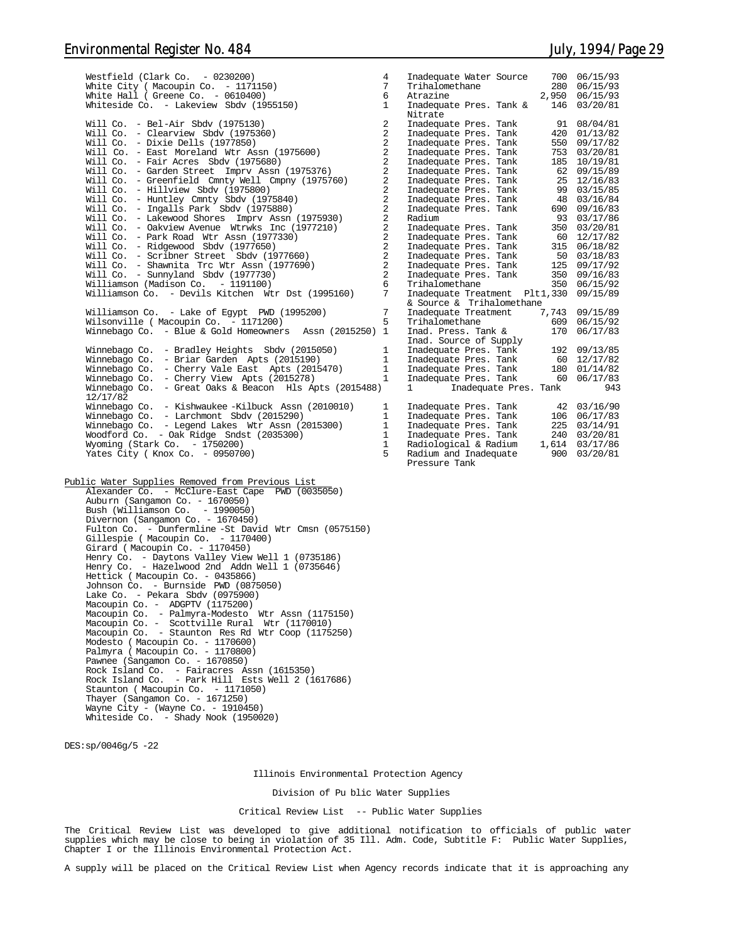| Westfield (Clark Co. $-0230200$ )<br>White City ( Macoupin Co. - 1171150)<br>White Hall ( Greene Co. $-0610400$ )<br>Whiteside Co. - Lakeview Sbdv (1955150)                                                                                                       | $\overline{4}$<br>7<br>6<br>$\mathbf{1}$                                         | Inadequate Water Source<br>Trihalomethane<br>Atrazine<br>Inadequate Pres. Tank &                            | 700 06/15/93<br>280 06/15/93<br>2,950 06/15/93<br>146 03/20/81 |
|--------------------------------------------------------------------------------------------------------------------------------------------------------------------------------------------------------------------------------------------------------------------|----------------------------------------------------------------------------------|-------------------------------------------------------------------------------------------------------------|----------------------------------------------------------------|
| Will Co. - Bel-Air Sbdv (1975130)<br>Will Co. - Clearview Sbdv (1975360)<br>Will Co. - Dixie Dells (1977850)<br>Will Co. - East Moreland Wtr Assn (1975600)                                                                                                        | 2<br>2<br>$\overline{2}$<br>$\overline{2}$                                       | Nitrate<br>Inadequate Pres. Tank<br>Inadequate Pres. Tank<br>Inadequate Pres. Tank<br>Inadequate Pres. Tank | 91 08/04/81<br>420 01/13/82<br>550 09/17/82<br>753 03/20/81    |
| Will Co. - Fair Acres Sbdv $(1975680)$<br>Will Co. - Garden Street Imprv Assn (1975376)<br>Will Co. - Greenfield Cmnty Well Cmpny (1975760)                                                                                                                        | 2<br>$\overline{a}$<br>2                                                         | Inadequate Pres. Tank<br>Inadequate Pres. Tank                                                              | 185 10/19/81<br>62 09/15/89<br>25 12/16/83                     |
| Will Co. - Hillview Sbdv (1975800)<br>Will Co. - Huntley Cmnty Sbdv (1975840)                                                                                                                                                                                      | 2<br>2<br>$\overline{a}$                                                         | Inadequate Pres. Tank<br>Inadequate Pres. Tank<br>Inadequate Pres. Tank<br>Inadequate Pres. Tank            | 99 03/15/85<br>48 03/16/84                                     |
| Will Co. - Ingalls Park Sbdv (1975880)<br>Will Co. - Lakewood Shores Imprv Assn (1975930)<br>Will Co. - Oakview Avenue Wtrwks Inc (1977210)                                                                                                                        | $\overline{a}$<br>2                                                              | Radium<br>Inadequate Pres. Tank                                                                             | 690 09/16/83<br>93 03/17/86<br>350 03/20/81                    |
| Will Co. - Park Road Wtr Assn (1977330)<br>Will Co. - Ridgewood Sbdv (1977650)<br>Will Co. - Scribner Street Sbdv (1977660)                                                                                                                                        | $\overline{a}$<br>$\overline{a}$<br>$\overline{a}$                               | Inadequate Pres. Tank<br>Inadequate Pres. Tank<br>Inadequate Pres. Tank                                     | 60 12/17/82<br>315 06/18/82<br>50 03/18/83                     |
| Will Co. - Shawnita Trc Wtr Assn (1977690)<br>Will $Co. - Sumyland Sbdv (1977730)$<br>Williamson (Madison Co. - 1191100)                                                                                                                                           | $\overline{a}$<br>2<br>6                                                         | Inadequate Pres. Tank<br>Inadequate Pres. Tank<br>Trihalomethane                                            | 125 09/17/92<br>350 09/16/83<br>350 06/15/92                   |
| Williamson Co. - Devils Kitchen Wtr Dst (1995160)<br>Williamson Co. - Lake of Egypt PWD (1995200)                                                                                                                                                                  | 7<br>7                                                                           | Inadequate Treatment Plt1,330 09/15/89<br>& Source & Trihalomethane<br>Inadequate Treatment 7,743 09/15/89  |                                                                |
| Wilsonville ( Macoupin Co. - 1171200)<br>Winnebago Co. - Blue & Gold Homeowners Assn $(2015250)$ 1                                                                                                                                                                 | 5                                                                                | Trihalomethane<br>Inad. Press. Tank &<br>Inad. Source of Supply                                             | 609 06/15/92<br>170 06/17/83                                   |
| Winnebago Co. - Bradley Heights Sbdv (2015050)<br>Winnebago Co. - Briar Garden Apts (2015190)<br>Winnebago Co. - Cherry Vale East Apts (2015470)                                                                                                                   | $\mathbf{1}$<br>$\mathbf{1}$<br>$\mathbf{1}$                                     | Inadequate Pres. Tank<br>Inadequate Pres. Tank 60 12/17/82<br>Inadequate Pres. Tank                         | 192 09/13/85<br>180 01/14/82                                   |
| Winnebago Co. - Cherry View Apts (2015278)<br>Winnebago Co. - Great Oaks & Beacon Hls Apts (2015488)<br>12/17/82                                                                                                                                                   | $\mathbf{1}$                                                                     | Inadequate Pres. Tank 60 06/17/83<br>$1 \quad \cdots$<br>Inadequate Pres. Tank                              | 943                                                            |
| Winnebago Co. - Kishwaukee -Kilbuck Assn (2010010)<br>Winnebago Co. - Larchmont Sbdv (2015290)<br>Winnebago Co. - Legend Lakes Wtr Assn (2015300)<br>Woodford Co. - Oak Ridge Sndst (2035300)<br>Wyoming (Stark Co. - 1750200)<br>Yates City ( Knox Co. - 0950700) | 1<br>$\mathbf{1}$<br>$\mathbf{1}$<br>$\mathbf{1}$<br>$\mathbf{1}$<br>$5^{\circ}$ | Inadequate Pres. Tank<br>Radium and Inadequate 900 03/20/81<br>Pressure Tank                                | 42 03/16/90                                                    |
| Public Water Supplies Removed from Previous List<br>Alexander Co. - McClure-East Cape PWD (0035050)                                                                                                                                                                |                                                                                  |                                                                                                             |                                                                |
| Auburn (Sangamon Co. - 1670050)<br>Bush (Williamson Co. - 1990050)<br>Divernon (Sangamon Co. - 1670450)<br>Fulton Co. - Dunfermline -St David Wtr Cmsn (0575150)<br>Gillespie (Macoupin Co. - 1170400)<br>Girard (Macoupin Co. - 1170450)                          |                                                                                  |                                                                                                             |                                                                |
| Henry Co. - Daytons Valley View Well 1 (0735186)<br>Henry Co. - Hazelwood 2nd Addn Well 1 (0735646)<br>Hettick (Macoupin Co. - 0435866)                                                                                                                            |                                                                                  |                                                                                                             |                                                                |

DES:sp/0046g/5 -22

Johnson Co. - Burnside PWD (0875050) Lake Co. - Pekara Sbdv (0975900)

Modesto ( Macoupin Co. - 1170600) Palmyra ( Macoupin Co. - 1170800) Pawnee (Sangamon Co. - 1670850)

Staunton (Macoupin Co. - 11710<br>Thayer (Sangamon Co. - 1671250) Wayne City - (Wayne Co. - 1910450) Whiteside Co. - Shady Nook (1950020)

Macoupin Co. - ADGPTV (1175200) Macoupin Co. - Palmyra-Modesto Wtr Assn (1175150) Macoupin Co. - Scottville Rural Wtr (1170010) Macoupin Co. - Staunton Res Rd Wtr Coop (1175250)

Rock Island Co. - Fairacres Assn (1615350) Rock Island Co. - Park Hill Ests Well 2 (1617686) Staunton ( Macoupin Co. - 1171050)

Illinois Environmental Protection Agency

Division of Pu blic Water Supplies

Critical Review List -- Public Water Supplies

The Critical Review List was developed to give additional notification to officials of public water<br>supplies which may be close to being in violation of 35 Ill. Adm. Code, Subtitle F: Public Water Supplies,<br>Chapter I or t

A supply will be placed on the Critical Review List when Agency records indicate that it is approaching any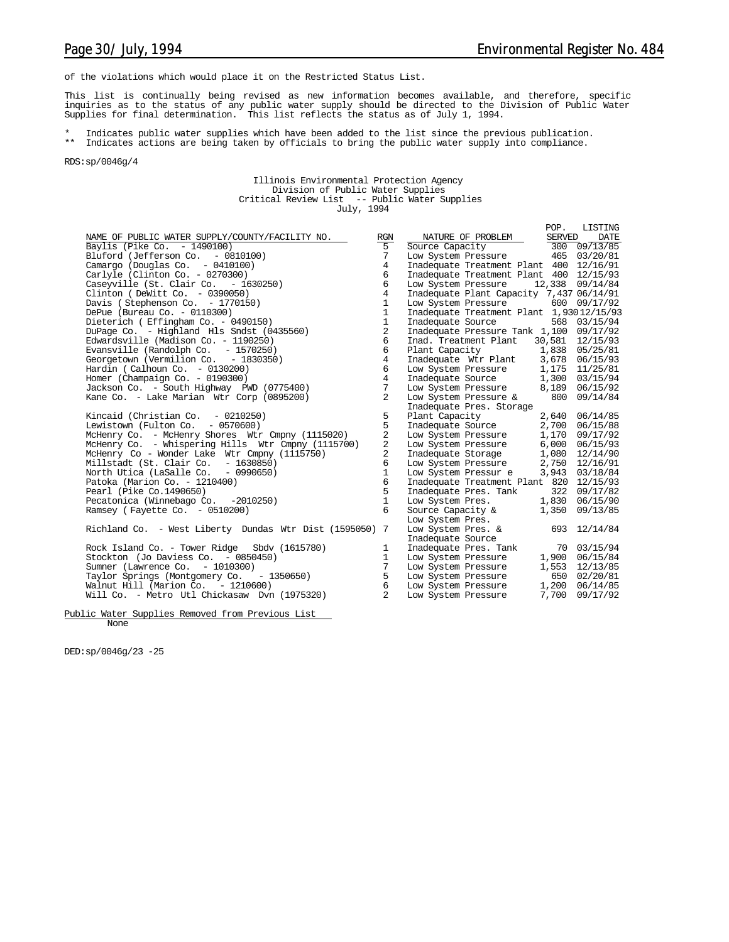of the violations which would place it on the Restricted Status List.

This list is continually being revised as new information becomes available, and therefore, specific<br>inquiries as to the status of any public water supply should be directed to the Division of Public Water<br>Supplies for fin

\* Indicates public water supplies which have been added to the list since the previous publication. \*\* Indicates actions are being taken by officials to bring the public water supply into compliance.

RDS:sp/0046g/4

Illinois Environmental Protection Agency Division of Public Water Supplies Critical Review List -- Public Water Supplies July, 1994

|                                                         |                |                                           | POP.          | LISTING          |
|---------------------------------------------------------|----------------|-------------------------------------------|---------------|------------------|
| NAME OF PUBLIC WATER SUPPLY/COUNTY/FACILITY NO.         | RGN            | NATURE OF PROBLEM                         | <b>SERVED</b> | DATE             |
| Baylis (Pike Co. - 1490100)                             | $\overline{5}$ | Source Capacity                           |               | $300$ $09/13/85$ |
| Bluford (Jefferson Co. - 0810100)                       | 7              | Low System Pressure 465 03/20/81          |               |                  |
| Camargo (Douglas Co. - 0410100)                         | 4              | Inadequate Treatment Plant 400 12/16/91   |               |                  |
| Carlyle (Clinton Co. - 0270300)                         | 6              | Inadequate Treatment Plant 400 12/15/93   |               |                  |
| Caseyville $(St. Clair Co. - 1630250)$                  | 6              | Low System Pressure                       | 12,338        | 09/14/84         |
| Clinton (DeWitt Co. $-0390050$ )                        | $\overline{4}$ | Inadequate Plant Capacity 7,437 06/14/91  |               |                  |
| Davis (Stephenson Co. - 1770150)                        | $\mathbf{1}$   | Low System Pressure                       |               | 600 09/17/92     |
| DePue (Bureau Co. - 0110300)                            | $\mathbf{1}$   | Inadequate Treatment Plant 1,93012/15/93  |               |                  |
| Dieterich (Effingham Co. - 0490150)                     | $\mathbf{1}$   | Inadequate Source                         |               | 568 03/15/94     |
| DuPage Co. - Highland Hls Sndst (0435560)               | 2              | Inadequate Pressure Tank 1,100 09/17/92   |               |                  |
| Edwardsville (Madison Co. - 1190250)                    | 6              | Inad. Treatment Plant<br>30,581           |               | 12/15/93         |
| Evansville (Randolph Co. $-1570250$ )                   | 6              |                                           |               | 1,838 05/25/81   |
| Georgetown (Vermilion Co. - 1830350)                    | $\overline{4}$ | Plant Capacity<br>Inadequate Wtr Plant    |               | 3,678 06/15/93   |
| Hardin (Calhoun Co. $-0130200$ )                        | 6              | Low System Pressure                       |               | 1,175 11/25/81   |
| Homer (Champaign Co. - 0190300)                         | $\overline{4}$ | Inadequate Source                         |               | 1,300 03/15/94   |
| Jackson Co. - South Highway PWD (0775400)               | 7              | Low System Pressure                       | 8,189         | 06/15/92         |
| Kane Co. - Lake Marian Wtr Corp (0895200)               | $\overline{2}$ | Low System Pressure & 800                 |               | 09/14/84         |
|                                                         |                | Inadequate Pres. Storage                  |               |                  |
| Kincaid (Christian Co. $-0210250$ )                     | 5              | Plant Capacity                            | 2,640         | 06/14/85         |
| Lewistown (Fulton Co. $-0570600$ )                      | 5              | Inadequate Source                         | 2,700         | 06/15/88         |
| McHenry Co. - McHenry Shores Wtr Cmpny (1115020)        | 2              | Low System Pressure                       | 1,170         | 09/17/92         |
| McHenry Co. - Whispering Hills Wtr Cmpny (1115700)      | $\overline{a}$ | Low System Pressure                       | 6,000         | 06/15/93         |
| McHenry Co - Wonder Lake Wtr Cmpny (1115750)            | $\overline{c}$ |                                           | 1,080         | 12/14/90         |
| Millstadt (St. Clair Co. - 1630850)                     | 6              | Inadequate Storage<br>Low System Pressure |               | 2,750 12/16/91   |
| North Utica (LaSalle Co. - 0990650)                     | $\mathbf{1}$   | Low System Pressur e                      |               | 3,943 03/18/84   |
| Patoka (Marion Co. - 1210400)                           | 6              | Inadequate Treatment Plant 820            |               | 12/15/93         |
| Pearl (Pike Co.1490650)                                 | 5              | Inadequate Pres. Tank                     | 322           | 09/17/82         |
| Pecatonica (Winnebago Co. -2010250)                     | $\mathbf{1}$   | Low System Pres.                          |               | 1,830 06/15/90   |
| Ramsey (Fayette Co. $-0510200$ )                        | 6              | Source Capacity &                         |               | 1,350 09/13/85   |
|                                                         |                | Low System Pres.                          |               |                  |
| Richland Co. - West Liberty Dundas Wtr Dist (1595050) 7 |                | Low System Pres. &                        |               | 693 12/14/84     |
|                                                         |                | Inadequate Source                         |               |                  |
| Rock Island Co. - Tower Ridge Sbdy (1615780)            | 1              | Inadequate Pres. Tank                     |               | 70 03/15/94      |
| Stockton (Jo Daviess Co. - 0850450)                     | $\mathbf{1}$   | Low System Pressure                       |               | 1,900 06/15/84   |
| Sumner (Lawrence Co. - 1010300)                         | 7              | Low System Pressure                       |               | 1,553 12/13/85   |
| Taylor Springs (Montgomery Co. - 1350650)               | 5              | Low System Pressure                       |               | 650 02/20/81     |
| Walnut Hill (Marion Co. $-1210600$ )                    | 6              | Low System Pressure                       | 1,200         | 06/14/85         |
| Will Co. - Metro Utl Chickasaw Dyn (1975320)            | $\overline{2}$ | Low System Pressure                       | 7,700         | 09/17/92         |
|                                                         |                |                                           |               |                  |
|                                                         |                |                                           |               |                  |

Public Water Supplies Removed from Previous List None

DED:sp/0046g/23 -25